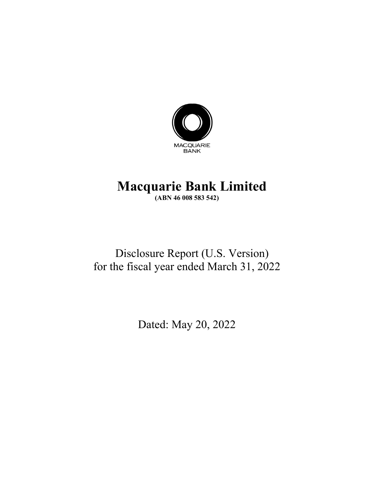

# **Macquarie Bank Limited (ABN 46 008 583 542)**

# Disclosure Report (U.S. Version) for the fiscal year ended March 31, 2022

Dated: May 20, 2022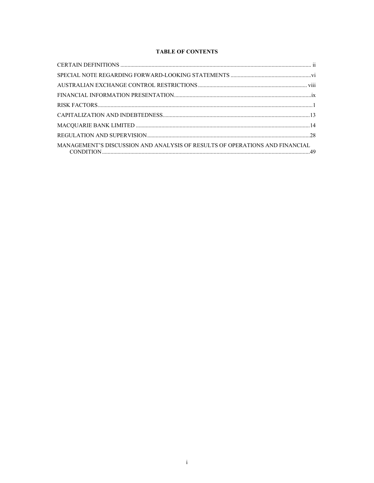# **TABLE OF CONTENTS**

| MANAGEMENT'S DISCUSSION AND ANALYSIS OF RESULTS OF OPERATIONS AND FINANCIAL |  |
|-----------------------------------------------------------------------------|--|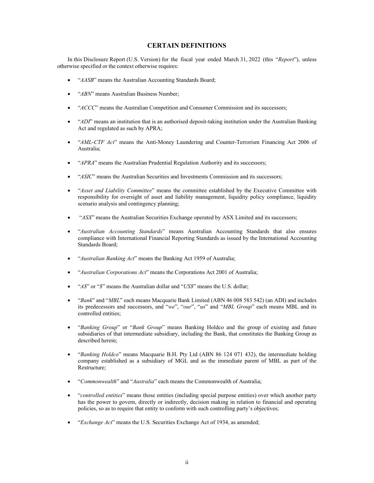# **CERTAIN DEFINITIONS**

In this Disclosure Report (U.S. Version) for the fiscal year ended March 31, 2022 (this "*Report*"), unless otherwise specified or the context otherwise requires:

- "*AASB*" means the Australian Accounting Standards Board;
- "*ABN*" means Australian Business Number;
- "*ACCC*" means the Australian Competition and Consumer Commission and its successors;
- "*ADI*" means an institution that is an authorised deposit-taking institution under the Australian Banking Act and regulated as such by APRA;
- "*AML-CTF Act*" means the Anti-Money Laundering and Counter-Terrorism Financing Act 2006 of Australia;
- "*APRA*" means the Australian Prudential Regulation Authority and its successors;
- "*ASIC*" means the Australian Securities and Investments Commission and its successors;
- "*Asset and Liability Committee*" means the committee established by the Executive Committee with responsibility for oversight of asset and liability management, liquidity policy compliance, liquidity scenario analysis and contingency planning;
- "*ASX*" means the Australian Securities Exchange operated by ASX Limited and its successors;
- "*Australian Accounting Standards*" means Australian Accounting Standards that also ensures compliance with International Financial Reporting Standards as issued by the International Accounting Standards Board;
- "*Australian Banking Act*" means the Banking Act 1959 of Australia;
- "*Australian Corporations Act*" means the Corporations Act 2001 of Australia;
- "*A\$*" or "*\$*" means the Australian dollar and "*US\$*" means the U.S. dollar;
- "*Bank*" and "*MBL*" each means Macquarie Bank Limited (ABN 46 008 583 542) (an ADI) and includes its predecessors and successors, and "*we*", "*our*", "*us*" and "*MBL Group*" each means MBL and its controlled entities;
- "*Banking Group*" or "*Bank Group*" means Banking Holdco and the group of existing and future subsidiaries of that intermediate subsidiary, including the Bank, that constitutes the Banking Group as described herein;
- "*Banking Holdco*" means Macquarie B.H. Pty Ltd (ABN 86 124 071 432), the intermediate holding company established as a subsidiary of MGL and as the immediate parent of MBL as part of the Restructure;
- "*Commonwealth*" and "*Australia*" each means the Commonwealth of Australia;
- "*controlled entities*" means those entities (including special purpose entities) over which another party has the power to govern, directly or indirectly, decision making in relation to financial and operating policies, so as to require that entity to conform with such controlling party's objectives;
- "*Exchange Act*" means the U.S. Securities Exchange Act of 1934, as amended;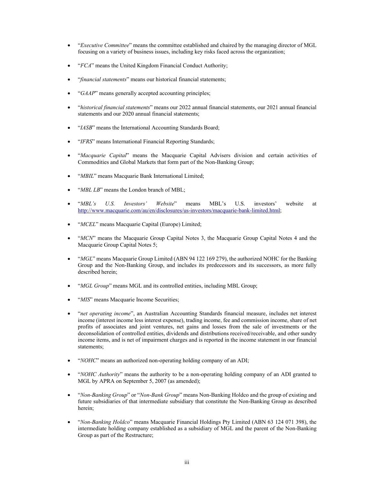- "*Executive Committee*" means the committee established and chaired by the managing director of MGL focusing on a variety of business issues, including key risks faced across the organization;
- "*FCA*" means the United Kingdom Financial Conduct Authority;
- "*financial statements*" means our historical financial statements;
- "*GAAP*" means generally accepted accounting principles;
- "*historical financial statements*" means our 2022 annual financial statements, our 2021 annual financial statements and our 2020 annual financial statements;
- "*IASB*" means the International Accounting Standards Board;
- "*IFRS*" means International Financial Reporting Standards;
- "*Macquarie Capital*" means the Macquarie Capital Advisers division and certain activities of Commodities and Global Markets that form part of the Non-Banking Group;
- "*MBIL*" means Macquarie Bank International Limited;
- "*MBL LB*" means the London branch of MBL;
- "*MBL's U.S. Investors' Website*" means MBL's U.S. investors' website at http://www.macquarie.com/au/en/disclosures/us-investors/macquarie-bank-limited.html;
- "*MCEL*" means Macquarie Capital (Europe) Limited;
- "*MCN*" means the Macquarie Group Capital Notes 3, the Macquarie Group Capital Notes 4 and the Macquarie Group Capital Notes 5;
- "*MGL*" means Macquarie Group Limited (ABN 94 122 169 279), the authorized NOHC for the Banking Group and the Non-Banking Group, and includes its predecessors and its successors, as more fully described herein;
- "*MGL Group*" means MGL and its controlled entities, including MBL Group;
- "*MIS*" means Macquarie Income Securities;
- "*net operating income*", an Australian Accounting Standards financial measure, includes net interest income (interest income less interest expense), trading income, fee and commission income, share of net profits of associates and joint ventures, net gains and losses from the sale of investments or the deconsolidation of controlled entities, dividends and distributions received/receivable, and other sundry income items, and is net of impairment charges and is reported in the income statement in our financial statements;
- "*NOHC*" means an authorized non-operating holding company of an ADI;
- "*NOHC Authority*" means the authority to be a non-operating holding company of an ADI granted to MGL by APRA on September 5, 2007 (as amended);
- "*Non-Banking Group*" or "*Non-Bank Group*" means Non-Banking Holdco and the group of existing and future subsidiaries of that intermediate subsidiary that constitute the Non-Banking Group as described herein;
- "*Non-Banking Holdco*" means Macquarie Financial Holdings Pty Limited (ABN 63 124 071 398), the intermediate holding company established as a subsidiary of MGL and the parent of the Non-Banking Group as part of the Restructure;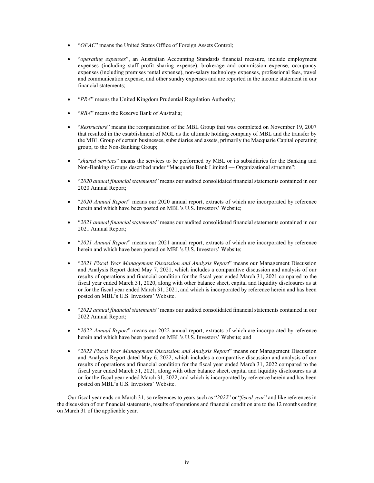- "*OFAC*" means the United States Office of Foreign Assets Control;
- "*operating expenses*", an Australian Accounting Standards financial measure, include employment expenses (including staff profit sharing expense), brokerage and commission expense, occupancy expenses (including premises rental expense), non-salary technology expenses, professional fees, travel and communication expense, and other sundry expenses and are reported in the income statement in our financial statements;
- "*PRA*" means the United Kingdom Prudential Regulation Authority;
- "*RBA*" means the Reserve Bank of Australia;
- "*Restructure*" means the reorganization of the MBL Group that was completed on November 19, 2007 that resulted in the establishment of MGL as the ultimate holding company of MBL and the transfer by the MBL Group of certain businesses, subsidiaries and assets, primarily the Macquarie Capital operating group, to the Non-Banking Group;
- "*shared services*" means the services to be performed by MBL or its subsidiaries for the Banking and Non-Banking Groups described under "Macquarie Bank Limited — Organizational structure";
- "*2020 annual financial statements*" means our audited consolidated financial statements contained in our 2020 Annual Report;
- "*2020 Annual Report*" means our 2020 annual report, extracts of which are incorporated by reference herein and which have been posted on MBL's U.S. Investors' Website;
- "*2021 annual financial statements*" means our audited consolidated financial statements contained in our 2021 Annual Report;
- "*2021 Annual Report*" means our 2021 annual report, extracts of which are incorporated by reference herein and which have been posted on MBL's U.S. Investors' Website;
- "*2021 Fiscal Year Management Discussion and Analysis Report*" means our Management Discussion and Analysis Report dated May 7, 2021, which includes a comparative discussion and analysis of our results of operations and financial condition for the fiscal year ended March 31, 2021 compared to the fiscal year ended March 31, 2020, along with other balance sheet, capital and liquidity disclosures as at or for the fiscal year ended March 31, 2021, and which is incorporated by reference herein and has been posted on MBL's U.S. Investors' Website.
- "*2022 annual financial statements*" means our audited consolidated financial statements contained in our 2022 Annual Report;
- "*2022 Annual Report*" means our 2022 annual report, extracts of which are incorporated by reference herein and which have been posted on MBL's U.S. Investors' Website; and
- "*2022 Fiscal Year Management Discussion and Analysis Report*" means our Management Discussion and Analysis Report dated May 6, 2022, which includes a comparative discussion and analysis of our results of operations and financial condition for the fiscal year ended March 31, 2022 compared to the fiscal year ended March 31, 2021, along with other balance sheet, capital and liquidity disclosures as at or for the fiscal year ended March 31, 2022, and which is incorporated by reference herein and has been posted on MBL's U.S. Investors' Website.

Our fiscal year ends on March 31, so references to years such as "*2022*" or "*fiscal year*" and like references in the discussion of our financial statements, results of operations and financial condition are to the 12 months ending on March 31 of the applicable year.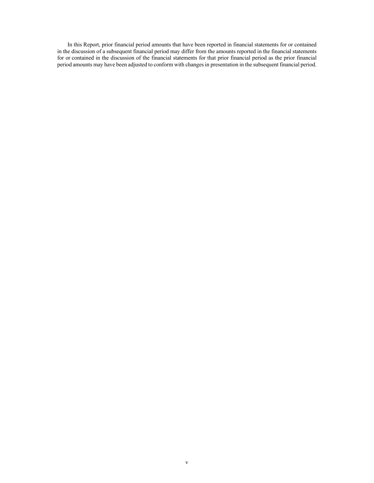In this Report, prior financial period amounts that have been reported in financial statements for or contained in the discussion of a subsequent financial period may differ from the amounts reported in the financial statements for or contained in the discussion of the financial statements for that prior financial period as the prior financial period amounts may have been adjusted to conform with changes in presentation in the subsequent financial period.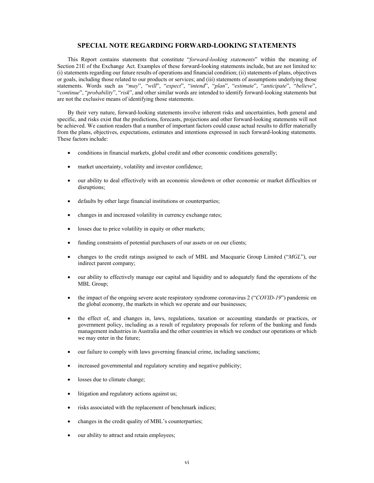## **SPECIAL NOTE REGARDING FORWARD-LOOKING STATEMENTS**

This Report contains statements that constitute "*forward-looking statements*" within the meaning of Section 21E of the Exchange Act. Examples of these forward-looking statements include, but are not limited to: (i) statements regarding our future results of operations and financial condition; (ii) statements of plans, objectives or goals, including those related to our products or services; and (iii) statements of assumptions underlying those statements. Words such as "*may*", "*will*", "*expect*", "*intend*", "*plan*", "*estimate*", "*anticipate*", "*believe*", "*continue*", "*probability*", "*risk*", and other similar words are intended to identify forward-looking statements but are not the exclusive means of identifying those statements.

By their very nature, forward-looking statements involve inherent risks and uncertainties, both general and specific, and risks exist that the predictions, forecasts, projections and other forward-looking statements will not be achieved. We caution readers that a number of important factors could cause actual results to differ materially from the plans, objectives, expectations, estimates and intentions expressed in such forward-looking statements. These factors include:

- conditions in financial markets, global credit and other economic conditions generally;
- market uncertainty, volatility and investor confidence;
- our ability to deal effectively with an economic slowdown or other economic or market difficulties or disruptions;
- defaults by other large financial institutions or counterparties;
- changes in and increased volatility in currency exchange rates;
- losses due to price volatility in equity or other markets;
- funding constraints of potential purchasers of our assets or on our clients;
- changes to the credit ratings assigned to each of MBL and Macquarie Group Limited ("*MGL*"), our indirect parent company;
- our ability to effectively manage our capital and liquidity and to adequately fund the operations of the MBL Group;
- the impact of the ongoing severe acute respiratory syndrome coronavirus 2 ("*COVID-19*") pandemic on the global economy, the markets in which we operate and our businesses;
- the effect of, and changes in, laws, regulations, taxation or accounting standards or practices, or government policy, including as a result of regulatory proposals for reform of the banking and funds management industries in Australia and the other countries in which we conduct our operations or which we may enter in the future;
- our failure to comply with laws governing financial crime, including sanctions;
- increased governmental and regulatory scrutiny and negative publicity;
- losses due to climate change;
- litigation and regulatory actions against us;
- risks associated with the replacement of benchmark indices;
- changes in the credit quality of MBL's counterparties;
- $\bullet$  our ability to attract and retain employees;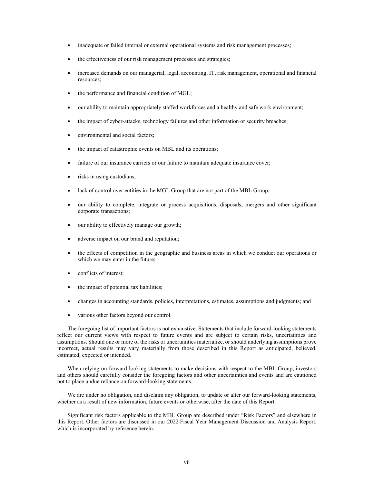- inadequate or failed internal or external operational systems and risk management processes;
- the effectiveness of our risk management processes and strategies;
- increased demands on our managerial, legal, accounting, IT, risk management, operational and financial resources;
- the performance and financial condition of MGL;
- our ability to maintain appropriately staffed workforces and a healthy and safe work environment;
- the impact of cyber-attacks, technology failures and other information or security breaches;
- environmental and social factors;
- the impact of catastrophic events on MBL and its operations;
- failure of our insurance carriers or our failure to maintain adequate insurance cover;
- risks in using custodians;
- lack of control over entities in the MGL Group that are not part of the MBL Group;
- our ability to complete, integrate or process acquisitions, disposals, mergers and other significant corporate transactions;
- our ability to effectively manage our growth;
- adverse impact on our brand and reputation;
- the effects of competition in the geographic and business areas in which we conduct our operations or which we may enter in the future;
- conflicts of interest;
- the impact of potential tax liabilities;
- changes in accounting standards, policies, interpretations, estimates, assumptions and judgments; and
- various other factors beyond our control.

The foregoing list of important factors is not exhaustive. Statements that include forward-looking statements reflect our current views with respect to future events and are subject to certain risks, uncertainties and assumptions. Should one or more of the risks or uncertainties materialize, or should underlying assumptions prove incorrect, actual results may vary materially from those described in this Report as anticipated, believed, estimated, expected or intended.

When relying on forward-looking statements to make decisions with respect to the MBL Group, investors and others should carefully consider the foregoing factors and other uncertainties and events and are cautioned not to place undue reliance on forward-looking statements.

We are under no obligation, and disclaim any obligation, to update or alter our forward-looking statements, whether as a result of new information, future events or otherwise, after the date of this Report.

Significant risk factors applicable to the MBL Group are described under "Risk Factors" and elsewhere in this Report. Other factors are discussed in our 2022 Fiscal Year Management Discussion and Analysis Report, which is incorporated by reference herein.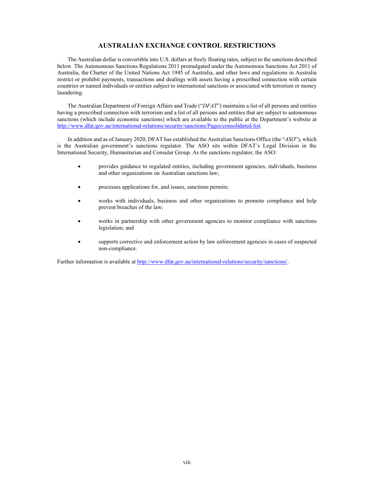# **AUSTRALIAN EXCHANGE CONTROL RESTRICTIONS**

The Australian dollar is convertible into U.S. dollars at freely floating rates, subject to the sanctions described below. The Autonomous Sanctions Regulations 2011 promulgated under the Autonomous Sanctions Act 2011 of Australia, the Charter of the United Nations Act 1945 of Australia, and other laws and regulations in Australia restrict or prohibit payments, transactions and dealings with assets having a prescribed connection with certain countries or named individuals or entities subject to international sanctions or associated with terrorism or money laundering.

The Australian Department of Foreign Affairs and Trade ("*DFAT*") maintains a list of all persons and entities having a prescribed connection with terrorism and a list of all persons and entities that are subject to autonomous sanctions (which include economic sanctions) which are available to the public at the Department's website at http://www.dfat.gov.au/international-relations/security/sanctions/Pages/consolidated-list.

In addition and as of January 2020, DFAT has established the Australian Sanctions Office (the "*ASO*"), which is the Australian government's sanctions regulator. The ASO sits within DFAT's Legal Division in the International Security, Humanitarian and Consular Group. As the sanctions regulator, the ASO:

- provides guidance to regulated entities, including government agencies, individuals, business and other organizations on Australian sanctions law;
- processes applications for, and issues, sanctions permits;
- works with individuals, business and other organizations to promote compliance and help prevent breaches of the law;
- works in partnership with other government agencies to monitor compliance with sanctions legislation; and
- supports corrective and enforcement action by law enforcement agencies in cases of suspected non-compliance.

Further information is available at http://www.dfat.gov.au/international-relations/security/sanctions/.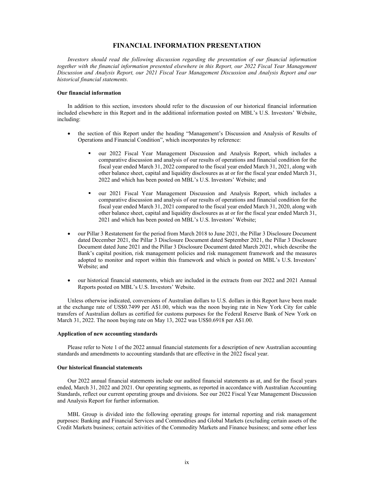## **FINANCIAL INFORMATION PRESENTATION**

*Investors should read the following discussion regarding the presentation of our financial information together with the financial information presented elsewhere in this Report, our 2022 Fiscal Year Management Discussion and Analysis Report, our 2021 Fiscal Year Management Discussion and Analysis Report and our historical financial statements.* 

#### **Our financial information**

In addition to this section, investors should refer to the discussion of our historical financial information included elsewhere in this Report and in the additional information posted on MBL's U.S. Investors' Website, including:

- the section of this Report under the heading "Management's Discussion and Analysis of Results of Operations and Financial Condition", which incorporates by reference:
	- our 2022 Fiscal Year Management Discussion and Analysis Report, which includes a comparative discussion and analysis of our results of operations and financial condition for the fiscal year ended March 31, 2022 compared to the fiscal year ended March 31, 2021, along with other balance sheet, capital and liquidity disclosures as at or for the fiscal year ended March 31, 2022 and which has been posted on MBL's U.S. Investors' Website; and
	- our 2021 Fiscal Year Management Discussion and Analysis Report, which includes a comparative discussion and analysis of our results of operations and financial condition for the fiscal year ended March 31, 2021 compared to the fiscal year ended March 31, 2020, along with other balance sheet, capital and liquidity disclosures as at or for the fiscal year ended March 31, 2021 and which has been posted on MBL's U.S. Investors' Website;
- our Pillar 3 Restatement for the period from March 2018 to June 2021, the Pillar 3 Disclosure Document dated December 2021, the Pillar 3 Disclosure Document dated September 2021, the Pillar 3 Disclosure Document dated June 2021 and the Pillar 3 Disclosure Document dated March 2021, which describe the Bank's capital position, risk management policies and risk management framework and the measures adopted to monitor and report within this framework and which is posted on MBL's U.S. Investors' Website; and
- our historical financial statements, which are included in the extracts from our 2022 and 2021 Annual Reports posted on MBL's U.S. Investors' Website.

Unless otherwise indicated, conversions of Australian dollars to U.S. dollars in this Report have been made at the exchange rate of US\$0.7499 per A\$1.00, which was the noon buying rate in New York City for cable transfers of Australian dollars as certified for customs purposes for the Federal Reserve Bank of New York on March 31, 2022. The noon buying rate on May 13, 2022 was US\$0.6918 per A\$1.00.

#### **Application of new accounting standards**

Please refer to Note 1 of the 2022 annual financial statements for a description of new Australian accounting standards and amendments to accounting standards that are effective in the 2022 fiscal year.

## **Our historical financial statements**

Our 2022 annual financial statements include our audited financial statements as at, and for the fiscal years ended, March 31, 2022 and 2021. Our operating segments, as reported in accordance with Australian Accounting Standards, reflect our current operating groups and divisions. See our 2022 Fiscal Year Management Discussion and Analysis Report for further information.

MBL Group is divided into the following operating groups for internal reporting and risk management purposes: Banking and Financial Services and Commodities and Global Markets (excluding certain assets of the Credit Markets business; certain activities of the Commodity Markets and Finance business; and some other less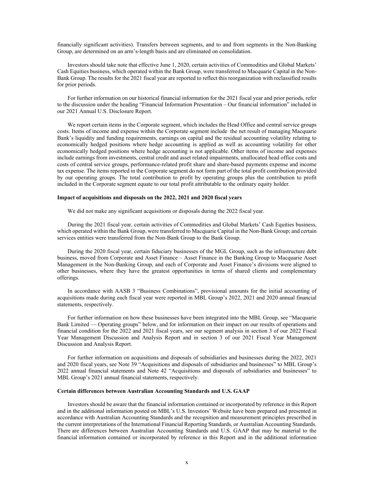financially significant activities). Transfers between segments, and to and from segments in the Non-Banking Group, are determined on an arm's-length basis and are eliminated on consolidation.

Investors should take note that effective June 1, 2020, certain activities of Commodities and Global Markets' Cash Equities business, which operated within the Bank Group, were transferred to Macquarie Capital in the Non-Bank Group. The results for the 2021 fiscal year are reported to reflect this reorganization with reclassified results for prior periods.

For further information on our historical financial information for the 2021 fiscal year and prior periods, refer to the discussion under the heading "Financial Information Presentation – Our financial information" included in our 2021 Annual U.S. Disclosure Report.

We report certain items in the Corporate segment, which includes the Head Office and central service groups costs. Items of income and expense within the Corporate segment include the net result of managing Macquarie Bank's liquidity and funding requirements, earnings on capital and the residual accounting volatility relating to economically hedged positions where hedge accounting is applied as well as accounting volatility for other economically hedged positions where hedge accounting is not applicable. Other items of income and expenses include earnings from investments, central credit and asset related impairments, unallocated head office costs and costs of central service groups, performance-related profit share and share-based payments expense and income tax expense. The items reported in the Corporate segment do not form part of the total profit contribution provided by our operating groups. The total contribution to profit by operating groups plus the contribution to profit included in the Corporate segment equate to our total profit attributable to the ordinary equity holder.

#### **Impact of acquisitions and disposals on the 2022, 2021 and 2020 fiscal years**

We did not make any significant acquisitions or disposals during the 2022 fiscal year.

During the 2021 fiscal year, certain activities of Commodities and Global Markets' Cash Equities business, which operated within the Bank Group, were transferred to Macquarie Capital in the Non-Bank Group; and certain services entities were transferred from the Non-Bank Group to the Bank Group.

During the 2020 fiscal year, certain fiduciary businesses of the MGL Group, such as the infrastructure debt business, moved from Corporate and Asset Finance – Asset Finance in the Banking Group to Macquarie Asset Management in the Non-Banking Group, and each of Corporate and Asset Finance's divisions were aligned to other businesses, where they have the greatest opportunities in terms of shared clients and complementary offerings.

In accordance with AASB 3 "Business Combinations", provisional amounts for the initial accounting of acquisitions made during each fiscal year were reported in MBL Group's 2022, 2021 and 2020 annual financial statements, respectively.

For further information on how these businesses have been integrated into the MBL Group, see "Macquarie Bank Limited — Operating groups" below, and for information on their impact on our results of operations and financial condition for the 2022 and 2021 fiscal years, see our segment analysis in section 3 of our 2022 Fiscal Year Management Discussion and Analysis Report and in section 3 of our 2021 Fiscal Year Management Discussion and Analysis Report.

For further information on acquisitions and disposals of subsidiaries and businesses during the 2022, 2021 and 2020 fiscal years, see Note 39 "Acquisitions and disposals of subsidiaries and businesses" to MBL Group's 2022 annual financial statements and Note 42 "Acquisitions and disposals of subsidiaries and businesses" to MBL Group's 2021 annual financial statements, respectively.

#### **Certain differences between Australian Accounting Standards and U.S. GAAP**

Investors should be aware that the financial information contained or incorporated by reference in this Report and in the additional information posted on MBL's U.S. Investors' Website have been prepared and presented in accordance with Australian Accounting Standards and the recognition and measurement principles prescribed in the current interpretations of the International Financial Reporting Standards, or Australian Accounting Standards. There are differences between Australian Accounting Standards and U.S. GAAP that may be material to the financial information contained or incorporated by reference in this Report and in the additional information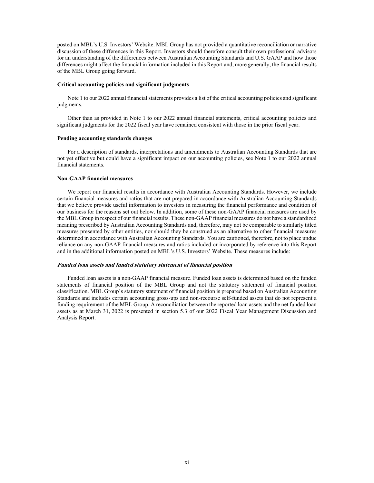posted on MBL's U.S. Investors' Website. MBL Group has not provided a quantitative reconciliation or narrative discussion of these differences in this Report. Investors should therefore consult their own professional advisors for an understanding of the differences between Australian Accounting Standards and U.S. GAAP and how those differences might affect the financial information included in this Report and, more generally, the financial results of the MBL Group going forward.

#### **Critical accounting policies and significant judgments**

Note 1 to our 2022 annual financial statements provides a list of the critical accounting policies and significant judgments.

Other than as provided in Note 1 to our 2022 annual financial statements, critical accounting policies and significant judgments for the 2022 fiscal year have remained consistent with those in the prior fiscal year.

### **Pending accounting standards changes**

For a description of standards, interpretations and amendments to Australian Accounting Standards that are not yet effective but could have a significant impact on our accounting policies, see Note 1 to our 2022 annual financial statements.

## **Non-GAAP financial measures**

We report our financial results in accordance with Australian Accounting Standards. However, we include certain financial measures and ratios that are not prepared in accordance with Australian Accounting Standards that we believe provide useful information to investors in measuring the financial performance and condition of our business for the reasons set out below. In addition, some of these non-GAAP financial measures are used by the MBL Group in respect of our financial results. These non-GAAP financial measures do not have a standardized meaning prescribed by Australian Accounting Standards and, therefore, may not be comparable to similarly titled measures presented by other entities, nor should they be construed as an alternative to other financial measures determined in accordance with Australian Accounting Standards. You are cautioned, therefore, not to place undue reliance on any non-GAAP financial measures and ratios included or incorporated by reference into this Report and in the additional information posted on MBL's U.S. Investors' Website. These measures include:

#### **Funded loan assets and funded statutory statement of financial position**

Funded loan assets is a non-GAAP financial measure. Funded loan assets is determined based on the funded statements of financial position of the MBL Group and not the statutory statement of financial position classification. MBL Group's statutory statement of financial position is prepared based on Australian Accounting Standards and includes certain accounting gross-ups and non-recourse self-funded assets that do not represent a funding requirement of the MBL Group. A reconciliation between the reported loan assets and the net funded loan assets as at March 31, 2022 is presented in section 5.3 of our 2022 Fiscal Year Management Discussion and Analysis Report.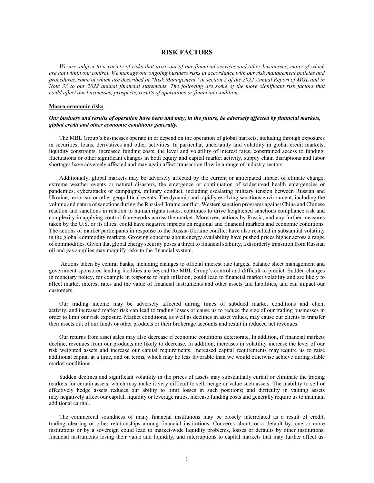## **RISK FACTORS**

*We are subject to a variety of risks that arise out of our financial services and other businesses, many of which are not within our control. We manage our ongoing business risks in accordance with our risk management policies and*  procedures, some of which are described in "Risk Management" in section 2 of the 2022 Annual Report of MGL and in *Note 33 to our 2022 annual financial statements. The following are some of the more significant risk factors that could affect our businesses, prospects, results of operations or financial condition*.

#### **Macro-economic risks**

## *Our business and results of operation have been and may, in the future, be adversely affected by financial markets, global credit and other economic conditions generally.*

The MBL Group's businesses operate in or depend on the operation of global markets, including through exposures in securities, loans, derivatives and other activities. In particular, uncertainty and volatility in global credit markets, liquidity constraints, increased funding costs, the level and volatility of interest rates, constrained access to funding, fluctuations or other significant changes in both equity and capital market activity, supply chain disruptions and labor shortages have adversely affected and may again affect transaction flow in a range of industry sectors.

Additionally, global markets may be adversely affected by the current or anticipated impact of climate change, extreme weather events or natural disasters, the emergence or continuation of widespread health emergencies or pandemics, cyberattacks or campaigns, military conduct, including escalating military tension between Russian and Ukraine, terrorism or other geopolitical events. The dynamic and rapidly evolving sanctions environment, including the volume and nature of sanctions during the Russia-Ukraine conflict, Western sanction programs against China and Chinese reaction and sanctions in relation to human rights issues, continues to drive heightened sanctions compliance risk and complexity in applying control frameworks across the market. Moreover, actions by Russia, and any further measures taken by the U.S. or its allies, could have negative impacts on regional and financial markets and economic conditions. The actions of market participants in response to the Russia-Ukraine conflict have also resulted in substantial volatility in the global commodity markets. Growing concerns about energy availability have pushed prices higher across a range of commodities. Given that global energy security poses a threat to financial stability, a disorderly transition from Russian oil and gas supplies may magnify risks to the financial system.

 Actions taken by central banks, including changes to official interest rate targets, balance sheet management and government-sponsored lending facilities are beyond the MBL Group's control and difficult to predict. Sudden changes in monetary policy, for example in response to high inflation, could lead to financial market volatility and are likely to affect market interest rates and the value of financial instruments and other assets and liabilities, and can impact our customers.

Our trading income may be adversely affected during times of subdued market conditions and client activity, and increased market risk can lead to trading losses or cause us to reduce the size of our trading businesses in order to limit our risk exposure. Market conditions, as well as declines in asset values, may cause our clients to transfer their assets out of our funds or other products or their brokerage accounts and result in reduced net revenues.

Our returns from asset sales may also decrease if economic conditions deteriorate. In addition, if financial markets decline, revenues from our products are likely to decrease. In addition, increases in volatility increase the level of our risk weighted assets and increase our capital requirements. Increased capital requirements may require us to raise additional capital at a time, and on terms, which may be less favorable than we would otherwise achieve during stable market conditions.

Sudden declines and significant volatility in the prices of assets may substantially curtail or eliminate the trading markets for certain assets, which may make it very difficult to sell, hedge or value such assets. The inability to sell or effectively hedge assets reduces our ability to limit losses in such positions; and difficulty in valuing assets may negatively affect our capital, liquidity or leverage ratios, increase funding costs and generally require us to maintain additional capital.

The commercial soundness of many financial institutions may be closely interrelated as a result of credit, trading, clearing or other relationships among financial institutions. Concerns about, or a default by, one or more institutions or by a sovereign could lead to market-wide liquidity problems, losses or defaults by other institutions, financial instruments losing their value and liquidity, and interruptions to capital markets that may further affect us.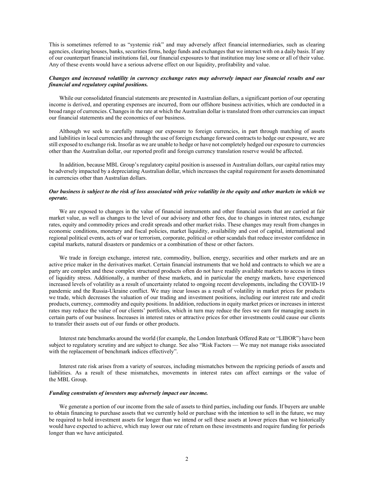This is sometimes referred to as "systemic risk" and may adversely affect financial intermediaries, such as clearing agencies, clearing houses, banks, securities firms, hedge funds and exchanges that we interact with on a daily basis. If any of our counterpart financial institutions fail, our financial exposures to that institution may lose some or all of their value. Any of these events would have a serious adverse effect on our liquidity, profitability and value.

## *Changes and increased volatility in currency exchange rates may adversely impact our financial results and our financial and regulatory capital positions.*

While our consolidated financial statements are presented in Australian dollars, a significant portion of our operating income is derived, and operating expenses are incurred, from our offshore business activities, which are conducted in a broad range of currencies. Changes in the rate at which the Australian dollar is translated from other currencies can impact our financial statements and the economics of our business.

Although we seek to carefully manage our exposure to foreign currencies, in part through matching of assets and liabilities in local currencies and through the use of foreign exchange forward contracts to hedge our exposure, we are still exposed to exchange risk. Insofar as we are unable to hedge or have not completely hedged our exposure to currencies other than the Australian dollar, our reported profit and foreign currency translation reserve would be affected.

In addition, because MBL Group's regulatory capital position is assessed in Australian dollars, our capital ratios may be adversely impacted by a depreciating Australian dollar, which increases the capital requirement for assets denominated in currencies other than Australian dollars.

## *Our business is subject to the risk of loss associated with price volatility in the equity and other markets in which we operate.*

We are exposed to changes in the value of financial instruments and other financial assets that are carried at fair market value, as well as changes to the level of our advisory and other fees, due to changes in interest rates, exchange rates, equity and commodity prices and credit spreads and other market risks. These changes may result from changes in economic conditions, monetary and fiscal policies, market liquidity, availability and cost of capital, international and regional political events, acts of war or terrorism, corporate, political or other scandals that reduce investor confidence in capital markets, natural disasters or pandemics or a combination of these or other factors.

We trade in foreign exchange, interest rate, commodity, bullion, energy, securities and other markets and are an active price maker in the derivatives market. Certain financial instruments that we hold and contracts to which we are a party are complex and these complex structured products often do not have readily available markets to access in times of liquidity stress. Additionally, a number of these markets, and in particular the energy markets, have experienced increased levels of volatility as a result of uncertainty related to ongoing recent developments, including the COVID-19 pandemic and the Russia-Ukraine conflict. We may incur losses as a result of volatility in market prices for products we trade, which decreases the valuation of our trading and investment positions, including our interest rate and credit products, currency, commodity and equity positions. In addition, reductions in equity market prices or increases in interest rates may reduce the value of our clients' portfolios, which in turn may reduce the fees we earn for managing assets in certain parts of our business. Increases in interest rates or attractive prices for other investments could cause our clients to transfer their assets out of our funds or other products.

Interest rate benchmarks around the world (for example, the London Interbank Offered Rate or "LIBOR") have been subject to regulatory scrutiny and are subject to change. See also "Risk Factors — We may not manage risks associated with the replacement of benchmark indices effectively".

Interest rate risk arises from a variety of sources, including mismatches between the repricing periods of assets and liabilities. As a result of these mismatches, movements in interest rates can affect earnings or the value of the MBL Group.

## *Funding constraints of investors may adversely impact our income.*

We generate a portion of our income from the sale of assets to third parties, including our funds. If buyers are unable to obtain financing to purchase assets that we currently hold or purchase with the intention to sell in the future, we may be required to hold investment assets for longer than we intend or sell these assets at lower prices than we historically would have expected to achieve, which may lower our rate of return on these investments and require funding for periods longer than we have anticipated.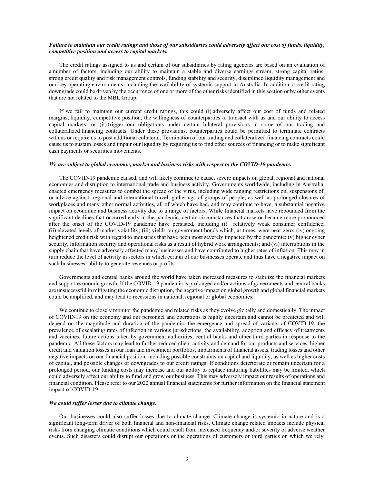#### *Failure to maintain our credit ratings and those of our subsidiaries could adversely affect our cost of funds, liquidity, competitive position and access to capital markets.*

The credit ratings assigned to us and certain of our subsidiaries by rating agencies are based on an evaluation of a number of factors, including our ability to maintain a stable and diverse earnings stream, strong capital ratios, strong credit quality and risk management controls, funding stability and security, disciplined liquidity management and our key operating environments, including the availability of systemic support in Australia. In addition, a credit rating downgrade could be driven by the occurrence of one or more of the other risks identified in this section or by other events that are not related to the MBL Group.

If we fail to maintain our current credit ratings, this could (i) adversely affect our cost of funds and related margins, liquidity, competitive position, the willingness of counterparties to transact with us and our ability to access capital markets; or (ii) trigger our obligations under certain bilateral provisions in some of our trading and collateralized financing contracts. Under these provisions, counterparties could be permitted to terminate contracts with us or require us to post additional collateral. Termination of our trading and collateralized financing contracts could cause us to sustain losses and impair our liquidity by requiring us to find other sources of financing or to make significant cash payments or securities movements.

## *We are subject to global economic, market and business risks with respect to the COVID-19 pandemic.*

The COVID-19 pandemic caused, and will likely continue to cause, severe impacts on global, regional and national economies and disruption to international trade and business activity. Governments worldwide, including in Australia, enacted emergency measures to combat the spread of the virus, including wide ranging restrictions on, suspensions of, or advice against, regional and international travel, gatherings of groups of people, as well as prolonged closures of workplaces and many other normal activities, all of which have had, and may continue to have, a substantial negative impact on economic and business activity due to a range of factors. While financial markets have rebounded from the significant declines that occurred early in the pandemic, certain circumstances that arose or became more pronounced after the onset of the COVID-19 pandemic have persisted, including (i) relatively weak consumer confidence; (ii) elevated levels of market volatility; (iii) yields on government bonds which, at times, were near zero; (iv) ongoing heightened credit risk with regard to industries that have been most severely impacted by the pandemic; (v) higher cyber security, information security and operational risks as a result of hybrid work arrangements; and (vi) interruptions in the supply chain that have adversely affected many businesses and have contributed to higher rates of inflation. This may in turn reduce the level of activity in sectors in which certain of our businesses operate and thus have a negative impact on such businesses' ability to generate revenues or profits.

Governments and central banks around the world have taken increased measures to stabilize the financial markets and support economic growth. If the COVID-19 pandemic is prolonged and/or actions of governments and central banks are unsuccessful in mitigating the economic disruption, the negative impact on global growth and global financial markets could be amplified, and may lead to recessions in national, regional or global economies.

We continue to closely monitor the pandemic and related risks as they evolve globally and domestically. The impact of COVID-19 on the economy and our personnel and operations is highly uncertain and cannot be predicted and will depend on the magnitude and duration of the pandemic, the emergence and spread of variants of COVID-19, the prevalence of escalating rates of infection in various jurisdictions, the availability, adoption and efficacy of treatments and vaccines, future actions taken by government authorities, central banks and other third parties in response to the pandemic. All these factors may lead to further reduced client activity and demand for our products and services, higher credit and valuation losses in our loan and investment portfolios, impairments of financial assets, trading losses and other negative impacts on our financial position, including possible constraints on capital and liquidity, as well as higher costs of capital, and possible changes or downgrades to our credit ratings. If conditions deteriorate or remain uncertain for a prolonged period, our funding costs may increase and our ability to replace maturing liabilities may be limited, which could adversely affect our ability to fund and grow our business. This may adversely impact our results of operations and financial condition. Please refer to our 2022 annual financial statements for further information on the financial statement impact of COVID-19.

## *We could suffer losses due to climate change.*

Our businesses could also suffer losses due to climate change. Climate change is systemic in nature and is a significant long-term driver of both financial and non-financial risks. Climate change related impacts include physical risks from changing climatic conditions which could result from increased frequency and/or severity of adverse weather events. Such disasters could disrupt our operations or the operations of customers or third parties on which we rely.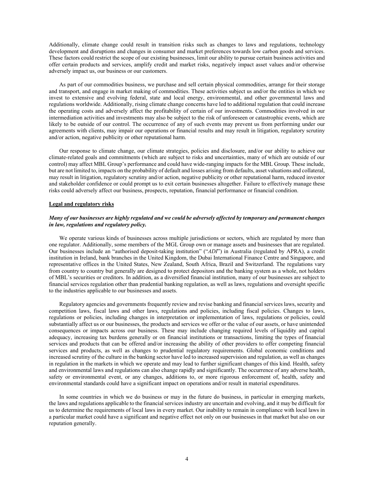Additionally, climate change could result in transition risks such as changes to laws and regulations, technology development and disruptions and changes in consumer and market preferences towards low carbon goods and services. These factors could restrict the scope of our existing businesses, limit our ability to pursue certain business activities and offer certain products and services, amplify credit and market risks, negatively impact asset values and/or otherwise adversely impact us, our business or our customers.

As part of our commodities business, we purchase and sell certain physical commodities, arrange for their storage and transport, and engage in market making of commodities. These activities subject us and/or the entities in which we invest to extensive and evolving federal, state and local energy, environmental, and other governmental laws and regulations worldwide. Additionally, rising climate change concerns have led to additional regulation that could increase the operating costs and adversely affect the profitability of certain of our investments. Commodities involved in our intermediation activities and investments may also be subject to the risk of unforeseen or catastrophic events, which are likely to be outside of our control. The occurrence of any of such events may prevent us from performing under our agreements with clients, may impair our operations or financial results and may result in litigation, regulatory scrutiny and/or action, negative publicity or other reputational harm.

Our response to climate change, our climate strategies, policies and disclosure, and/or our ability to achieve our climate-related goals and commitments (which are subject to risks and uncertainties, many of which are outside of our control) may affect MBL Group's performance and could have wide-ranging impacts for the MBL Group. These include, but are not limited to, impacts on the probability of default and losses arising from defaults, asset valuations and collateral, may result in litigation, regulatory scrutiny and/or action, negative publicity or other reputational harm, reduced investor and stakeholder confidence or could prompt us to exit certain businesses altogether. Failure to effectively manage these risks could adversely affect our business, prospects, reputation, financial performance or financial condition.

#### **Legal and regulatory risks**

## *Many of our businesses are highly regulated and we could be adversely affected by temporary and permanent changes in law, regulations and regulatory policy.*

We operate various kinds of businesses across multiple jurisdictions or sectors, which are regulated by more than one regulator. Additionally, some members of the MGL Group own or manage assets and businesses that are regulated. Our businesses include an "authorised deposit-taking institution" ("*ADI*") in Australia (regulated by APRA), a credit institution in Ireland, bank branches in the United Kingdom, the Dubai International Finance Centre and Singapore, and representative offices in the United States, New Zealand, South Africa, Brazil and Switzerland. The regulations vary from country to country but generally are designed to protect depositors and the banking system as a whole, not holders of MBL's securities or creditors. In addition, as a diversified financial institution, many of our businesses are subject to financial services regulation other than prudential banking regulation, as well as laws, regulations and oversight specific to the industries applicable to our businesses and assets.

Regulatory agencies and governments frequently review and revise banking and financial services laws, security and competition laws, fiscal laws and other laws, regulations and policies, including fiscal policies. Changes to laws, regulations or policies, including changes in interpretation or implementation of laws, regulations or policies, could substantially affect us or our businesses, the products and services we offer or the value of our assets, or have unintended consequences or impacts across our business. These may include changing required levels of liquidity and capital adequacy, increasing tax burdens generally or on financial institutions or transactions, limiting the types of financial services and products that can be offered and/or increasing the ability of other providers to offer competing financial services and products, as well as changes to prudential regulatory requirements. Global economic conditions and increased scrutiny of the culture in the banking sector have led to increased supervision and regulation, as well as changes in regulation in the markets in which we operate and may lead to further significant changes of this kind. Health, safety and environmental laws and regulations can also change rapidly and significantly. The occurrence of any adverse health, safety or environmental event, or any changes, additions to, or more rigorous enforcement of, health, safety and environmental standards could have a significant impact on operations and/or result in material expenditures.

In some countries in which we do business or may in the future do business, in particular in emerging markets, the laws and regulations applicable to the financial services industry are uncertain and evolving, and it may be difficult for us to determine the requirements of local laws in every market. Our inability to remain in compliance with local laws in a particular market could have a significant and negative effect not only on our businesses in that market but also on our reputation generally.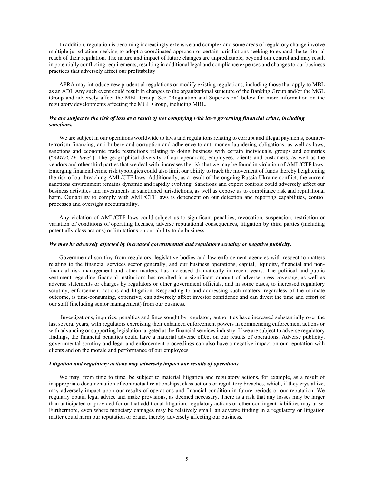In addition, regulation is becoming increasingly extensive and complex and some areas of regulatory change involve multiple jurisdictions seeking to adopt a coordinated approach or certain jurisdictions seeking to expand the territorial reach of their regulation. The nature and impact of future changes are unpredictable, beyond our control and may result in potentially conflicting requirements, resulting in additional legal and compliance expenses and changes to our business practices that adversely affect our profitability.

APRA may introduce new prudential regulations or modify existing regulations, including those that apply to MBL as an ADI. Any such event could result in changes to the organizational structure of the Banking Group and/or the MGL Group and adversely affect the MBL Group. See "Regulation and Supervision" below for more information on the regulatory developments affecting the MGL Group, including MBL.

## *We are subject to the risk of loss as a result of not complying with laws governing financial crime, including sanctions.*

We are subject in our operations worldwide to laws and regulations relating to corrupt and illegal payments, counterterrorism financing, anti-bribery and corruption and adherence to anti-money laundering obligations, as well as laws, sanctions and economic trade restrictions relating to doing business with certain individuals, groups and countries ("*AML/CTF laws*"). The geographical diversity of our operations, employees, clients and customers, as well as the vendors and other third parties that we deal with, increases the risk that we may be found in violation of AML/CTF laws. Emerging financial crime risk typologies could also limit our ability to track the movement of funds thereby heightening the risk of our breaching AML/CTF laws. Additionally, as a result of the ongoing Russia-Ukraine conflict, the current sanctions environment remains dynamic and rapidly evolving. Sanctions and export controls could adversely affect our business activities and investments in sanctioned jurisdictions, as well as expose us to compliance risk and reputational harm. Our ability to comply with AML/CTF laws is dependent on our detection and reporting capabilities, control processes and oversight accountability.

Any violation of AML/CTF laws could subject us to significant penalties, revocation, suspension, restriction or variation of conditions of operating licenses, adverse reputational consequences, litigation by third parties (including potentially class actions) or limitations on our ability to do business.

## *We may be adversely affected by increased governmental and regulatory scrutiny or negative publicity.*

Governmental scrutiny from regulators, legislative bodies and law enforcement agencies with respect to matters relating to the financial services sector generally, and our business operations, capital, liquidity, financial and nonfinancial risk management and other matters, has increased dramatically in recent years. The political and public sentiment regarding financial institutions has resulted in a significant amount of adverse press coverage, as well as adverse statements or charges by regulators or other government officials, and in some cases, to increased regulatory scrutiny, enforcement actions and litigation. Responding to and addressing such matters, regardless of the ultimate outcome, is time-consuming, expensive, can adversely affect investor confidence and can divert the time and effort of our staff (including senior management) from our business.

 Investigations, inquiries, penalties and fines sought by regulatory authorities have increased substantially over the last several years, with regulators exercising their enhanced enforcement powers in commencing enforcement actions or with advancing or supporting legislation targeted at the financial services industry. If we are subject to adverse regulatory findings, the financial penalties could have a material adverse effect on our results of operations. Adverse publicity, governmental scrutiny and legal and enforcement proceedings can also have a negative impact on our reputation with clients and on the morale and performance of our employees.

#### *Litigation and regulatory actions may adversely impact our results of operations.*

We may, from time to time, be subject to material litigation and regulatory actions, for example, as a result of inappropriate documentation of contractual relationships, class actions or regulatory breaches, which, if they crystallize, may adversely impact upon our results of operations and financial condition in future periods or our reputation. We regularly obtain legal advice and make provisions, as deemed necessary. There is a risk that any losses may be larger than anticipated or provided for or that additional litigation, regulatory actions or other contingent liabilities may arise. Furthermore, even where monetary damages may be relatively small, an adverse finding in a regulatory or litigation matter could harm our reputation or brand, thereby adversely affecting our business.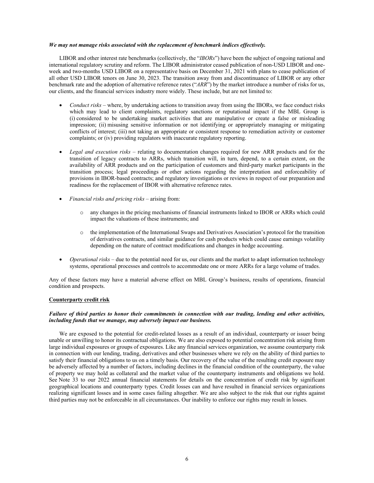#### *We may not manage risks associated with the replacement of benchmark indices effectively.*

LIBOR and other interest rate benchmarks (collectively, the "*IBORs*") have been the subject of ongoing national and international regulatory scrutiny and reform. The LIBOR administrator ceased publication of non-USD LIBOR and oneweek and two-months USD LIBOR on a representative basis on December 31, 2021 with plans to cease publication of all other USD LIBOR tenors on June 30, 2023. The transition away from and discontinuance of LIBOR or any other benchmark rate and the adoption of alternative reference rates ("*ARR*") by the market introduce a number of risks for us, our clients, and the financial services industry more widely. These include, but are not limited to:

- *Conduct risks* where, by undertaking actions to transition away from using the IBORs, we face conduct risks which may lead to client complaints, regulatory sanctions or reputational impact if the MBL Group is (i) considered to be undertaking market activities that are manipulative or create a false or misleading impression; (ii) misusing sensitive information or not identifying or appropriately managing or mitigating conflicts of interest; (iii) not taking an appropriate or consistent response to remediation activity or customer complaints; or (iv) providing regulators with inaccurate regulatory reporting.
- *Legal and execution risks* relating to documentation changes required for new ARR products and for the transition of legacy contracts to ARRs, which transition will, in turn, depend, to a certain extent, on the availability of ARR products and on the participation of customers and third-party market participants in the transition process; legal proceedings or other actions regarding the interpretation and enforceability of provisions in IBOR-based contracts; and regulatory investigations or reviews in respect of our preparation and readiness for the replacement of IBOR with alternative reference rates.
- *Financial risks and pricing risks* arising from:
	- o any changes in the pricing mechanisms of financial instruments linked to IBOR or ARRs which could impact the valuations of these instruments; and
	- o the implementation of the International Swaps and Derivatives Association's protocol for the transition of derivatives contracts, and similar guidance for cash products which could cause earnings volatility depending on the nature of contract modifications and changes in hedge accounting.
- *Operational risks* due to the potential need for us, our clients and the market to adapt information technology systems, operational processes and controls to accommodate one or more ARRs for a large volume of trades.

Any of these factors may have a material adverse effect on MBL Group's business, results of operations, financial condition and prospects.

## **Counterparty credit risk**

## *Failure of third parties to honor their commitments in connection with our trading, lending and other activities, including funds that we manage, may adversely impact our business.*

We are exposed to the potential for credit-related losses as a result of an individual, counterparty or issuer being unable or unwilling to honor its contractual obligations. We are also exposed to potential concentration risk arising from large individual exposures or groups of exposures. Like any financial services organization, we assume counterparty risk in connection with our lending, trading, derivatives and other businesses where we rely on the ability of third parties to satisfy their financial obligations to us on a timely basis. Our recovery of the value of the resulting credit exposure may be adversely affected by a number of factors, including declines in the financial condition of the counterparty, the value of property we may hold as collateral and the market value of the counterparty instruments and obligations we hold. See Note 33 to our 2022 annual financial statements for details on the concentration of credit risk by significant geographical locations and counterparty types. Credit losses can and have resulted in financial services organizations realizing significant losses and in some cases failing altogether. We are also subject to the risk that our rights against third parties may not be enforceable in all circumstances. Our inability to enforce our rights may result in losses.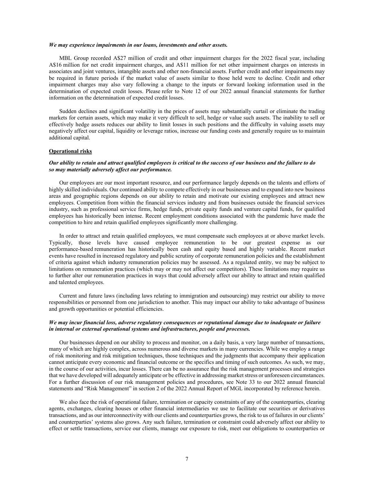#### *We may experience impairments in our loans, investments and other assets.*

MBL Group recorded A\$27 million of credit and other impairment charges for the 2022 fiscal year, including A\$16 million for net credit impairment charges, and A\$11 million for net other impairment charges on interests in associates and joint ventures, intangible assets and other non-financial assets. Further credit and other impairments may be required in future periods if the market value of assets similar to those held were to decline. Credit and other impairment charges may also vary following a change to the inputs or forward looking information used in the determination of expected credit losses. Please refer to Note 12 of our 2022 annual financial statements for further information on the determination of expected credit losses.

Sudden declines and significant volatility in the prices of assets may substantially curtail or eliminate the trading markets for certain assets, which may make it very difficult to sell, hedge or value such assets. The inability to sell or effectively hedge assets reduces our ability to limit losses in such positions and the difficulty in valuing assets may negatively affect our capital, liquidity or leverage ratios, increase our funding costs and generally require us to maintain additional capital.

## **Operational risks**

## *Our ability to retain and attract qualified employees is critical to the success of our business and the failure to do so may materially adversely affect our performance.*

Our employees are our most important resource, and our performance largely depends on the talents and efforts of highly skilled individuals. Our continued ability to compete effectively in our businesses and to expand into new business areas and geographic regions depends on our ability to retain and motivate our existing employees and attract new employees. Competition from within the financial services industry and from businesses outside the financial services industry, such as professional service firms, hedge funds, private equity funds and venture capital funds, for qualified employees has historically been intense. Recent employment conditions associated with the pandemic have made the competition to hire and retain qualified employees significantly more challenging.

In order to attract and retain qualified employees, we must compensate such employees at or above market levels. Typically, those levels have caused employee remuneration to be our greatest expense as our performance-based remuneration has historically been cash and equity based and highly variable. Recent market events have resulted in increased regulatory and public scrutiny of corporate remuneration policies and the establishment of criteria against which industry remuneration policies may be assessed. As a regulated entity, we may be subject to limitations on remuneration practices (which may or may not affect our competitors). These limitations may require us to further alter our remuneration practices in ways that could adversely affect our ability to attract and retain qualified and talented employees.

Current and future laws (including laws relating to immigration and outsourcing) may restrict our ability to move responsibilities or personnel from one jurisdiction to another. This may impact our ability to take advantage of business and growth opportunities or potential efficiencies.

## *We may incur financial loss, adverse regulatory consequences or reputational damage due to inadequate or failure in internal or external operational systems and infrastructures, people and processes.*

Our businesses depend on our ability to process and monitor, on a daily basis, a very large number of transactions, many of which are highly complex, across numerous and diverse markets in many currencies. While we employ a range of risk monitoring and risk mitigation techniques, those techniques and the judgments that accompany their application cannot anticipate every economic and financial outcome or the specifics and timing of such outcomes. As such, we may, in the course of our activities, incur losses. There can be no assurance that the risk management processes and strategies that we have developed will adequately anticipate or be effective in addressing market stress or unforeseen circumstances. For a further discussion of our risk management policies and procedures, see Note 33 to our 2022 annual financial statements and "Risk Management" in section 2 of the 2022 Annual Report of MGL incorporated by reference herein.

We also face the risk of operational failure, termination or capacity constraints of any of the counterparties, clearing agents, exchanges, clearing houses or other financial intermediaries we use to facilitate our securities or derivatives transactions, and as our interconnectivity with our clients and counterparties grows, the risk to us of failures in our clients' and counterparties' systems also grows. Any such failure, termination or constraint could adversely affect our ability to effect or settle transactions, service our clients, manage our exposure to risk, meet our obligations to counterparties or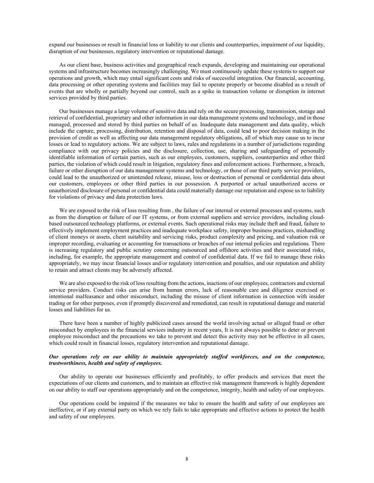expand our businesses or result in financial loss or liability to our clients and counterparties, impairment of our liquidity, disruption of our businesses, regulatory intervention or reputational damage.

As our client base, business activities and geographical reach expands, developing and maintaining our operational systems and infrastructure becomes increasingly challenging. We must continuously update these systems to support our operations and growth, which may entail significant costs and risks of successful integration. Our financial, accounting, data processing or other operating systems and facilities may fail to operate properly or become disabled as a result of events that are wholly or partially beyond our control, such as a spike in transaction volume or disruption in internet services provided by third parties.

Our businesses manage a large volume of sensitive data and rely on the secure processing, transmission, storage and retrieval of confidential, proprietary and other information in our data management systems and technology, and in those managed, processed and stored by third parties on behalf of us. Inadequate data management and data quality, which include the capture, processing, distribution, retention and disposal of data, could lead to poor decision making in the provision of credit as well as affecting our data management regulatory obligations, all of which may cause us to incur losses or lead to regulatory actions. We are subject to laws, rules and regulations in a number of jurisdictions regarding compliance with our privacy policies and the disclosure, collection, use, sharing and safeguarding of personally identifiable information of certain parties, such as our employees, customers, suppliers, counterparties and other third parties, the violation of which could result in litigation, regulatory fines and enforcement actions. Furthermore, a breach, failure or other disruption of our data management systems and technology, or those of our third party service providers, could lead to the unauthorized or unintended release, misuse, loss or destruction of personal or confidential data about our customers, employees or other third parties in our possession. A purported or actual unauthorized access or unauthorized disclosure of personal or confidential data could materially damage our reputation and expose us to liability for violations of privacy and data protection laws.

We are exposed to the risk of loss resulting from, the failure of our internal or external processes and systems, such as from the disruption or failure of our IT systems, or from external suppliers and service providers, including cloudbased outsourced technology platforms, or external events. Such operational risks may include theft and fraud, failure to effectively implement employment practices and inadequate workplace safety, improper business practices, mishandling of client moneys or assets, client suitability and servicing risks, product complexity and pricing, and valuation risk or improper recording, evaluating or accounting for transactions or breaches of our internal policies and regulations. There is increasing regulatory and public scrutiny concerning outsourced and offshore activities and their associated risks, including, for example, the appropriate management and control of confidential data. If we fail to manage these risks appropriately, we may incur financial losses and/or regulatory intervention and penalties, and our reputation and ability to retain and attract clients may be adversely affected.

We are also exposed to the risk of loss resulting from the actions, inactions of our employees, contractors and external service providers. Conduct risks can arise from human errors, lack of reasonable care and diligence exercised or intentional malfeasance and other misconduct, including the misuse of client information in connection with insider trading or for other purposes, even if promptly discovered and remediated, can result in reputational damage and material losses and liabilities for us.

There have been a number of highly publicized cases around the world involving actual or alleged fraud or other misconduct by employees in the financial services industry in recent years, It is not always possible to deter or prevent employee misconduct and the precautions we take to prevent and detect this activity may not be effective in all cases, which could result in financial losses, regulatory intervention and reputational damage.

## *Our operations rely on our ability to maintain appropriately staffed workforces, and on the competence, trustworthiness, health and safety of employees.*

Our ability to operate our businesses efficiently and profitably, to offer products and services that meet the expectations of our clients and customers, and to maintain an effective risk management framework is highly dependent on our ability to staff our operations appropriately and on the competence, integrity, health and safety of our employees.

Our operations could be impaired if the measures we take to ensure the health and safety of our employees are ineffective, or if any external party on which we rely fails to take appropriate and effective actions to protect the health and safety of our employees.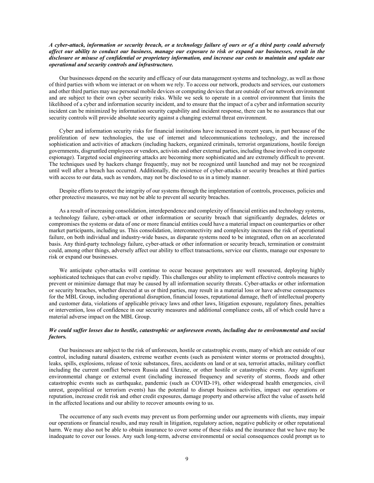## *A cyber-attack, information or security breach, or a technology failure of ours or of a third party could adversely affect our ability to conduct our business, manage our exposure to risk or expand our businesses, result in the disclosure or misuse of confidential or proprietary information, and increase our costs to maintain and update our operational and security controls and infrastructure.*

Our businesses depend on the security and efficacy of our data management systems and technology, as well as those of third parties with whom we interact or on whom we rely. To access our network, products and services, our customers and other third parties may use personal mobile devices or computing devices that are outside of our network environment and are subject to their own cyber security risks. While we seek to operate in a control environment that limits the likelihood of a cyber and information security incident, and to ensure that the impact of a cyber and information security incident can be minimized by information security capability and incident response, there can be no assurances that our security controls will provide absolute security against a changing external threat environment.

Cyber and information security risks for financial institutions have increased in recent years, in part because of the proliferation of new technologies, the use of internet and telecommunications technology, and the increased sophistication and activities of attackers (including hackers, organized criminals, terrorist organizations, hostile foreign governments, disgruntled employees or vendors, activists and other external parties, including those involved in corporate espionage). Targeted social engineering attacks are becoming more sophisticated and are extremely difficult to prevent. The techniques used by hackers change frequently, may not be recognized until launched and may not be recognized until well after a breach has occurred. Additionally, the existence of cyber-attacks or security breaches at third parties with access to our data, such as vendors, may not be disclosed to us in a timely manner.

Despite efforts to protect the integrity of our systems through the implementation of controls, processes, policies and other protective measures, we may not be able to prevent all security breaches.

As a result of increasing consolidation, interdependence and complexity of financial entities and technology systems, a technology failure, cyber-attack or other information or security breach that significantly degrades, deletes or compromises the systems or data of one or more financial entities could have a material impact on counterparties or other market participants, including us. This consolidation, interconnectivity and complexity increases the risk of operational failure, on both individual and industry-wide bases, as disparate systems need to be integrated, often on an accelerated basis. Any third-party technology failure, cyber-attack or other information or security breach, termination or constraint could, among other things, adversely affect our ability to effect transactions, service our clients, manage our exposure to risk or expand our businesses.

We anticipate cyber-attacks will continue to occur because perpetrators are well resourced, deploying highly sophisticated techniques that can evolve rapidly. This challenges our ability to implement effective controls measures to prevent or minimize damage that may be caused by all information security threats. Cyber-attacks or other information or security breaches, whether directed at us or third parties, may result in a material loss or have adverse consequences for the MBL Group, including operational disruption, financial losses, reputational damage, theft of intellectual property and customer data, violations of applicable privacy laws and other laws, litigation exposure, regulatory fines, penalties or intervention, loss of confidence in our security measures and additional compliance costs, all of which could have a material adverse impact on the MBL Group.

## *We could suffer losses due to hostile, catastrophic or unforeseen events, including due to environmental and social factors.*

Our businesses are subject to the risk of unforeseen, hostile or catastrophic events, many of which are outside of our control, including natural disasters, extreme weather events (such as persistent winter storms or protracted droughts), leaks, spills, explosions, release of toxic substances, fires, accidents on land or at sea, terrorist attacks, military conflict including the current conflict between Russia and Ukraine, or other hostile or catastrophic events. Any significant environmental change or external event (including increased frequency and severity of storms, floods and other catastrophic events such as earthquake, pandemic (such as COVID-19), other widespread health emergencies, civil unrest, geopolitical or terrorism events) has the potential to disrupt business activities, impact our operations or reputation, increase credit risk and other credit exposures, damage property and otherwise affect the value of assets held in the affected locations and our ability to recover amounts owing to us.

The occurrence of any such events may prevent us from performing under our agreements with clients, may impair our operations or financial results, and may result in litigation, regulatory action, negative publicity or other reputational harm. We may also not be able to obtain insurance to cover some of these risks and the insurance that we have may be inadequate to cover our losses. Any such long-term, adverse environmental or social consequences could prompt us to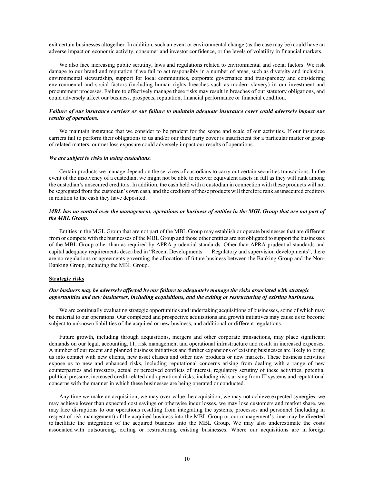exit certain businesses altogether. In addition, such an event or environmental change (as the case may be) could have an adverse impact on economic activity, consumer and investor confidence, or the levels of volatility in financial markets.

We also face increasing public scrutiny, laws and regulations related to environmental and social factors. We risk damage to our brand and reputation if we fail to act responsibly in a number of areas, such as diversity and inclusion, environmental stewardship, support for local communities, corporate governance and transparency and considering environmental and social factors (including human rights breaches such as modern slavery) in our investment and procurement processes. Failure to effectively manage these risks may result in breaches of our statutory obligations, and could adversely affect our business, prospects, reputation, financial performance or financial condition.

#### *Failure of our insurance carriers or our failure to maintain adequate insurance cover could adversely impact our results of operations.*

We maintain insurance that we consider to be prudent for the scope and scale of our activities. If our insurance carriers fail to perform their obligations to us and/or our third party cover is insufficient for a particular matter or group of related matters, our net loss exposure could adversely impact our results of operations.

## *We are subject to risks in using custodians.*

Certain products we manage depend on the services of custodians to carry out certain securities transactions. In the event of the insolvency of a custodian, we might not be able to recover equivalent assets in full as they will rank among the custodian's unsecured creditors. In addition, the cash held with a custodian in connection with these products will not be segregated from the custodian's own cash, and the creditors of these products will therefore rank as unsecured creditors in relation to the cash they have deposited.

## *MBL has no control over the management, operations or business of entities in the MGL Group that are not part of the MBL Group.*

Entities in the MGL Group that are not part of the MBL Group may establish or operate businesses that are different from or compete with the businesses of the MBL Group and those other entities are not obligated to support the businesses of the MBL Group other than as required by APRA prudential standards. Other than APRA prudential standards and capital adequacy requirements described in "Recent Developments — Regulatory and supervision developments", there are no regulations or agreements governing the allocation of future business between the Banking Group and the Non-Banking Group, including the MBL Group.

## **Strategic risks**

## *Our business may be adversely affected by our failure to adequately manage the risks associated with strategic opportunities and new businesses, including acquisitions, and the exiting or restructuring of existing businesses.*

We are continually evaluating strategic opportunities and undertaking acquisitions of businesses, some of which may be material to our operations. Our completed and prospective acquisitions and growth initiatives may cause us to become subject to unknown liabilities of the acquired or new business, and additional or different regulations.

Future growth, including through acquisitions, mergers and other corporate transactions, may place significant demands on our legal, accounting, IT, risk management and operational infrastructure and result in increased expenses. A number of our recent and planned business initiatives and further expansions of existing businesses are likely to bring us into contact with new clients, new asset classes and other new products or new markets. These business activities expose us to new and enhanced risks, including reputational concerns arising from dealing with a range of new counterparties and investors, actual or perceived conflicts of interest, regulatory scrutiny of these activities, potential political pressure, increased credit-related and operational risks, including risks arising from IT systems and reputational concerns with the manner in which these businesses are being operated or conducted.

Any time we make an acquisition, we may over-value the acquisition, we may not achieve expected synergies, we may achieve lower than expected cost savings or otherwise incur losses, we may lose customers and market share, we may face disruptions to our operations resulting from integrating the systems, processes and personnel (including in respect of risk management) of the acquired business into the MBL Group or our management's time may be diverted to facilitate the integration of the acquired business into the MBL Group. We may also underestimate the costs associated with outsourcing, exiting or restructuring existing businesses. Where our acquisitions are in foreign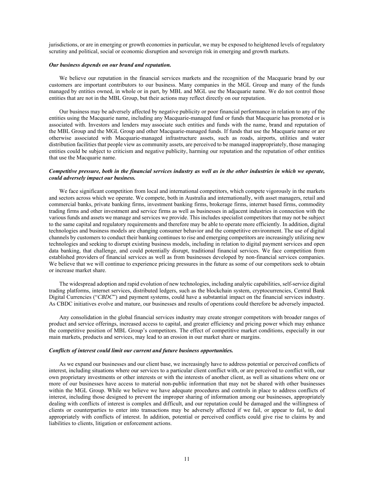jurisdictions, or are in emerging or growth economies in particular, we may be exposed to heightened levels of regulatory scrutiny and political, social or economic disruption and sovereign risk in emerging and growth markets.

#### *Our business depends on our brand and reputation.*

We believe our reputation in the financial services markets and the recognition of the Macquarie brand by our customers are important contributors to our business. Many companies in the MGL Group and many of the funds managed by entities owned, in whole or in part, by MBL and MGL use the Macquarie name. We do not control those entities that are not in the MBL Group, but their actions may reflect directly on our reputation.

Our business may be adversely affected by negative publicity or poor financial performance in relation to any of the entities using the Macquarie name, including any Macquarie-managed fund or funds that Macquarie has promoted or is associated with. Investors and lenders may associate such entities and funds with the name, brand and reputation of the MBL Group and the MGL Group and other Macquarie-managed funds. If funds that use the Macquarie name or are otherwise associated with Macquarie-managed infrastructure assets, such as roads, airports, utilities and water distribution facilities that people view as community assets, are perceived to be managed inappropriately, those managing entities could be subject to criticism and negative publicity, harming our reputation and the reputation of other entities that use the Macquarie name.

#### *Competitive pressure, both in the financial services industry as well as in the other industries in which we operate, could adversely impact our business.*

We face significant competition from local and international competitors, which compete vigorously in the markets and sectors across which we operate. We compete, both in Australia and internationally, with asset managers, retail and commercial banks, private banking firms, investment banking firms, brokerage firms, internet based firms, commodity trading firms and other investment and service firms as well as businesses in adjacent industries in connection with the various funds and assets we manage and services we provide. This includes specialist competitors that may not be subject to the same capital and regulatory requirements and therefore may be able to operate more efficiently. In addition, digital technologies and business models are changing consumer behavior and the competitive environment. The use of digital channels by customers to conduct their banking continues to rise and emerging competitors are increasingly utilizing new technologies and seeking to disrupt existing business models, including in relation to digital payment services and open data banking, that challenge, and could potentially disrupt, traditional financial services. We face competition from established providers of financial services as well as from businesses developed by non-financial services companies. We believe that we will continue to experience pricing pressures in the future as some of our competitors seek to obtain or increase market share.

The widespread adoption and rapid evolution of new technologies, including analytic capabilities, self-service digital trading platforms, internet services, distributed ledgers, such as the blockchain system, cryptocurrencies, Central Bank Digital Currencies ("*CBDC*") and payment systems, could have a substantial impact on the financial services industry. As CBDC initiatives evolve and mature, our businesses and results of operations could therefore be adversely impacted.

Any consolidation in the global financial services industry may create stronger competitors with broader ranges of product and service offerings, increased access to capital, and greater efficiency and pricing power which may enhance the competitive position of MBL Group's competitors. The effect of competitive market conditions, especially in our main markets, products and services, may lead to an erosion in our market share or margins.

#### *Conflicts of interest could limit our current and future business opportunities.*

As we expand our businesses and our client base, we increasingly have to address potential or perceived conflicts of interest, including situations where our services to a particular client conflict with, or are perceived to conflict with, our own proprietary investments or other interests or with the interests of another client, as well as situations where one or more of our businesses have access to material non-public information that may not be shared with other businesses within the MGL Group. While we believe we have adequate procedures and controls in place to address conflicts of interest, including those designed to prevent the improper sharing of information among our businesses, appropriately dealing with conflicts of interest is complex and difficult, and our reputation could be damaged and the willingness of clients or counterparties to enter into transactions may be adversely affected if we fail, or appear to fail, to deal appropriately with conflicts of interest. In addition, potential or perceived conflicts could give rise to claims by and liabilities to clients, litigation or enforcement actions.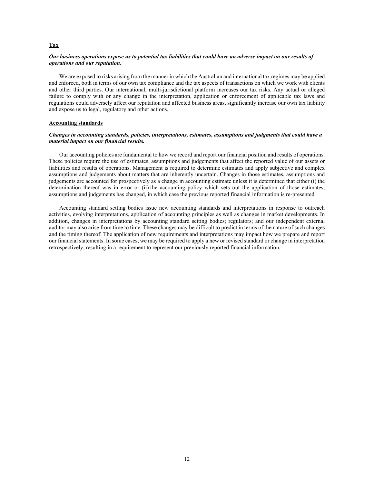## *Our business operations expose us to potential tax liabilities that could have an adverse impact on our results of operations and our reputation.*

We are exposed to risks arising from the manner in which the Australian and international tax regimes may be applied and enforced, both in terms of our own tax compliance and the tax aspects of transactions on which we work with clients and other third parties. Our international, multi-jurisdictional platform increases our tax risks. Any actual or alleged failure to comply with or any change in the interpretation, application or enforcement of applicable tax laws and regulations could adversely affect our reputation and affected business areas, significantly increase our own tax liability and expose us to legal, regulatory and other actions.

## **Accounting standards**

#### *Changes in accounting standards, policies, interpretations, estimates, assumptions and judgments that could have a material impact on our financial results.*

Our accounting policies are fundamental to how we record and report our financial position and results of operations. These policies require the use of estimates, assumptions and judgements that affect the reported value of our assets or liabilities and results of operations. Management is required to determine estimates and apply subjective and complex assumptions and judgements about matters that are inherently uncertain. Changes in those estimates, assumptions and judgements are accounted for prospectively as a change in accounting estimate unless it is determined that either (i) the determination thereof was in error or (ii) the accounting policy which sets out the application of those estimates, assumptions and judgements has changed, in which case the previous reported financial information is re-presented.

Accounting standard setting bodies issue new accounting standards and interpretations in response to outreach activities, evolving interpretations, application of accounting principles as well as changes in market developments. In addition, changes in interpretations by accounting standard setting bodies; regulators; and our independent external auditor may also arise from time to time. These changes may be difficult to predict in terms of the nature of such changes and the timing thereof. The application of new requirements and interpretations may impact how we prepare and report our financial statements. In some cases, we may be required to apply a new or revised standard or change in interpretation retrospectively, resulting in a requirement to represent our previously reported financial information.

## **Tax**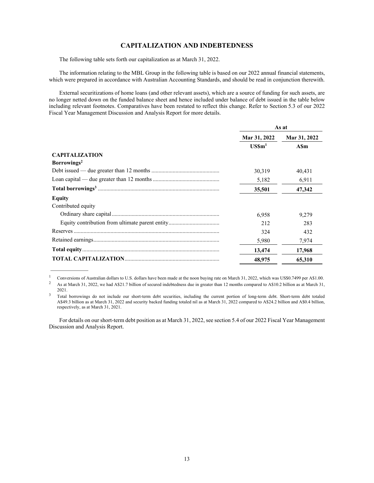## **CAPITALIZATION AND INDEBTEDNESS**

The following table sets forth our capitalization as at March 31, 2022.

 $\mathcal{L}_\text{max}$ 

The information relating to the MBL Group in the following table is based on our 2022 annual financial statements, which were prepared in accordance with Australian Accounting Standards, and should be read in conjunction therewith.

External securitizations of home loans (and other relevant assets), which are a source of funding for such assets, are no longer netted down on the funded balance sheet and hence included under balance of debt issued in the table below including relevant footnotes. Comparatives have been restated to reflect this change. Refer to Section 5.3 of our 2022 Fiscal Year Management Discussion and Analysis Report for more details.

|                         | As at        |              |  |
|-------------------------|--------------|--------------|--|
|                         | Mar 31, 2022 | Mar 31, 2022 |  |
|                         | $USSm1$      | <b>ASm</b>   |  |
| <b>CAPITALIZATION</b>   |              |              |  |
| Borrowings <sup>2</sup> |              |              |  |
|                         | 30,319       | 40,431       |  |
|                         | 5,182        | 6.911        |  |
|                         | 35,501       | 47,342       |  |
| Equity                  |              |              |  |
| Contributed equity      |              |              |  |
|                         | 6.958        | 9,279        |  |
|                         | 2.12         | 283          |  |
|                         | 324          | 432          |  |
|                         | 5,980        | 7,974        |  |
|                         | 13,474       | 17,968       |  |
|                         | 48,975       | 65,310       |  |

<sup>&</sup>lt;sup>1</sup> Conversions of Australian dollars to U.S. dollars have been made at the noon buying rate on March 31, 2022, which was US\$0.7499 per A\$1.00. <sup>2</sup> As at March 31, 2022, which was US\$0.7499 per A\$1.00. As at March 31, 2022, we had A\$21.7 billion of secured indebtedness due in greater than 12 months compared to A\$10.2 billion as at March 31,

2021.<br><sup>3</sup> Total borrowings do not include our short-term debt securities, including the current portion of long-term debt. Short-term debt totaled A\$49.3 billion as at March 31, 2022 and security backed funding totaled nil as at March 31, 2022 compared to A\$24.2 billion and A\$0.4 billion, respectively, as at March 31, 2021.

For details on our short-term debt position as at March 31, 2022, see section 5.4 of our 2022 Fiscal Year Management Discussion and Analysis Report.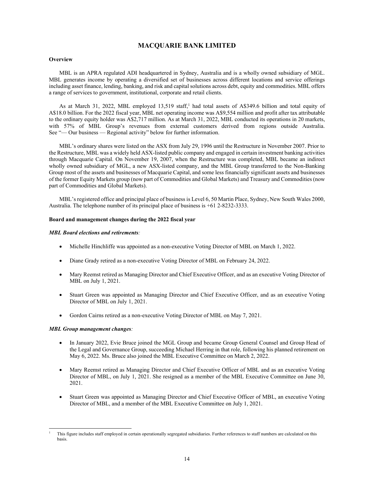# **MACQUARIE BANK LIMITED**

## **Overview**

MBL is an APRA regulated ADI headquartered in Sydney, Australia and is a wholly owned subsidiary of MGL. MBL generates income by operating a diversified set of businesses across different locations and service offerings including asset finance, lending, banking, and risk and capital solutions across debt, equity and commodities. MBL offers a range of services to government, institutional, corporate and retail clients.

As at March 31, 2022, MBL employed  $13,519$  staff,<sup>1</sup> had total assets of A\$349.6 billion and total equity of A\$18.0 billion. For the 2022 fiscal year, MBL net operating income was A\$9,554 million and profit after tax attributable to the ordinary equity holder was A\$2,717 million. As at March 31, 2022, MBL conducted its operations in 20 markets, with 57% of MBL Group's revenues from external customers derived from regions outside Australia. See "— Our business — Regional activity" below for further information.

MBL's ordinary shares were listed on the ASX from July 29, 1996 until the Restructure in November 2007. Prior to the Restructure, MBL was a widely held ASX-listed public company and engaged in certain investment banking activities through Macquarie Capital. On November 19, 2007, when the Restructure was completed, MBL became an indirect wholly owned subsidiary of MGL, a new ASX-listed company, and the MBL Group transferred to the Non-Banking Group most of the assets and businesses of Macquarie Capital, and some less financially significant assets and businesses of the former Equity Markets group (now part of Commodities and Global Markets) and Treasury and Commodities (now part of Commodities and Global Markets).

MBL's registered office and principal place of business is Level 6, 50 Martin Place, Sydney, New South Wales 2000, Australia. The telephone number of its principal place of business is +61 2-8232-3333.

## **Board and management changes during the 2022 fiscal year**

## *MBL Board elections and retirements:*

- Michelle Hinchliffe was appointed as a non-executive Voting Director of MBL on March 1, 2022.
- Diane Grady retired as a non-executive Voting Director of MBL on February 24, 2022.
- Mary Reemst retired as Managing Director and Chief Executive Officer, and as an executive Voting Director of MBL on July 1, 2021.
- Stuart Green was appointed as Managing Director and Chief Executive Officer, and as an executive Voting Director of MBL on July 1, 2021.
- Gordon Cairns retired as a non-executive Voting Director of MBL on May 7, 2021.

## *MBL Group management changes:*

- In January 2022, Evie Bruce joined the MGL Group and became Group General Counsel and Group Head of the Legal and Governance Group, succeeding Michael Herring in that role, following his planned retirement on May 6, 2022. Ms. Bruce also joined the MBL Executive Committee on March 2, 2022.
- Mary Reemst retired as Managing Director and Chief Executive Officer of MBL and as an executive Voting Director of MBL, on July 1, 2021. She resigned as a member of the MBL Executive Committee on June 30, 2021.
- Stuart Green was appointed as Managing Director and Chief Executive Officer of MBL, an executive Voting Director of MBL, and a member of the MBL Executive Committee on July 1, 2021.

l 1 This figure includes staff employed in certain operationally segregated subsidiaries. Further references to staff numbers are calculated on this basis.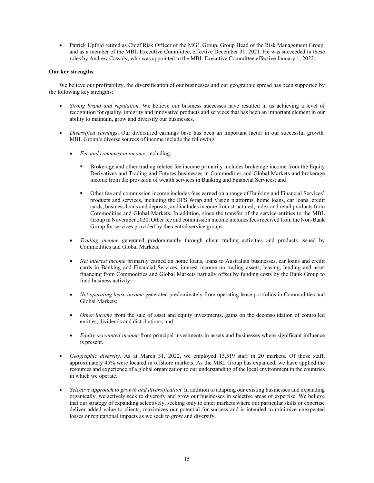Patrick Upfold retired as Chief Risk Officer of the MGL Group, Group Head of the Risk Management Group, and as a member of the MBL Executive Committee, effective December 31, 2021. He was succeeded in these roles by Andrew Cassidy, who was appointed to the MBL Executive Committee effective January 1, 2022.

## **Our key strengths**

We believe our profitability, the diversification of our businesses and our geographic spread has been supported by the following key strengths:

- *Strong brand and reputation*. We believe our business successes have resulted in us achieving a level of recognition for quality, integrity and innovative products and services that has been an important element in our ability to maintain, grow and diversify our businesses.
- *Diversified earnings*. Our diversified earnings base has been an important factor in our successful growth. MBL Group's diverse sources of income include the following:
	- *Fee and commission income*, including:
		- Brokerage and other trading related fee income primarily includes brokerage income from the Equity Derivatives and Trading and Futures businesses in Commodities and Global Markets and brokerage income from the provision of wealth services in Banking and Financial Services; and
		- Other fee and commission income includes fees earned on a range of Banking and Financial Services' products and services, including the BFS Wrap and Vision platforms, home loans, car loans, credit cards, business loans and deposits, and includes income from structured, index and retail products from Commodities and Global Markets. In addition, since the transfer of the service entities to the MBL Group in November 2020, Other fee and commission income includes fees received from the Non-Bank Group for services provided by the central service groups.
	- *Trading income* generated predominantly through client trading activities and products issued by Commodities and Global Markets;
	- *Net interest income* primarily earned on home loans, loans to Australian businesses, car loans and credit cards in Banking and Financial Services, interest income on trading assets, leasing, lending and asset financing from Commodities and Global Markets partially offset by funding costs by the Bank Group to fund business activity;
	- *Net operating lease income* generated predominately from operating lease portfolios in Commodities and Global Markets;
	- *Other income* from the sale of asset and equity investments, gains on the deconsolidation of controlled entities, dividends and distributions; and
	- *Equity accounted income* from principal investments in assets and businesses where significant influence is present.
- *Geographic diversity*. As at March 31, 2022, we employed 13,519 staff in 20 markets. Of those staff, approximately 45% were located in offshore markets. As the MBL Group has expanded, we have applied the resources and experience of a global organization to our understanding of the local environment in the countries in which we operate.
- *Selective approach to growth and diversification*. In addition to adapting our existing businesses and expanding organically, we actively seek to diversify and grow our businesses in selective areas of expertise. We believe that our strategy of expanding selectively, seeking only to enter markets where our particular skills or expertise deliver added value to clients, maximizes our potential for success and is intended to minimize unexpected losses or reputational impacts as we seek to grow and diversify.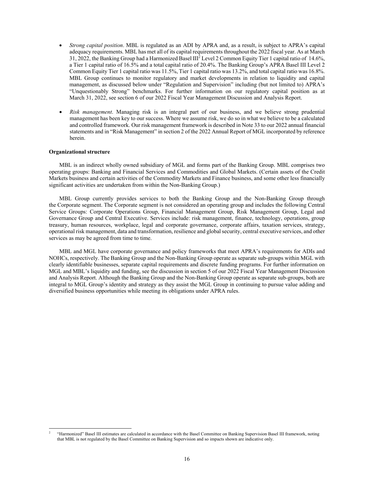- *Strong capital position*. MBL is regulated as an ADI by APRA and, as a result, is subject to APRA's capital adequacy requirements. MBL has met all of its capital requirements throughout the 2022 fiscal year. As at March 31, 2022, the Banking Group had a Harmonized Basel III2 Level 2 Common Equity Tier 1 capital ratio of 14.6%, a Tier 1 capital ratio of 16.5% and a total capital ratio of 20.4%. The Banking Group's APRA Basel III Level 2 Common Equity Tier 1 capital ratio was 11.5%, Tier 1 capital ratio was 13.2%, and total capital ratio was 16.8%. MBL Group continues to monitor regulatory and market developments in relation to liquidity and capital management, as discussed below under "Regulation and Supervision" including (but not limited to) APRA's "Unquestionably Strong" benchmarks. For further information on our regulatory capital position as at March 31, 2022, see section 6 of our 2022 Fiscal Year Management Discussion and Analysis Report.
- *Risk management*. Managing risk is an integral part of our business, and we believe strong prudential management has been key to our success. Where we assume risk, we do so in what we believe to be a calculated and controlled framework. Our risk management framework is described in Note 33 to our 2022 annual financial statements and in "Risk Management" in section 2 of the 2022 Annual Report of MGL incorporated by reference herein.

## **Organizational structure**

l

MBL is an indirect wholly owned subsidiary of MGL and forms part of the Banking Group. MBL comprises two operating groups: Banking and Financial Services and Commodities and Global Markets. (Certain assets of the Credit Markets business and certain activities of the Commodity Markets and Finance business, and some other less financially significant activities are undertaken from within the Non-Banking Group.)

MBL Group currently provides services to both the Banking Group and the Non-Banking Group through the Corporate segment. The Corporate segment is not considered an operating group and includes the following Central Service Groups: Corporate Operations Group, Financial Management Group, Risk Management Group, Legal and Governance Group and Central Executive. Services include: risk management, finance, technology, operations, group treasury, human resources, workplace, legal and corporate governance, corporate affairs, taxation services, strategy, operational risk management, data and transformation, resilience and global security, central executive services, and other services as may be agreed from time to time.

MBL and MGL have corporate governance and policy frameworks that meet APRA's requirements for ADIs and NOHCs, respectively. The Banking Group and the Non-Banking Group operate as separate sub-groups within MGL with clearly identifiable businesses, separate capital requirements and discrete funding programs. For further information on MGL and MBL's liquidity and funding, see the discussion in section 5 of our 2022 Fiscal Year Management Discussion and Analysis Report. Although the Banking Group and the Non-Banking Group operate as separate sub-groups, both are integral to MGL Group's identity and strategy as they assist the MGL Group in continuing to pursue value adding and diversified business opportunities while meeting its obligations under APRA rules.

<sup>2</sup> "Harmonized" Basel III estimates are calculated in accordance with the Basel Committee on Banking Supervision Basel III framework, noting that MBL is not regulated by the Basel Committee on Banking Supervision and so impacts shown are indicative only.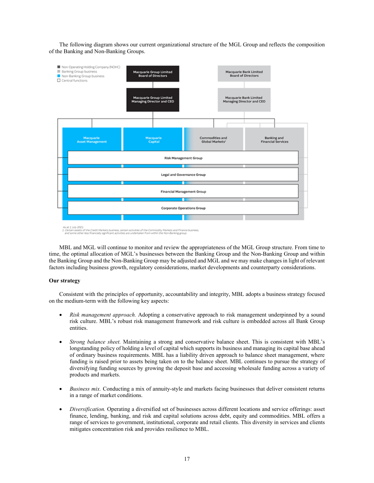The following diagram shows our current organizational structure of the MGL Group and reflects the composition of the Banking and Non-Banking Groups.



MBL and MGL will continue to monitor and review the appropriateness of the MGL Group structure. From time to time, the optimal allocation of MGL's businesses between the Banking Group and the Non-Banking Group and within the Banking Group and the Non-Banking Group may be adjusted and MGL and we may make changes in light of relevant factors including business growth, regulatory considerations, market developments and counterparty considerations.

## **Our strategy**

Consistent with the principles of opportunity, accountability and integrity, MBL adopts a business strategy focused on the medium-term with the following key aspects:

- *Risk management approach.* Adopting a conservative approach to risk management underpinned by a sound risk culture. MBL's robust risk management framework and risk culture is embedded across all Bank Group entities.
- *Strong balance sheet.* Maintaining a strong and conservative balance sheet. This is consistent with MBL's longstanding policy of holding a level of capital which supports its business and managing its capital base ahead of ordinary business requirements. MBL has a liability driven approach to balance sheet management, where funding is raised prior to assets being taken on to the balance sheet. MBL continues to pursue the strategy of diversifying funding sources by growing the deposit base and accessing wholesale funding across a variety of products and markets.
- *Business mix.* Conducting a mix of annuity-style and markets facing businesses that deliver consistent returns in a range of market conditions.
- *Diversification.* Operating a diversified set of businesses across different locations and service offerings: asset finance, lending, banking, and risk and capital solutions across debt, equity and commodities. MBL offers a range of services to government, institutional, corporate and retail clients. This diversity in services and clients mitigates concentration risk and provides resilience to MBL.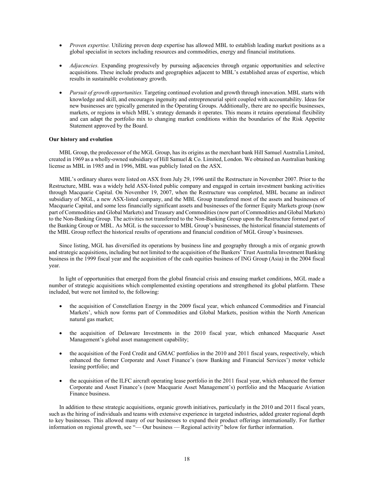- *Proven expertise.* Utilizing proven deep expertise has allowed MBL to establish leading market positions as a global specialist in sectors including resources and commodities, energy and financial institutions.
- *Adjacencies.* Expanding progressively by pursuing adjacencies through organic opportunities and selective acquisitions. These include products and geographies adjacent to MBL's established areas of expertise, which results in sustainable evolutionary growth.
- *Pursuit of growth opportunities.* Targeting continued evolution and growth through innovation. MBL starts with knowledge and skill, and encourages ingenuity and entrepreneurial spirit coupled with accountability. Ideas for new businesses are typically generated in the Operating Groups. Additionally, there are no specific businesses, markets, or regions in which MBL's strategy demands it operates. This means it retains operational flexibility and can adapt the portfolio mix to changing market conditions within the boundaries of the Risk Appetite Statement approved by the Board.

#### **Our history and evolution**

MBL Group, the predecessor of the MGL Group, has its origins as the merchant bank Hill Samuel Australia Limited, created in 1969 as a wholly-owned subsidiary of Hill Samuel & Co. Limited, London. We obtained an Australian banking license as MBL in 1985 and in 1996, MBL was publicly listed on the ASX.

MBL's ordinary shares were listed on ASX from July 29, 1996 until the Restructure in November 2007. Prior to the Restructure, MBL was a widely held ASX-listed public company and engaged in certain investment banking activities through Macquarie Capital. On November 19, 2007, when the Restructure was completed, MBL became an indirect subsidiary of MGL, a new ASX-listed company, and the MBL Group transferred most of the assets and businesses of Macquarie Capital, and some less financially significant assets and businesses of the former Equity Markets group (now part of Commodities and Global Markets) and Treasury and Commodities (now part of Commodities and Global Markets) to the Non-Banking Group. The activities not transferred to the Non-Banking Group upon the Restructure formed part of the Banking Group or MBL. As MGL is the successor to MBL Group's businesses, the historical financial statements of the MBL Group reflect the historical results of operations and financial condition of MGL Group's businesses.

Since listing, MGL has diversified its operations by business line and geography through a mix of organic growth and strategic acquisitions, including but not limited to the acquisition of the Bankers' Trust Australia Investment Banking business in the 1999 fiscal year and the acquisition of the cash equities business of ING Group (Asia) in the 2004 fiscal year.

In light of opportunities that emerged from the global financial crisis and ensuing market conditions, MGL made a number of strategic acquisitions which complemented existing operations and strengthened its global platform. These included, but were not limited to, the following:

- the acquisition of Constellation Energy in the 2009 fiscal year, which enhanced Commodities and Financial Markets', which now forms part of Commodities and Global Markets, position within the North American natural gas market;
- the acquisition of Delaware Investments in the 2010 fiscal year, which enhanced Macquarie Asset Management's global asset management capability;
- the acquisition of the Ford Credit and GMAC portfolios in the 2010 and 2011 fiscal years, respectively, which enhanced the former Corporate and Asset Finance's (now Banking and Financial Services') motor vehicle leasing portfolio; and
- the acquisition of the ILFC aircraft operating lease portfolio in the 2011 fiscal year, which enhanced the former Corporate and Asset Finance's (now Macquarie Asset Management's) portfolio and the Macquarie Aviation Finance business.

In addition to these strategic acquisitions, organic growth initiatives, particularly in the 2010 and 2011 fiscal years, such as the hiring of individuals and teams with extensive experience in targeted industries, added greater regional depth to key businesses. This allowed many of our businesses to expand their product offerings internationally. For further information on regional growth, see "— Our business — Regional activity" below for further information.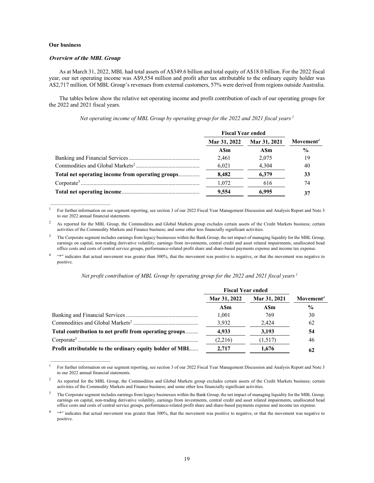## **Our business**

#### **Overview of the MBL Group**

 $\frac{1}{2}$  ,  $\frac{1}{2}$  ,  $\frac{1}{2}$  ,  $\frac{1}{2}$  ,  $\frac{1}{2}$  ,  $\frac{1}{2}$  ,  $\frac{1}{2}$  ,  $\frac{1}{2}$  ,  $\frac{1}{2}$  ,  $\frac{1}{2}$  ,  $\frac{1}{2}$  ,  $\frac{1}{2}$  ,  $\frac{1}{2}$  ,  $\frac{1}{2}$  ,  $\frac{1}{2}$  ,  $\frac{1}{2}$  ,  $\frac{1}{2}$  ,  $\frac{1}{2}$  ,  $\frac{1$ 

 $\mathcal{L}_\text{max}$ 

As at March 31, 2022, MBL had total assets of A\$349.6 billion and total equity of A\$18.0 billion. For the 2022 fiscal year, our net operating income was A\$9,554 million and profit after tax attributable to the ordinary equity holder was A\$2,717 million. Of MBL Group's revenues from external customers, 57% were derived from regions outside Australia.

The tables below show the relative net operating income and profit contribution of each of our operating groups for the 2022 and 2021 fiscal years.

*Net operating income of MBL Group by operating group for the 2022 and 2021 fiscal years 1*

|                                                  | <b>Fiscal Year ended</b> |              |                       |
|--------------------------------------------------|--------------------------|--------------|-----------------------|
|                                                  | Mar 31, 2022             | Mar 31, 2021 | Movement <sup>4</sup> |
|                                                  | ASm                      | ASm          | $\frac{0}{0}$         |
|                                                  | 2.461                    | 2.075        | 19                    |
|                                                  | 6,021                    | 4,304        | 40                    |
| Total net operating income from operating groups | 8.482                    | 6.379        | 33                    |
|                                                  | 1.072                    | 616          | 74                    |
|                                                  | 9.554                    | 6.995        | 37                    |

<sup>1</sup> For further information on our segment reporting, see section 3 of our 2022 Fiscal Year Management Discussion and Analysis Report and Note 3 to our 2022 annual financial statements.

3 The Corporate segment includes earnings from legacy businesses within the Bank Group, the net impact of managing liquidity for the MBL Group, earnings on capital, non-trading derivative volatility, earnings from investments, central credit and asset related impairments, unallocated head office costs and costs of central service groups, performance-related profit share and share-based payments expense and income tax expense.

4 \*\*\*" indicates that actual movement was greater than 300%, that the movement was positive to negative, or that the movement was negative to positive.

*Net profit contribution of MBL Group by operating group for the 2022 and 2021 fiscal years 1*

|                                                          | <b>Fiscal Year ended</b> |              |                       |
|----------------------------------------------------------|--------------------------|--------------|-----------------------|
|                                                          | Mar 31, 2022             | Mar 31, 2021 | Movement <sup>4</sup> |
|                                                          | ASm                      | ASm          | $\frac{0}{0}$         |
|                                                          | 1.001                    | 769          | 30                    |
|                                                          | 3.932                    | 2.424        | 62                    |
| Total contribution to net profit from operating groups   | 4,933                    | 3,193        | 54                    |
|                                                          | (2,216)                  | (1,517)      | 46                    |
| Profit attributable to the ordinary equity holder of MBL | 2.717                    | 1.676        | 62                    |

<sup>1</sup> For further information on our segment reporting, see section 3 of our 2022 Fiscal Year Management Discussion and Analysis Report and Note 3 to our 2022 annual financial statements.

<sup>2</sup> As reported for the MBL Group, the Commodities and Global Markets group excludes certain assets of the Credit Markets business; certain activities of the Commodity Markets and Finance business; and some other less financially significant activities.

<sup>2</sup> As reported for the MBL Group, the Commodities and Global Markets group excludes certain assets of the Credit Markets business; certain activities of the Commodity Markets and Finance business; and some other less financially significant activities.

<sup>3</sup> The Corporate segment includes earnings from legacy businesses within the Bank Group, the net impact of managing liquidity for the MBL Group, earnings on capital, non-trading derivative volatility, earnings from investments, central credit and asset related impairments, unallocated head office costs and costs of central service groups, performance-related profit share and share-based payments expense and income tax expense.

<sup>&</sup>lt;sup>4</sup> "\*" indicates that actual movement was greater than 300%, that the movement was positive to negative, or that the movement was negative to positive.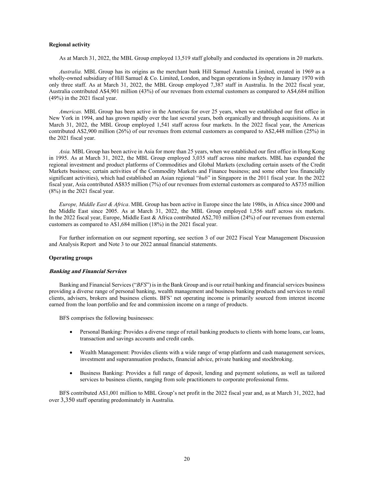#### **Regional activity**

As at March 31, 2022, the MBL Group employed 13,519 staff globally and conducted its operations in 20 markets.

*Australia.* MBL Group has its origins as the merchant bank Hill Samuel Australia Limited, created in 1969 as a wholly-owned subsidiary of Hill Samuel & Co. Limited, London, and began operations in Sydney in January 1970 with only three staff. As at March 31, 2022, the MBL Group employed 7,387 staff in Australia. In the 2022 fiscal year, Australia contributed A\$4,901 million (43%) of our revenues from external customers as compared to A\$4,684 million (49%) in the 2021 fiscal year.

*Americas.* MBL Group has been active in the Americas for over 25 years, when we established our first office in New York in 1994, and has grown rapidly over the last several years, both organically and through acquisitions. As at March 31, 2022, the MBL Group employed 1,541 staff across four markets. In the 2022 fiscal year, the Americas contributed A\$2,900 million (26%) of our revenues from external customers as compared to A\$2,448 million (25%) in the 2021 fiscal year.

*Asia.* MBL Group has been active in Asia for more than 25 years, when we established our first office in Hong Kong in 1995. As at March 31, 2022, the MBL Group employed 3,035 staff across nine markets. MBL has expanded the regional investment and product platforms of Commodities and Global Markets (excluding certain assets of the Credit Markets business; certain activities of the Commodity Markets and Finance business; and some other less financially significant activities), which had established an Asian regional "*hub*" in Singapore in the 2011 fiscal year. In the 2022 fiscal year, Asia contributed A\$835 million (7%) of our revenues from external customers as compared to A\$735 million (8%) in the 2021 fiscal year.

*Europe, Middle East & Africa*. MBL Group has been active in Europe since the late 1980s, in Africa since 2000 and the Middle East since 2005. As at March 31, 2022, the MBL Group employed 1,556 staff across six markets. In the 2022 fiscal year, Europe, Middle East & Africa contributed A\$2,703 million (24%) of our revenues from external customers as compared to A\$1,684 million (18%) in the 2021 fiscal year.

For further information on our segment reporting, see section 3 of our 2022 Fiscal Year Management Discussion and Analysis Report and Note 3 to our 2022 annual financial statements.

## **Operating groups**

#### **Banking and Financial Services**

Banking and Financial Services ("*BFS*") is in the Bank Group and is our retail banking and financial services business providing a diverse range of personal banking, wealth management and business banking products and services to retail clients, advisers, brokers and business clients. BFS' net operating income is primarily sourced from interest income earned from the loan portfolio and fee and commission income on a range of products.

BFS comprises the following businesses:

- Personal Banking: Provides a diverse range of retail banking products to clients with home loans, car loans, transaction and savings accounts and credit cards.
- Wealth Management: Provides clients with a wide range of wrap platform and cash management services, investment and superannuation products, financial advice, private banking and stockbroking.
- Business Banking: Provides a full range of deposit, lending and payment solutions, as well as tailored services to business clients, ranging from sole practitioners to corporate professional firms.

BFS contributed A\$1,001 million to MBL Group's net profit in the 2022 fiscal year and, as at March 31, 2022, had over 3,350 staff operating predominately in Australia.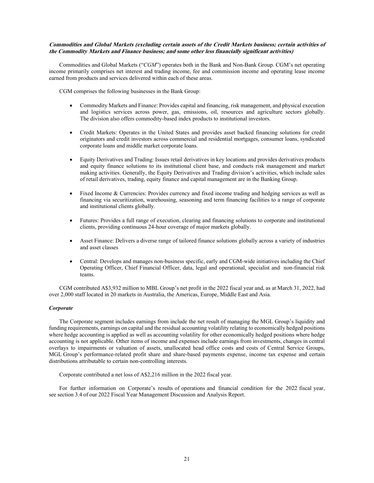## **Commodities and Global Markets (excluding certain assets of the Credit Markets business; certain activities of the Commodity Markets and Finance business; and some other less financially significant activities)**

Commodities and Global Markets ("*CGM*") operates both in the Bank and Non-Bank Group. CGM's net operating income primarily comprises net interest and trading income, fee and commission income and operating lease income earned from products and services delivered within each of these areas.

CGM comprises the following businesses in the Bank Group:

- Commodity Markets and Finance: Provides capital and financing, risk management, and physical execution and logistics services across power, gas, emissions, oil, resources and agriculture sectors globally. The division also offers commodity-based index products to institutional investors.
- Credit Markets: Operates in the United States and provides asset backed financing solutions for credit originators and credit investors across commercial and residential mortgages, consumer loans, syndicated corporate loans and middle market corporate loans.
- Equity Derivatives and Trading: Issues retail derivatives in key locations and provides derivatives products and equity finance solutions to its institutional client base, and conducts risk management and market making activities. Generally, the Equity Derivatives and Trading division's activities, which include sales of retail derivatives, trading, equity finance and capital management are in the Banking Group.
- Fixed Income & Currencies: Provides currency and fixed income trading and hedging services as well as financing via securitization, warehousing, seasoning and term financing facilities to a range of corporate and institutional clients globally.
- Futures: Provides a full range of execution, clearing and financing solutions to corporate and institutional clients, providing continuous 24-hour coverage of major markets globally.
- Asset Finance: Delivers a diverse range of tailored finance solutions globally across a variety of industries and asset classes
- Central: Develops and manages non-business specific, early and CGM-wide initiatives including the Chief Operating Officer, Chief Financial Officer, data, legal and operational, specialist and non-financial risk teams.

CGM contributed A\$3,932 million to MBL Group's net profit in the 2022 fiscal year and, as at March 31, 2022, had over 2,000 staff located in 20 markets in Australia, the Americas, Europe, Middle East and Asia.

## *Corporate*

The Corporate segment includes earnings from include the net result of managing the MGL Group's liquidity and funding requirements, earnings on capital and the residual accounting volatility relating to economically hedged positions where hedge accounting is applied as well as accounting volatility for other economically hedged positions where hedge accounting is not applicable. Other items of income and expenses include earnings from investments, changes in central overlays to impairments or valuation of assets, unallocated head office costs and costs of Central Service Groups, MGL Group's performance-related profit share and share-based payments expense, income tax expense and certain distributions attributable to certain non-controlling interests.

Corporate contributed a net loss of A\$2,216 million in the 2022 fiscal year.

For further information on Corporate's results of operations and financial condition for the 2022 fiscal year, see section 3.4 of our 2022 Fiscal Year Management Discussion and Analysis Report.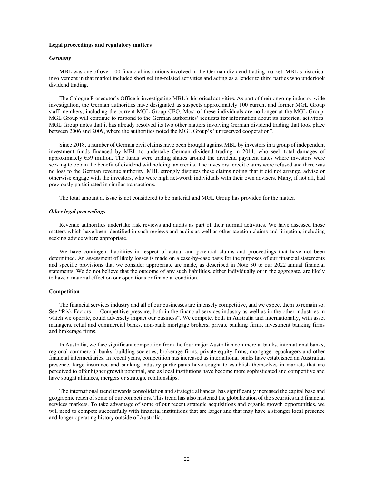#### **Legal proceedings and regulatory matters**

## *Germany*

MBL was one of over 100 financial institutions involved in the German dividend trading market. MBL's historical involvement in that market included short selling-related activities and acting as a lender to third parties who undertook dividend trading.

The Cologne Prosecutor's Office is investigating MBL's historical activities. As part of their ongoing industry-wide investigation, the German authorities have designated as suspects approximately 100 current and former MGL Group staff members, including the current MGL Group CEO. Most of these individuals are no longer at the MGL Group. MGL Group will continue to respond to the German authorities' requests for information about its historical activities. MGL Group notes that it has already resolved its two other matters involving German dividend trading that took place between 2006 and 2009, where the authorities noted the MGL Group's "unreserved cooperation".

Since 2018, a number of German civil claims have been brought against MBL by investors in a group of independent investment funds financed by MBL to undertake German dividend trading in 2011, who seek total damages of approximately €59 million. The funds were trading shares around the dividend payment dates where investors were seeking to obtain the benefit of dividend withholding tax credits. The investors' credit claims were refused and there was no loss to the German revenue authority. MBL strongly disputes these claims noting that it did not arrange, advise or otherwise engage with the investors, who were high net-worth individuals with their own advisers. Many, if not all, had previously participated in similar transactions.

The total amount at issue is not considered to be material and MGL Group has provided for the matter.

## *Other legal proceedings*

Revenue authorities undertake risk reviews and audits as part of their normal activities. We have assessed those matters which have been identified in such reviews and audits as well as other taxation claims and litigation, including seeking advice where appropriate.

We have contingent liabilities in respect of actual and potential claims and proceedings that have not been determined. An assessment of likely losses is made on a case-by-case basis for the purposes of our financial statements and specific provisions that we consider appropriate are made, as described in Note 30 to our 2022 annual financial statements. We do not believe that the outcome of any such liabilities, either individually or in the aggregate, are likely to have a material effect on our operations or financial condition.

#### **Competition**

The financial services industry and all of our businesses are intensely competitive, and we expect them to remain so. See "Risk Factors — Competitive pressure, both in the financial services industry as well as in the other industries in which we operate, could adversely impact our business". We compete, both in Australia and internationally, with asset managers, retail and commercial banks, non-bank mortgage brokers, private banking firms, investment banking firms and brokerage firms.

In Australia, we face significant competition from the four major Australian commercial banks, international banks, regional commercial banks, building societies, brokerage firms, private equity firms, mortgage repackagers and other financial intermediaries. In recent years, competition has increased as international banks have established an Australian presence, large insurance and banking industry participants have sought to establish themselves in markets that are perceived to offer higher growth potential, and as local institutions have become more sophisticated and competitive and have sought alliances, mergers or strategic relationships.

The international trend towards consolidation and strategic alliances, has significantly increased the capital base and geographic reach of some of our competitors. This trend has also hastened the globalization of the securities and financial services markets. To take advantage of some of our recent strategic acquisitions and organic growth opportunities, we will need to compete successfully with financial institutions that are larger and that may have a stronger local presence and longer operating history outside of Australia.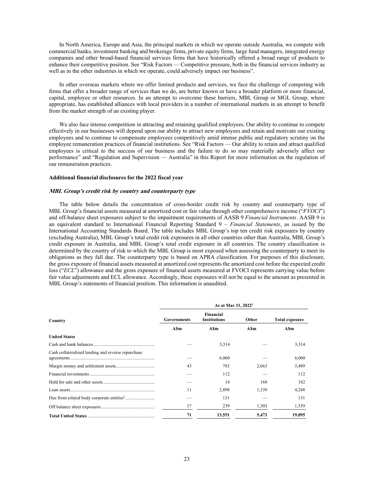In North America, Europe and Asia, the principal markets in which we operate outside Australia, we compete with commercial banks, investment banking and brokerage firms, private equity firms, large fund managers, integrated energy companies and other broad-based financial services firms that have historically offered a broad range of products to enhance their competitive position. See "Risk Factors — Competitive pressure, both in the financial services industry as well as in the other industries in which we operate, could adversely impact our business".

In other overseas markets where we offer limited products and services, we face the challenge of competing with firms that offer a broader range of services than we do, are better known or have a broader platform or more financial, capital, employee or other resources. In an attempt to overcome these barriers, MBL Group or MGL Group, where appropriate, has established alliances with local providers in a number of international markets in an attempt to benefit from the market strength of an existing player.

We also face intense competition in attracting and retaining qualified employees. Our ability to continue to compete effectively in our businesses will depend upon our ability to attract new employees and retain and motivate our existing employees and to continue to compensate employees competitively amid intense public and regulatory scrutiny on the employee remuneration practices of financial institutions. See "Risk Factors — Our ability to retain and attract qualified employees is critical to the success of our business and the failure to do so may materially adversely affect our performance" and "Regulation and Supervision — Australia" in this Report for more information on the regulation of our remuneration practices.

## **Additional financial disclosures for the 2022 fiscal year**

## **MBL Group's credit risk by country and counterparty type**

The table below details the concentration of cross-border credit risk by country and counterparty type of MBL Group's financial assets measured at amortized cost or fair value through other comprehensive income ("*FVOCI*") and off-balance sheet exposures subject to the impairment requirements of AASB 9 *Financial Instruments*. AASB 9 is an equivalent standard to International Financial Reporting Standard 9 – *Financial Statements*, as issued by the International Accounting Standards Board. The table includes MBL Group's top ten credit risk exposures by country (excluding Australia), MBL Group's total credit risk exposures in all other countries other than Australia, MBL Group's credit exposure in Australia, and MBL Group's total credit exposure in all countries. The country classification is determined by the country of risk to which the MBL Group is most exposed when assessing the counterparty to meet its obligations as they fall due. The counterparty type is based on APRA classification. For purposes of this disclosure, the gross exposure of financial assets measured at amortized cost represents the amortized cost before the expected credit loss ("*ECL*") allowance and the gross exposure of financial assets measured at FVOCI represents carrying value before fair value adjustments and ECL allowance. Accordingly, these exposures will not be equal to the amount as presented in MBL Group's statements of financial position. This information is unaudited.

| Country                                            | As at Mar 31, 2022 <sup>1</sup> |                                  |       |                       |
|----------------------------------------------------|---------------------------------|----------------------------------|-------|-----------------------|
|                                                    | <b>Governments</b>              | Financial<br><b>Institutions</b> | Other | <b>Total exposure</b> |
|                                                    | A\$m                            | ASm                              | A\$m  | A\$m                  |
| <b>United States</b>                               |                                 |                                  |       |                       |
|                                                    |                                 | 3,314                            |       | 3,314                 |
| Cash collateralized lending and reverse repurchase |                                 | 6,060                            |       | 6,060                 |
|                                                    | 43                              | 783                              | 2,663 | 3,489                 |
|                                                    |                                 | 112                              |       | 112                   |
|                                                    |                                 | 14                               | 168   | 182                   |
|                                                    | 11                              | 2.898                            | 1.339 | 4.248                 |
|                                                    |                                 | 131                              |       | 131                   |
|                                                    | 17                              | 239                              | 1,303 | 1,559                 |
|                                                    | 71                              | 13,551                           | 5,473 | 19,095                |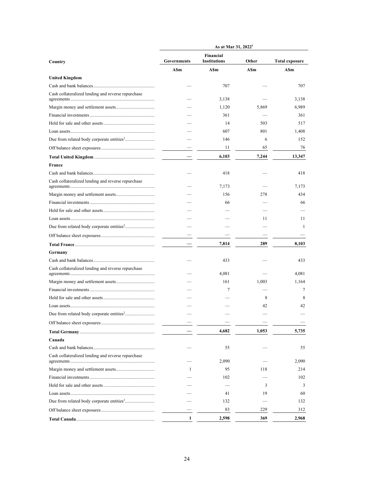|                                                       | As at Mar 31, 2022 <sup>1</sup>                          |              |            |                       |
|-------------------------------------------------------|----------------------------------------------------------|--------------|------------|-----------------------|
| Country                                               | Financial<br><b>Institutions</b><br>Governments<br>Other |              |            | <b>Total exposure</b> |
|                                                       | ASm                                                      | ASm          | <b>ASm</b> | ASm                   |
| <b>United Kingdom</b>                                 |                                                          |              |            |                       |
|                                                       |                                                          | 707          |            | 707                   |
| Cash collateralized lending and reverse repurchase    |                                                          | 3,138        |            | 3,138                 |
|                                                       |                                                          | 1,120        | 5,869      | 6,989                 |
|                                                       |                                                          | 361          |            | 361                   |
|                                                       |                                                          | 14           | 503        | 517                   |
|                                                       |                                                          | 607          | 801        | 1,408                 |
| Due from related body corporate entities <sup>2</sup> |                                                          | 146          | 6          | 152                   |
|                                                       |                                                          | 11           | 65         | 76                    |
|                                                       |                                                          | 6,103        | 7,244      | 13,347                |
| France                                                |                                                          |              |            |                       |
|                                                       |                                                          | 418          |            | 418                   |
| Cash collateralized lending and reverse repurchase    |                                                          | 7,173        |            | 7,173                 |
|                                                       |                                                          | 156          | 278        | 434                   |
|                                                       |                                                          | 66           |            | 66                    |
|                                                       |                                                          |              |            |                       |
|                                                       |                                                          |              | 11         | 11                    |
|                                                       |                                                          |              |            | -1                    |
|                                                       |                                                          |              |            |                       |
|                                                       |                                                          | 7,814        | 289        | 8,103                 |
| Germany                                               |                                                          |              |            |                       |
|                                                       |                                                          | 433          |            | 433                   |
| Cash collateralized lending and reverse repurchase    |                                                          |              |            |                       |
|                                                       |                                                          | 4,081<br>161 |            | 4,081                 |
|                                                       |                                                          | 7            | 1,003      | 1,164<br>7            |
|                                                       |                                                          |              | 8          | 8                     |
|                                                       |                                                          |              | 42         | 42                    |
|                                                       |                                                          |              |            |                       |
|                                                       |                                                          |              |            |                       |
|                                                       |                                                          | 4,682        | 1,053      | 5,735                 |
| Canada                                                |                                                          |              |            |                       |
|                                                       |                                                          | 55           |            | 55                    |
| Cash collateralized lending and reverse repurchase    |                                                          |              |            |                       |
|                                                       |                                                          | 2,090        |            | 2,090                 |
|                                                       | $\mathbf{1}$                                             | 95           | 118        | 214                   |
|                                                       |                                                          | 102          |            | 102                   |
|                                                       |                                                          |              | 3          | 3                     |
|                                                       |                                                          | 41           | 19         | 60                    |
|                                                       |                                                          | 132          |            | 132                   |
|                                                       |                                                          | 83           | 229        | 312                   |
|                                                       | 1                                                        | 2,598        | 369        | 2,968                 |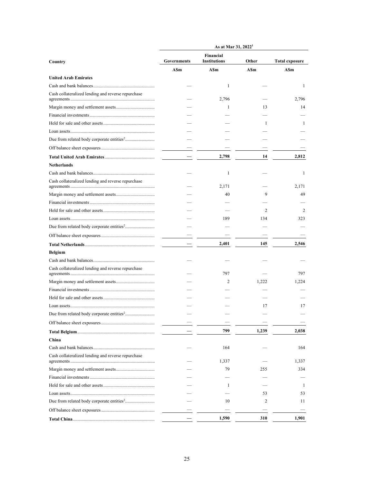|                                                         | As at Mar 31, 2022 <sup>1</sup> |                                  |              |                       |
|---------------------------------------------------------|---------------------------------|----------------------------------|--------------|-----------------------|
| Country                                                 | Governments                     | Financial<br><b>Institutions</b> | Other        | <b>Total exposure</b> |
|                                                         | <b>ASm</b>                      | A\$m                             | <b>ASm</b>   | ASm                   |
| <b>United Arab Emirates</b>                             |                                 |                                  |              |                       |
|                                                         |                                 | 1                                |              | 1                     |
| Cash collateralized lending and reverse repurchase      |                                 | 2,796                            |              | 2,796                 |
|                                                         |                                 | -1                               | 13           | 14                    |
|                                                         |                                 |                                  |              |                       |
|                                                         |                                 |                                  | $\mathbf{1}$ | 1                     |
|                                                         |                                 |                                  |              |                       |
|                                                         |                                 |                                  |              |                       |
|                                                         |                                 |                                  |              |                       |
|                                                         |                                 | 2,798                            | 14           | 2,812                 |
| <b>Netherlands</b>                                      |                                 |                                  |              |                       |
|                                                         |                                 | 1                                |              | 1                     |
| Cash collateralized lending and reverse repurchase      |                                 | 2,171                            |              | 2,171                 |
|                                                         |                                 | 40                               | 9            | 49                    |
|                                                         |                                 |                                  |              |                       |
|                                                         |                                 |                                  | 2            | 2                     |
|                                                         |                                 | 189                              | 134          | 323                   |
|                                                         |                                 |                                  |              |                       |
|                                                         |                                 |                                  |              |                       |
|                                                         |                                 | 2,401                            | 145          | 2,546                 |
| <b>Belgium</b>                                          |                                 |                                  |              |                       |
|                                                         |                                 |                                  |              |                       |
| Cash collateralized lending and reverse repurchase      |                                 | 797                              |              | 797                   |
|                                                         |                                 | 2                                | 1.222        | 1,224                 |
|                                                         |                                 |                                  |              |                       |
|                                                         |                                 |                                  |              |                       |
|                                                         |                                 |                                  | 17           | 17                    |
| Due from related body corporate entities <sup>2</sup> . |                                 |                                  |              |                       |
|                                                         |                                 |                                  |              |                       |
|                                                         |                                 | 799                              | 1,239        | 2,038                 |
| China                                                   |                                 |                                  |              |                       |
|                                                         |                                 | 164                              |              | 164                   |
| Cash collateralized lending and reverse repurchase      |                                 |                                  |              |                       |
|                                                         |                                 | 1,337                            |              | 1,337                 |
|                                                         |                                 | 79                               | 255          | 334                   |
|                                                         |                                 |                                  |              |                       |
|                                                         |                                 | -1                               |              | -1                    |
|                                                         |                                 |                                  | 53           | 53                    |
|                                                         |                                 | 10                               | 2            | 11                    |
|                                                         |                                 |                                  |              |                       |
|                                                         |                                 | 1,590                            | 310          | 1,901                 |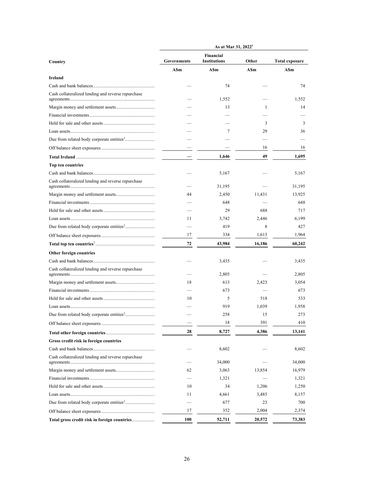|                                                         | As at Mar 31, 2022 <sup>1</sup>                          |        |              |                       |
|---------------------------------------------------------|----------------------------------------------------------|--------|--------------|-----------------------|
| Country                                                 | Financial<br><b>Institutions</b><br>Governments<br>Other |        |              | <b>Total exposure</b> |
|                                                         | <b>ASm</b>                                               | A\$m   | ASm          | A\$m                  |
| Ireland                                                 |                                                          |        |              |                       |
|                                                         |                                                          | 74     |              | 74                    |
| Cash collateralized lending and reverse repurchase      |                                                          | 1,552  |              | 1,552                 |
|                                                         |                                                          | 13     | $\mathbf{1}$ | 14                    |
|                                                         |                                                          |        |              |                       |
|                                                         |                                                          |        | 3            | 3                     |
|                                                         |                                                          | 7      | 29           | 36                    |
|                                                         |                                                          |        |              |                       |
|                                                         |                                                          |        | 16           | 16                    |
|                                                         |                                                          | 1,646  | 49           | 1,695                 |
| Top ten countries                                       |                                                          |        |              |                       |
|                                                         |                                                          | 5,167  |              | 5,167                 |
| Cash collateralized lending and reverse repurchase      |                                                          | 31,195 |              | 31,195                |
|                                                         | 44                                                       | 2,450  | 11,431       | 13,925                |
|                                                         |                                                          | 648    |              | 648                   |
|                                                         |                                                          | 29     | 688          | 717                   |
|                                                         | 11                                                       | 3,742  | 2,446        | 6,199                 |
|                                                         |                                                          | 419    | 8            | 427                   |
|                                                         | 17                                                       | 334    | 1,613        | 1,964                 |
|                                                         | 72                                                       | 43,984 | 16,186       | 60,242                |
| Other foreign countries                                 |                                                          |        |              |                       |
|                                                         |                                                          | 3,435  |              | 3,435                 |
| Cash collateralized lending and reverse repurchase      |                                                          | 2,805  |              | 2,805                 |
|                                                         | 18                                                       | 613    | 2,423        | 3,054                 |
|                                                         |                                                          | 673    |              | 673                   |
|                                                         | 10                                                       | 5      | 518          | 533                   |
|                                                         |                                                          | 919    | 1,039        | 1,958                 |
| Due from related body corporate entities <sup>2</sup> . |                                                          | 258    | 15           | 273                   |
|                                                         |                                                          | 18     | 391          | 410                   |
|                                                         | 28                                                       | 8,727  | 4,386        | 13,141                |
| Gross credit risk in foreign countries                  |                                                          |        |              |                       |
|                                                         |                                                          | 8,602  |              | 8,602                 |
| Cash collateralized lending and reverse repurchase      |                                                          |        |              |                       |
|                                                         |                                                          | 34,000 |              | 34,000                |
|                                                         | 62                                                       | 3,063  | 13,854       | 16,979                |
|                                                         |                                                          | 1,321  |              | 1,321                 |
|                                                         | 10                                                       | 34     | 1,206        | 1,250                 |
|                                                         | 11                                                       | 4,661  | 3,485        | 8,157                 |
|                                                         |                                                          | 677    | 23           | 700                   |
|                                                         | 17                                                       | 352    | 2,004        | 2,374                 |
| Total gross credit risk in foreign countries            | 100                                                      | 52,711 | 20,572       | 73,383                |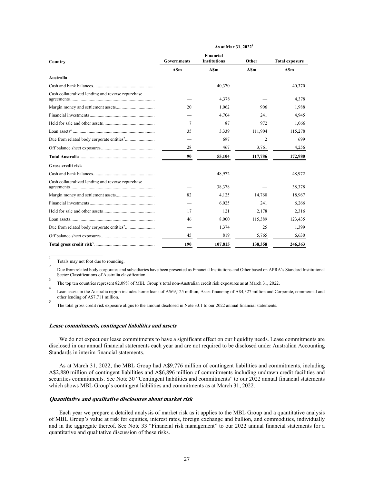|                                                    | As at Mar 31, 2022 <sup>1</sup> |                                  |                |                       |
|----------------------------------------------------|---------------------------------|----------------------------------|----------------|-----------------------|
| Country                                            | <b>Governments</b>              | Financial<br><b>Institutions</b> | Other          | <b>Total exposure</b> |
|                                                    | <b>ASm</b>                      | <b>ASm</b>                       | <b>ASm</b>     | A\$m                  |
| Australia                                          |                                 |                                  |                |                       |
|                                                    |                                 | 40,370                           |                | 40,370                |
| Cash collateralized lending and reverse repurchase |                                 | 4,378                            |                | 4,378                 |
|                                                    | 20                              | 1,062                            | 906            | 1,988                 |
|                                                    |                                 | 4,704                            | 241            | 4,945                 |
|                                                    | 7                               | 87                               | 972            | 1,066                 |
|                                                    | 35                              | 3,339                            | 111,904        | 115,278               |
|                                                    |                                 | 697                              | $\overline{2}$ | 699                   |
|                                                    | 28                              | 467                              | 3,761          | 4,256                 |
|                                                    | 90                              | 55,104                           | 117,786        | 172,980               |
| <b>Gross credit risk</b>                           |                                 |                                  |                |                       |
|                                                    |                                 | 48,972                           |                | 48,972                |
| Cash collateralized lending and reverse repurchase |                                 | 38,378                           |                | 38,378                |
|                                                    | 82                              | 4,125                            | 14,760         | 18,967                |
|                                                    |                                 | 6.025                            | 241            | 6,266                 |
|                                                    | 17                              | 121                              | 2,178          | 2,316                 |
|                                                    | 46                              | 8.000                            | 115,389        | 123,435               |
|                                                    |                                 | 1,374                            | 25             | 1,399                 |
|                                                    | 45                              | 819                              | 5,765          | 6,630                 |
|                                                    | 190                             | 107,815                          | 138,358        | 246,363               |

1 Totals may not foot due to rounding. 2

 $\frac{1}{2}$  ,  $\frac{1}{2}$  ,  $\frac{1}{2}$  ,  $\frac{1}{2}$  ,  $\frac{1}{2}$  ,  $\frac{1}{2}$  ,  $\frac{1}{2}$  ,  $\frac{1}{2}$  ,  $\frac{1}{2}$  ,  $\frac{1}{2}$ 

Due from related body corporates and subsidiaries have been presented as Financial Institutions and Other based on APRA's Standard Institutional Sector Classifications of Australia classification. 3

The top ten countries represent 82.09% of MBL Group's total non-Australian credit risk exposures as at March 31, 2022.

Loan assets in the Australia region includes home loans of A\$69,125 million, Asset financing of A\$4,327 million and Corporate, commercial and other lending of A\$7,711 million. 5

The total gross credit risk exposure aligns to the amount disclosed in Note 33.1 to our 2022 annual financial statements.

#### **Lease commitments, contingent liabilities and assets**

We do not expect our lease commitments to have a significant effect on our liquidity needs. Lease commitments are disclosed in our annual financial statements each year and are not required to be disclosed under Australian Accounting Standards in interim financial statements.

As at March 31, 2022, the MBL Group had A\$9,776 million of contingent liabilities and commitments, including A\$2,880 million of contingent liabilities and A\$6,896 million of commitments including undrawn credit facilities and securities commitments. See Note 30 "Contingent liabilities and commitments" to our 2022 annual financial statements which shows MBL Group's contingent liabilities and commitments as at March 31, 2022.

#### **Quantitative and qualitative disclosures about market risk**

Each year we prepare a detailed analysis of market risk as it applies to the MBL Group and a quantitative analysis of MBL Group's value at risk for equities, interest rates, foreign exchange and bullion, and commodities, individually and in the aggregate thereof. See Note 33 "Financial risk management" to our 2022 annual financial statements for a quantitative and qualitative discussion of these risks.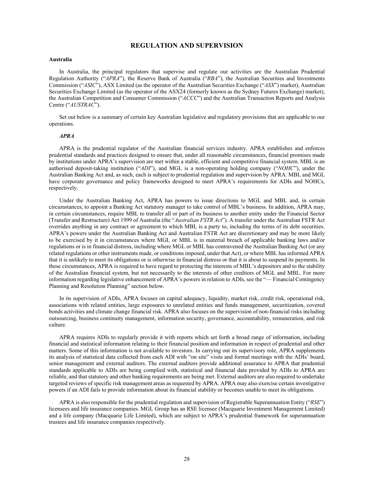## **REGULATION AND SUPERVISION**

## **Australia**

In Australia, the principal regulators that supervise and regulate our activities are the Australian Prudential Regulation Authority ("*APRA*"), the Reserve Bank of Australia ("*RBA*"), the Australian Securities and Investments Commission ("*ASIC*"), ASX Limited (as the operator of the Australian Securities Exchange ("*ASX*") market), Australian Securities Exchange Limited (as the operator of the ASX24 (formerly known as the Sydney Futures Exchange) market), the Australian Competition and Consumer Commission ("*ACCC*") and the Australian Transaction Reports and Analysis Centre ("*AUSTRAC*").

Set out below is a summary of certain key Australian legislative and regulatory provisions that are applicable to our operations.

#### *APRA*

APRA is the prudential regulator of the Australian financial services industry. APRA establishes and enforces prudential standards and practices designed to ensure that, under all reasonable circumstances, financial promises made by institutions under APRA's supervision are met within a stable, efficient and competitive financial system. MBL is an authorised deposit-taking institution ("*ADI*"), and MGL is a non-operating holding company ("*NOHC*"), under the Australian Banking Act and, as such, each is subject to prudential regulation and supervision by APRA. MBL and MGL have corporate governance and policy frameworks designed to meet APRA's requirements for ADIs and NOHCs, respectively.

Under the Australian Banking Act, APRA has powers to issue directions to MGL and MBL and, in certain circumstances, to appoint a Banking Act statutory manager to take control of MBL's business. In addition, APRA may, in certain circumstances, require MBL to transfer all or part of its business to another entity under the Financial Sector (Transfer and Restructure) Act 1999 of Australia (the "*Australian FSTR Act*"). A transfer under the Australian FSTR Act overrides anything in any contract or agreement to which MBL is a party to, including the terms of its debt securities. APRA's powers under the Australian Banking Act and Australian FSTR Act are discretionary and may be more likely to be exercised by it in circumstances where MGL or MBL is in material breach of applicable banking laws and/or regulations or is in financial distress, including where MGL or MBL has contravened the Australian Banking Act (or any related regulations or other instruments made, or conditions imposed, under that Act), or where MBL has informed APRA that it is unlikely to meet its obligations or is otherwise in financial distress or that it is about to suspend its payments. In these circumstances, APRA is required to have regard to protecting the interests of MBL's depositors and to the stability of the Australian financial system, but not necessarily to the interests of other creditors of MGL and MBL. For more information regarding legislative enhancement of APRA's powers in relation to ADIs, see the "— Financial Contingency Planning and Resolution Planning" section below.

In its supervision of ADIs, APRA focuses on capital adequacy, liquidity, market risk, credit risk, operational risk, associations with related entities, large exposures to unrelated entities and funds management, securitization, covered bonds activities and climate change financial risk. APRA also focuses on the supervision of non-financial risks including outsourcing, business continuity management, information security, governance, accountability, remuneration, and risk culture.

APRA requires ADIs to regularly provide it with reports which set forth a broad range of information, including financial and statistical information relating to their financial position and information in respect of prudential and other matters. Some of this information is not available to investors. In carrying out its supervisory role, APRA supplements its analysis of statistical data collected from each ADI with "on site" visits and formal meetings with the ADIs' board, senior management and external auditors. The external auditors provide additional assurance to APRA that prudential standards applicable to ADIs are being complied with, statistical and financial data provided by ADIs to APRA are reliable, and that statutory and other banking requirements are being met. External auditors are also required to undertake targeted reviews of specific risk management areas as requested by APRA. APRA may also exercise certain investigative powers if an ADI fails to provide information about its financial stability or becomes unable to meet its obligations.

APRA is also responsible for the prudential regulation and supervision of Registrable Superannuation Entity ("*RSE*") licensees and life insurance companies. MGL Group has an RSE licensee (Macquarie Investment Management Limited) and a life company (Macquarie Life Limited), which are subject to APRA's prudential framework for superannuation trustees and life insurance companies respectively.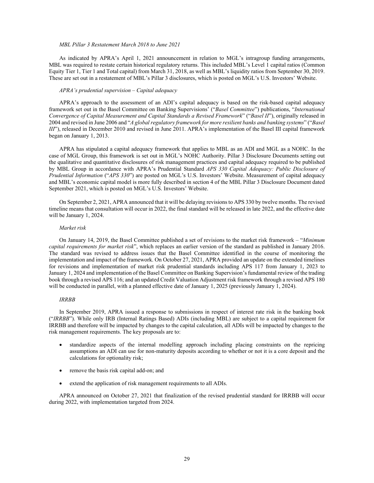#### *MBL Pillar 3 Restatement March 2018 to June 2021*

As indicated by APRA's April 1, 2021 announcement in relation to MGL's intragroup funding arrangements, MBL was required to restate certain historical regulatory returns. This included MBL's Level 1 capital ratios (Common Equity Tier 1, Tier 1 and Total capital) from March 31, 2018, as well as MBL's liquidity ratios from September 30, 2019. These are set out in a restatement of MBL's Pillar 3 disclosures, which is posted on MGL's U.S. Investors' Website.

## *APRA's prudential supervision – Capital adequacy*

APRA's approach to the assessment of an ADI's capital adequacy is based on the risk-based capital adequacy framework set out in the Basel Committee on Banking Supervisions' ("*Basel Committee*") publications, "*International Convergence of Capital Measurement and Capital Standards a Revised Framework*" ("*Basel II*"), originally released in 2004 and revised in June 2006 and "*A global regulatory framework for more resilient banks and banking systems*" ("*Basel III*"), released in December 2010 and revised in June 2011. APRA's implementation of the Basel III capital framework began on January 1, 2013.

APRA has stipulated a capital adequacy framework that applies to MBL as an ADI and MGL as a NOHC. In the case of MGL Group, this framework is set out in MGL's NOHC Authority. Pillar 3 Disclosure Documents setting out the qualitative and quantitative disclosures of risk management practices and capital adequacy required to be published by MBL Group in accordance with APRA's Prudential Standard *APS 330 Capital Adequacy: Public Disclosure of Prudential Information* ("*APS 330*") are posted on MGL's U.S. Investors' Website. Measurement of capital adequacy and MBL's economic capital model is more fully described in section 4 of the MBL Pillar 3 Disclosure Document dated September 2021, which is posted on MGL's U.S. Investors' Website.

On September 2, 2021, APRA announced that it will be delaying revisions to APS 330 by twelve months. The revised timeline means that consultation will occur in 2022, the final standard will be released in late 2022, and the effective date will be January 1, 2024.

#### *Market risk*

On January 14, 2019, the Basel Committee published a set of revisions to the market risk framework – "*Minimum capital requirements for market risk*", which replaces an earlier version of the standard as published in January 2016. The standard was revised to address issues that the Basel Committee identified in the course of monitoring the implementation and impact of the framework. On October 27, 2021, APRA provided an update on the extended timelines for revisions and implementation of market risk prudential standards including APS 117 from January 1, 2023 to January 1, 2024 and implementation of the Basel Committee on Banking Supervision's fundamental review of the trading book through a revised APS 116; and an updated Credit Valuation Adjustment risk framework through a revised APS 180 will be conducted in parallel, with a planned effective date of January 1, 2025 (previously January 1, 2024).

#### *IRRBB*

In September 2019, APRA issued a response to submissions in respect of interest rate risk in the banking book ("*IRRBB*"). While only IRB (Internal Ratings Based) ADIs (including MBL) are subject to a capital requirement for IRRBB and therefore will be impacted by changes to the capital calculation, all ADIs will be impacted by changes to the risk management requirements. The key proposals are to:

- standardize aspects of the internal modelling approach including placing constraints on the repricing assumptions an ADI can use for non-maturity deposits according to whether or not it is a core deposit and the calculations for optionality risk;
- remove the basis risk capital add-on; and
- extend the application of risk management requirements to all ADIs.

APRA announced on October 27, 2021 that finalization of the revised prudential standard for IRRBB will occur during 2022, with implementation targeted from 2024.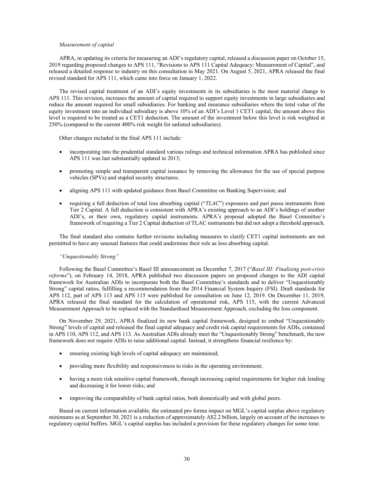#### *Measurement of capital*

APRA, in updating its criteria for measuring an ADI's regulatory capital, released a discussion paper on October 15, 2019 regarding proposed changes to APS 111, "Revisions to APS 111 Capital Adequacy: Measurement of Capital", and released a detailed response to industry on this consultation in May 2021. On August 5, 2021, APRA released the final revised standard for APS 111, which came into force on January 1, 2022.

The revised capital treatment of an ADI's equity investments in its subsidiaries is the most material change to APS 111. This revision, increases the amount of capital required to support equity investments in large subsidiaries and reduce the amount required for small subsidiaries. For banking and insurance subsidiaries where the total value of the equity investment into an individual subsidiary is above 10% of an ADI's Level 1 CET1 capital, the amount above this level is required to be treated as a CET1 deduction. The amount of the investment below this level is risk weighted at 250% (compared to the current 400% risk weight for unlisted subsidiaries).

Other changes included in the final APS 111 include:

- incorporating into the prudential standard various rulings and technical information APRA has published since APS 111 was last substantially updated in 2013;
- promoting simple and transparent capital issuance by removing the allowance for the use of special purpose vehicles (SPVs) and stapled security structures;
- aligning APS 111 with updated guidance from Basel Committee on Banking Supervision; and
- requiring a full deduction of total loss absorbing capital ("*TLAC*") exposures and pari passu instruments from Tier 2 Capital. A full deduction is consistent with APRA's existing approach to an ADI's holdings of another ADI's, or their own, regulatory capital instruments. APRA's proposal adopted the Basel Committee's framework of requiring a Tier 2 Capital deduction of TLAC instruments but did not adopt a threshold approach.

The final standard also contains further revisions including measures to clarify CET1 capital instruments are not permitted to have any unusual features that could undermine their role as loss absorbing capital.

#### *"Unquestionably Strong"*

Following the Basel Committee's Basel III announcement on December 7, 2017 ("*Basel III: Finalising post-crisis reforms*"), on February 14, 2018, APRA published two discussion papers on proposed changes to the ADI capital framework for Australian ADIs to incorporate both the Basel Committee's standards and to deliver "Unquestionably Strong" capital ratios, fulfilling a recommendation from the 2014 Financial System Inquiry (FSI). Draft standards for APS 112, part of APS 113 and APS 115 were published for consultation on June 12, 2019. On December 11, 2019, APRA released the final standard for the calculation of operational risk, APS 115, with the current Advanced Measurement Approach to be replaced with the Standardised Measurement Approach, excluding the loss component.

On November 29, 2021, APRA finalized its new bank capital framework, designed to embed "Unquestionably Strong" levels of capital and released the final capital adequacy and credit risk capital requirements for ADIs, contained in APS 110, APS 112, and APS 113. As Australian ADIs already meet the "Unquestionably Strong" benchmark, the new framework does not require ADIs to raise additional capital. Instead, it strengthens financial resilience by:

- ensuring existing high levels of capital adequacy are maintained;
- providing more flexibility and responsiveness to risks in the operating environment;
- having a more risk sensitive capital framework, through increasing capital requirements for higher risk lending and decreasing it for lower risks; and
- improving the comparability of bank capital ratios, both domestically and with global peers.

Based on current information available, the estimated pro forma impact on MGL's capital surplus above regulatory minimums as at September 30, 2021 is a reduction of approximately A\$2.2 billion, largely on account of the increases to regulatory capital buffers. MGL's capital surplus has included a provision for these regulatory changes for some time.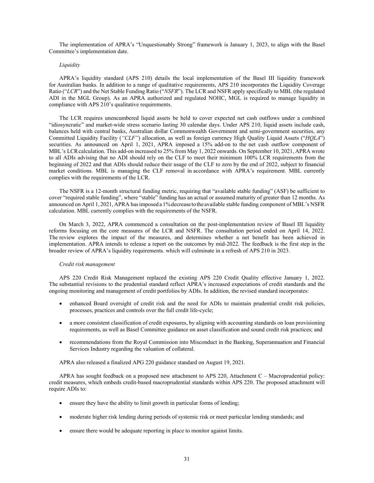The implementation of APRA's "Unquestionably Strong" framework is January 1, 2023, to align with the Basel Committee's implementation date.

#### *Liquidity*

APRA's liquidity standard (APS 210) details the local implementation of the Basel III liquidity framework for Australian banks. In addition to a range of qualitative requirements, APS 210 incorporates the Liquidity Coverage Ratio ("*LCR*") and the Net Stable Funding Ratio ("*NSFR*"). The LCR and NSFR apply specifically to MBL (the regulated ADI in the MGL Group). As an APRA authorized and regulated NOHC, MGL is required to manage liquidity in compliance with APS 210's qualitative requirements.

The LCR requires unencumbered liquid assets be held to cover expected net cash outflows under a combined "idiosyncratic" and market-wide stress scenario lasting 30 calendar days. Under APS 210, liquid assets include cash, balances held with central banks, Australian dollar Commonwealth Government and semi-government securities, any Committed Liquidity Facility (*"CLF"*) allocation, as well as foreign currency High Quality Liquid Assets ("*HQLA*") securities. As announced on April 1, 2021, APRA imposed a 15% add-on to the net cash outflow component of MBL's LCR calculation. This add-on increased to 25% from May 1, 2022 onwards. On September 10, 2021, APRA wrote to all ADIs advising that no ADI should rely on the CLF to meet their minimum 100% LCR requirements from the beginning of 2022 and that ADIs should reduce their usage of the CLF to zero by the end of 2022, subject to financial market conditions. MBL is managing the CLF removal in accordance with APRA's requirement. MBL currently complies with the requirements of the LCR.

The NSFR is a 12-month structural funding metric, requiring that "available stable funding" (ASF) be sufficient to cover "required stable funding", where "stable" funding has an actual or assumed maturity of greater than 12 months. As announced on April 1, 2021, APRA has imposed a 1% decrease to the available stable funding component of MBL's NSFR calculation. MBL currently complies with the requirements of the NSFR.

On March 3, 2022, APRA commenced a consultation on the post-implementation review of Basel III liquidity reforms focusing on the core measures of the LCR and NSFR. The consultation period ended on April 14, 2022. The review explores the impact of the measures, and determines whether a net benefit has been achieved in implementation. APRA intends to release a report on the outcomes by mid-2022. The feedback is the first step in the broader review of APRA's liquidity requirements. which will culminate in a refresh of APS 210 in 2023.

## *Credit risk management*

APS 220 Credit Risk Management replaced the existing APS 220 Credit Quality effective January 1, 2022. The substantial revisions to the prudential standard reflect APRA's increased expectations of credit standards and the ongoing monitoring and management of credit portfolios by ADIs. In addition, the revised standard incorporates:

- enhanced Board oversight of credit risk and the need for ADIs to maintain prudential credit risk policies, processes, practices and controls over the full credit life-cycle;
- a more consistent classification of credit exposures, by aligning with accounting standards on loan provisioning requirements, as well as Basel Committee guidance on asset classification and sound credit risk practices; and
- recommendations from the Royal Commission into Misconduct in the Banking, Superannuation and Financial Services Industry regarding the valuation of collateral.

APRA also released a finalized APG 220 guidance standard on August 19, 2021.

APRA has sought feedback on a proposed new attachment to APS 220, Attachment C – Macroprudential policy: credit measures, which embeds credit-based macroprudential standards within APS 220. The proposed attachment will require ADIs to:

- ensure they have the ability to limit growth in particular forms of lending;
- moderate higher risk lending during periods of systemic risk or meet particular lending standards; and
- ensure there would be adequate reporting in place to monitor against limits.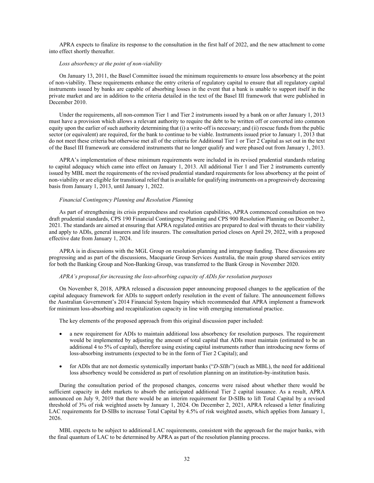APRA expects to finalize its response to the consultation in the first half of 2022, and the new attachment to come into effect shortly thereafter.

#### *Loss absorbency at the point of non-viability*

On January 13, 2011, the Basel Committee issued the minimum requirements to ensure loss absorbency at the point of non-viability. These requirements enhance the entry criteria of regulatory capital to ensure that all regulatory capital instruments issued by banks are capable of absorbing losses in the event that a bank is unable to support itself in the private market and are in addition to the criteria detailed in the text of the Basel III framework that were published in December 2010.

Under the requirements, all non-common Tier 1 and Tier 2 instruments issued by a bank on or after January 1, 2013 must have a provision which allows a relevant authority to require the debt to be written off or converted into common equity upon the earlier of such authority determining that (i) a write-off is necessary; and (ii) rescue funds from the public sector (or equivalent) are required, for the bank to continue to be viable. Instruments issued prior to January 1, 2013 that do not meet these criteria but otherwise met all of the criteria for Additional Tier 1 or Tier 2 Capital as set out in the text of the Basel III framework are considered instruments that no longer qualify and were phased out from January 1, 2013.

APRA's implementation of these minimum requirements were included in its revised prudential standards relating to capital adequacy which came into effect on January 1, 2013. All additional Tier 1 and Tier 2 instruments currently issued by MBL meet the requirements of the revised prudential standard requirements for loss absorbency at the point of non-viability or are eligible for transitional relief that is available for qualifying instruments on a progressively decreasing basis from January 1, 2013, until January 1, 2022.

## *Financial Contingency Planning and Resolution Planning*

As part of strengthening its crisis preparedness and resolution capabilities, APRA commenced consultation on two draft prudential standards, CPS 190 Financial Contingency Planning and CPS 900 Resolution Planning on December 2, 2021. The standards are aimed at ensuring that APRA regulated entities are prepared to deal with threats to their viability and apply to ADIs, general insurers and life insurers. The consultation period closes on April 29, 2022, with a proposed effective date from January 1, 2024.

APRA is in discussions with the MGL Group on resolution planning and intragroup funding. These discussions are progressing and as part of the discussions, Macquarie Group Services Australia, the main group shared services entity for both the Banking Group and Non-Banking Group, was transferred to the Bank Group in November 2020.

#### *APRA's proposal for increasing the loss-absorbing capacity of ADIs for resolution purposes*

On November 8, 2018, APRA released a discussion paper announcing proposed changes to the application of the capital adequacy framework for ADIs to support orderly resolution in the event of failure. The announcement follows the Australian Government's 2014 Financial System Inquiry which recommended that APRA implement a framework for minimum loss-absorbing and recapitalization capacity in line with emerging international practice.

The key elements of the proposed approach from this original discussion paper included:

- a new requirement for ADIs to maintain additional loss absorbency for resolution purposes. The requirement would be implemented by adjusting the amount of total capital that ADIs must maintain (estimated to be an additional 4 to 5% of capital), therefore using existing capital instruments rather than introducing new forms of loss-absorbing instruments (expected to be in the form of Tier 2 Capital); and
- for ADIs that are not domestic systemically important banks ("*D-SIBs*") (such as MBL), the need for additional loss absorbency would be considered as part of resolution planning on an institution-by-institution basis.

During the consultation period of the proposed changes, concerns were raised about whether there would be sufficient capacity in debt markets to absorb the anticipated additional Tier 2 capital issuance. As a result, APRA announced on July 9, 2019 that there would be an interim requirement for D-SIBs to lift Total Capital by a revised threshold of 3% of risk weighted assets by January 1, 2024. On December 2, 2021, APRA released a letter finalizing LAC requirements for D-SIBs to increase Total Capital by 4.5% of risk weighted assets, which applies from January 1, 2026.

MBL expects to be subject to additional LAC requirements, consistent with the approach for the major banks, with the final quantum of LAC to be determined by APRA as part of the resolution planning process.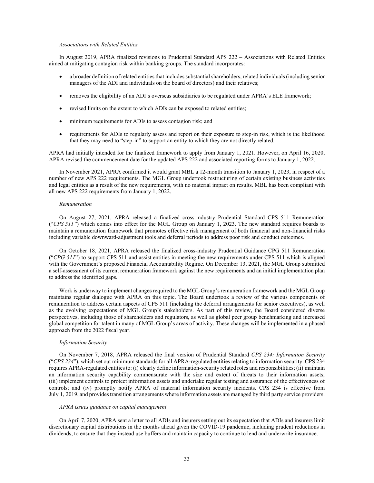#### *Associations with Related Entities*

In August 2019, APRA finalized revisions to Prudential Standard APS 222 – Associations with Related Entities aimed at mitigating contagion risk within banking groups. The standard incorporates:

- a broader definition of related entities that includes substantial shareholders, related individuals (including senior managers of the ADI and individuals on the board of directors) and their relatives;
- removes the eligibility of an ADI's overseas subsidiaries to be regulated under APRA's ELE framework;
- revised limits on the extent to which ADIs can be exposed to related entities;
- minimum requirements for ADIs to assess contagion risk; and
- requirements for ADIs to regularly assess and report on their exposure to step-in risk, which is the likelihood that they may need to "step-in" to support an entity to which they are not directly related.

APRA had initially intended for the finalized framework to apply from January 1, 2021. However, on April 16, 2020, APRA revised the commencement date for the updated APS 222 and associated reporting forms to January 1, 2022.

In November 2021, APRA confirmed it would grant MBL a 12-month transition to January 1, 2023, in respect of a number of new APS 222 requirements. The MGL Group undertook restructuring of certain existing business activities and legal entities as a result of the new requirements, with no material impact on results. MBL has been compliant with all new APS 222 requirements from January 1, 2022.

#### *Remuneration*

On August 27, 2021, APRA released a finalized cross-industry Prudential Standard CPS 511 Remuneration ("*CPS 511"*) which comes into effect for the MGL Group on January 1, 2023. The new standard requires boards to maintain a remuneration framework that promotes effective risk management of both financial and non-financial risks including variable downward-adjustment tools and deferral periods to address poor risk and conduct outcomes.

On October 18, 2021, APRA released the finalized cross-industry Prudential Guidance CPG 511 Remuneration ("*CPG 511*") to support CPS 511 and assist entities in meeting the new requirements under CPS 511 which is aligned with the Government's proposed Financial Accountability Regime. On December 13, 2021, the MGL Group submitted a self-assessment of its current remuneration framework against the new requirements and an initial implementation plan to address the identified gaps.

Work is underway to implement changes required to the MGL Group's remuneration framework and the MGL Group maintains regular dialogue with APRA on this topic. The Board undertook a review of the various components of remuneration to address certain aspects of CPS 511 (including the deferral arrangements for senior executives), as well as the evolving expectations of MGL Group's stakeholders. As part of this review, the Board considered diverse perspectives, including those of shareholders and regulators, as well as global peer group benchmarking and increased global competition for talent in many of MGL Group's areas of activity. These changes will be implemented in a phased approach from the 2022 fiscal year.

#### *Information Security*

On November 7, 2018, APRA released the final version of Prudential Standard *CPS 234: Information Security* ("*CPS 234*"), which set out minimum standards for all APRA-regulated entities relating to information security. CPS 234 requires APRA-regulated entities to: (i) clearly define information-security related roles and responsibilities; (ii) maintain an information security capability commensurate with the size and extent of threats to their information assets; (iii) implement controls to protect information assets and undertake regular testing and assurance of the effectiveness of controls; and (iv) promptly notify APRA of material information security incidents. CPS 234 is effective from July 1, 2019, and provides transition arrangements where information assets are managed by third party service providers.

#### *APRA issues guidance on capital management*

On April 7, 2020, APRA sent a letter to all ADIs and insurers setting out its expectation that ADIs and insurers limit discretionary capital distributions in the months ahead given the COVID-19 pandemic, including prudent reductions in dividends, to ensure that they instead use buffers and maintain capacity to continue to lend and underwrite insurance.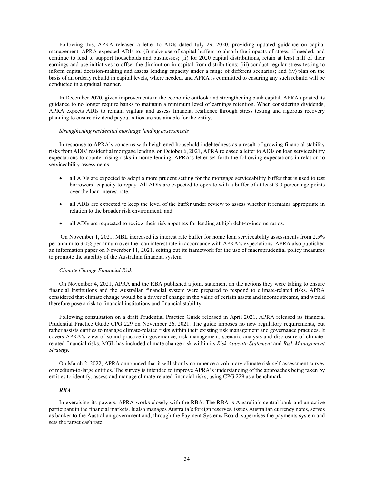Following this, APRA released a letter to ADIs dated July 29, 2020, providing updated guidance on capital management. APRA expected ADIs to: (i) make use of capital buffers to absorb the impacts of stress, if needed, and continue to lend to support households and businesses; (ii) for 2020 capital distributions, retain at least half of their earnings and use initiatives to offset the diminution in capital from distributions; (iii) conduct regular stress testing to inform capital decision-making and assess lending capacity under a range of different scenarios; and (iv) plan on the basis of an orderly rebuild in capital levels, where needed, and APRA is committed to ensuring any such rebuild will be conducted in a gradual manner.

In December 2020, given improvements in the economic outlook and strengthening bank capital, APRA updated its guidance to no longer require banks to maintain a minimum level of earnings retention. When considering dividends, APRA expects ADIs to remain vigilant and assess financial resilience through stress testing and rigorous recovery planning to ensure dividend payout ratios are sustainable for the entity.

## *Strengthening residential mortgage lending assessments*

In response to APRA's concerns with heightened household indebtedness as a result of growing financial stability risks from ADIs' residential mortgage lending, on October 6, 2021, APRA released a letter to ADIs on loan serviceability expectations to counter rising risks in home lending. APRA's letter set forth the following expectations in relation to serviceability assessments:

- all ADIs are expected to adopt a more prudent setting for the mortgage serviceability buffer that is used to test borrowers' capacity to repay. All ADIs are expected to operate with a buffer of at least 3.0 percentage points over the loan interest rate;
- all ADIs are expected to keep the level of the buffer under review to assess whether it remains appropriate in relation to the broader risk environment; and
- all ADIs are requested to review their risk appetites for lending at high debt-to-income ratios.

 On November 1, 2021, MBL increased its interest rate buffer for home loan serviceability assessments from 2.5% per annum to 3.0% per annum over the loan interest rate in accordance with APRA's expectations. APRA also published an information paper on November 11, 2021, setting out its framework for the use of macroprudential policy measures to promote the stability of the Australian financial system.

#### *Climate Change Financial Risk*

On November 4, 2021, APRA and the RBA published a joint statement on the actions they were taking to ensure financial institutions and the Australian financial system were prepared to respond to climate-related risks. APRA considered that climate change would be a driver of change in the value of certain assets and income streams, and would therefore pose a risk to financial institutions and financial stability.

Following consultation on a draft Prudential Practice Guide released in April 2021, APRA released its financial Prudential Practice Guide CPG 229 on November 26, 2021. The guide imposes no new regulatory requirements, but rather assists entities to manage climate-related risks within their existing risk management and governance practices. It covers APRA's view of sound practice in governance, risk management, scenario analysis and disclosure of climaterelated financial risks. MGL has included climate change risk within its *Risk Appetite Statement* and *Risk Management Strategy.*

On March 2, 2022, APRA announced that it will shortly commence a voluntary climate risk self-assessment survey of medium-to-large entities. The survey is intended to improve APRA's understanding of the approaches being taken by entities to identify, assess and manage climate-related financial risks, using CPG 229 as a benchmark.

## *RBA*

In exercising its powers, APRA works closely with the RBA. The RBA is Australia's central bank and an active participant in the financial markets. It also manages Australia's foreign reserves, issues Australian currency notes, serves as banker to the Australian government and, through the Payment Systems Board, supervises the payments system and sets the target cash rate.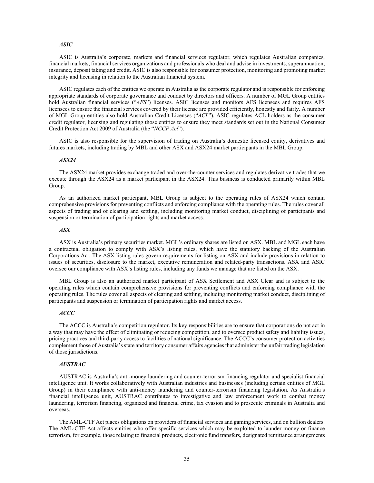## *ASIC*

ASIC is Australia's corporate, markets and financial services regulator, which regulates Australian companies, financial markets, financial services organizations and professionals who deal and advise in investments, superannuation, insurance, deposit taking and credit. ASIC is also responsible for consumer protection, monitoring and promoting market integrity and licensing in relation to the Australian financial system.

ASIC regulates each of the entities we operate in Australia as the corporate regulator and is responsible for enforcing appropriate standards of corporate governance and conduct by directors and officers. A number of MGL Group entities hold Australian financial services ("*AFS*") licenses. ASIC licenses and monitors AFS licensees and requires AFS licensees to ensure the financial services covered by their license are provided efficiently, honestly and fairly. A number of MGL Group entities also hold Australian Credit Licenses ("*ACL*"). ASIC regulates ACL holders as the consumer credit regulator, licensing and regulating those entities to ensure they meet standards set out in the National Consumer Credit Protection Act 2009 of Australia (the "*NCCP Act*").

ASIC is also responsible for the supervision of trading on Australia's domestic licensed equity, derivatives and futures markets, including trading by MBL and other ASX and ASX24 market participants in the MBL Group.

## *ASX24*

The ASX24 market provides exchange traded and over-the-counter services and regulates derivative trades that we execute through the ASX24 as a market participant in the ASX24. This business is conducted primarily within MBL Group.

As an authorized market participant, MBL Group is subject to the operating rules of ASX24 which contain comprehensive provisions for preventing conflicts and enforcing compliance with the operating rules. The rules cover all aspects of trading and of clearing and settling, including monitoring market conduct, disciplining of participants and suspension or termination of participation rights and market access.

#### *ASX*

ASX is Australia's primary securities market. MGL's ordinary shares are listed on ASX. MBL and MGL each have a contractual obligation to comply with ASX's listing rules, which have the statutory backing of the Australian Corporations Act. The ASX listing rules govern requirements for listing on ASX and include provisions in relation to issues of securities, disclosure to the market, executive remuneration and related-party transactions. ASX and ASIC oversee our compliance with ASX's listing rules, including any funds we manage that are listed on the ASX.

MBL Group is also an authorized market participant of ASX Settlement and ASX Clear and is subject to the operating rules which contain comprehensive provisions for preventing conflicts and enforcing compliance with the operating rules. The rules cover all aspects of clearing and settling, including monitoring market conduct, disciplining of participants and suspension or termination of participation rights and market access.

## *ACCC*

The ACCC is Australia's competition regulator. Its key responsibilities are to ensure that corporations do not act in a way that may have the effect of eliminating or reducing competition, and to oversee product safety and liability issues, pricing practices and third-party access to facilities of national significance. The ACCC's consumer protection activities complement those of Australia's state and territory consumer affairs agencies that administer the unfair trading legislation of those jurisdictions.

### *AUSTRAC*

AUSTRAC is Australia's anti-money laundering and counter-terrorism financing regulator and specialist financial intelligence unit. It works collaboratively with Australian industries and businesses (including certain entities of MGL Group) in their compliance with anti-money laundering and counter-terrorism financing legislation. As Australia's financial intelligence unit, AUSTRAC contributes to investigative and law enforcement work to combat money laundering, terrorism financing, organized and financial crime, tax evasion and to prosecute criminals in Australia and overseas.

The AML-CTF Act places obligations on providers of financial services and gaming services, and on bullion dealers. The AML-CTF Act affects entities who offer specific services which may be exploited to launder money or finance terrorism, for example, those relating to financial products, electronic fund transfers, designated remittance arrangements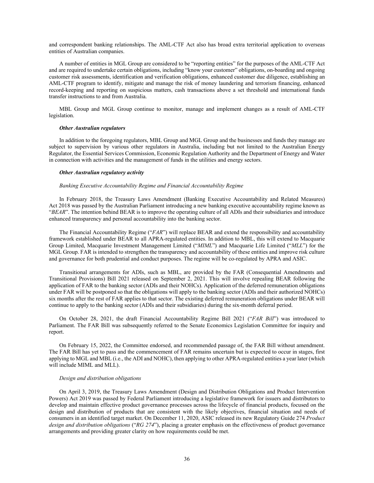and correspondent banking relationships. The AML-CTF Act also has broad extra territorial application to overseas entities of Australian companies.

A number of entities in MGL Group are considered to be "reporting entities" for the purposes of the AML-CTF Act and are required to undertake certain obligations, including "know your customer" obligations, on-boarding and ongoing customer risk assessments, identification and verification obligations, enhanced customer due diligence, establishing an AML-CTF program to identify, mitigate and manage the risk of money laundering and terrorism financing, enhanced record-keeping and reporting on suspicious matters, cash transactions above a set threshold and international funds transfer instructions to and from Australia.

MBL Group and MGL Group continue to monitor, manage and implement changes as a result of AML-CTF legislation.

#### *Other Australian regulators*

In addition to the foregoing regulators, MBL Group and MGL Group and the businesses and funds they manage are subject to supervision by various other regulators in Australia, including but not limited to the Australian Energy Regulator, the Essential Services Commission, Economic Regulation Authority and the Department of Energy and Water in connection with activities and the management of funds in the utilities and energy sectors.

#### *Other Australian regulatory activity*

#### *Banking Executive Accountability Regime and Financial Accountability Regime*

In February 2018, the Treasury Laws Amendment (Banking Executive Accountability and Related Measures) Act 2018 was passed by the Australian Parliament introducing a new banking executive accountability regime known as "*BEAR*". The intention behind BEAR is to improve the operating culture of all ADIs and their subsidiaries and introduce enhanced transparency and personal accountability into the banking sector.

The Financial Accountability Regime ("*FAR*") will replace BEAR and extend the responsibility and accountability framework established under BEAR to all APRA-regulated entities. In addition to MBL, this will extend to Macquarie Group Limited, Macquarie Investment Management Limited ("*MIML*") and Macquarie Life Limited ("*MLL*") for the MGL Group. FAR is intended to strengthen the transparency and accountability of these entities and improve risk culture and governance for both prudential and conduct purposes. The regime will be co-regulated by APRA and ASIC.

Transitional arrangements for ADIs, such as MBL, are provided by the FAR (Consequential Amendments and Transitional Provisions) Bill 2021 released on September 2, 2021. This will involve repealing BEAR following the application of FAR to the banking sector (ADIs and their NOHCs). Application of the deferred remuneration obligations under FAR will be postponed so that the obligations will apply to the banking sector (ADIs and their authorized NOHCs) six months after the rest of FAR applies to that sector. The existing deferred remuneration obligations under BEAR will continue to apply to the banking sector (ADIs and their subsidiaries) during the six-month deferral period.

On October 28, 2021, the draft Financial Accountability Regime Bill 2021 ("*FAR Bill*") was introduced to Parliament. The FAR Bill was subsequently referred to the Senate Economics Legislation Committee for inquiry and report.

On February 15, 2022, the Committee endorsed, and recommended passage of, the FAR Bill without amendment. The FAR Bill has yet to pass and the commencement of FAR remains uncertain but is expected to occur in stages, first applying to MGL and MBL (i.e., the ADI and NOHC), then applying to other APRA-regulated entities a year later (which will include MIML and MLL).

#### *Design and distribution obligations*

On April 3, 2019, the Treasury Laws Amendment (Design and Distribution Obligations and Product Intervention Powers) Act 2019 was passed by Federal Parliament introducing a legislative framework for issuers and distributors to develop and maintain effective product governance processes across the lifecycle of financial products, focused on the design and distribution of products that are consistent with the likely objectives, financial situation and needs of consumers in an identified target market. On December 11, 2020, ASIC released its new Regulatory Guide 274 *Product design and distribution obligations* ("*RG 274*"), placing a greater emphasis on the effectiveness of product governance arrangements and providing greater clarity on how requirements could be met.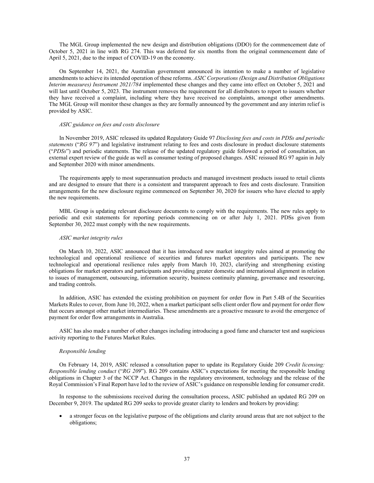The MGL Group implemented the new design and distribution obligations (DDO) for the commencement date of October 5, 2021 in line with RG 274. This was deferred for six months from the original commencement date of April 5, 2021, due to the impact of COVID-19 on the economy.

On September 14, 2021, the Australian government announced its intention to make a number of legislative amendments to achieve its intended operation of these reforms. *ASIC Corporations (Design and Distribution Obligations Interim measures) Instrument 2021/784* implemented these changes and they came into effect on October 5, 2021 and will last until October 5, 2023. The instrument removes the requirement for all distributors to report to issuers whether they have received a complaint, including where they have received no complaints, amongst other amendments. The MGL Group will monitor these changes as they are formally announced by the government and any interim relief is provided by ASIC.

## *ASIC guidance on fees and costs disclosure*

In November 2019, ASIC released its updated Regulatory Guide 97 *Disclosing fees and costs in PDSs and periodic statements* ("*RG 97*") and legislative instrument relating to fees and costs disclosure in product disclosure statements ("*PDSs*") and periodic statements. The release of the updated regulatory guide followed a period of consultation, an external expert review of the guide as well as consumer testing of proposed changes. ASIC reissued RG 97 again in July and September 2020 with minor amendments.

The requirements apply to most superannuation products and managed investment products issued to retail clients and are designed to ensure that there is a consistent and transparent approach to fees and costs disclosure. Transition arrangements for the new disclosure regime commenced on September 30, 2020 for issuers who have elected to apply the new requirements.

MBL Group is updating relevant disclosure documents to comply with the requirements. The new rules apply to periodic and exit statements for reporting periods commencing on or after July 1, 2021. PDSs given from September 30, 2022 must comply with the new requirements.

#### *ASIC market integrity rules*

On March 10, 2022, ASIC announced that it has introduced new market integrity rules aimed at promoting the technological and operational resilience of securities and futures market operators and participants. The new technological and operational resilience rules apply from March 10, 2023, clarifying and strengthening existing obligations for market operators and participants and providing greater domestic and international alignment in relation to issues of management, outsourcing, information security, business continuity planning, governance and resourcing, and trading controls.

In addition, ASIC has extended the existing prohibition on payment for order flow in Part 5.4B of the Securities Markets Rules to cover, from June 10, 2022, when a market participant sells client order flow and payment for order flow that occurs amongst other market intermediaries. These amendments are a proactive measure to avoid the emergence of payment for order flow arrangements in Australia.

ASIC has also made a number of other changes including introducing a good fame and character test and suspicious activity reporting to the Futures Market Rules.

## *Responsible lending*

On February 14, 2019, ASIC released a consultation paper to update its Regulatory Guide 209 *Credit licensing: Responsible lending conduct* ("*RG 209*"). RG 209 contains ASIC's expectations for meeting the responsible lending obligations in Chapter 3 of the NCCP Act. Changes in the regulatory environment, technology and the release of the Royal Commission's Final Report have led to the review of ASIC's guidance on responsible lending for consumer credit.

In response to the submissions received during the consultation process, ASIC published an updated RG 209 on December 9, 2019. The updated RG 209 seeks to provide greater clarity to lenders and brokers by providing:

 a stronger focus on the legislative purpose of the obligations and clarity around areas that are not subject to the obligations;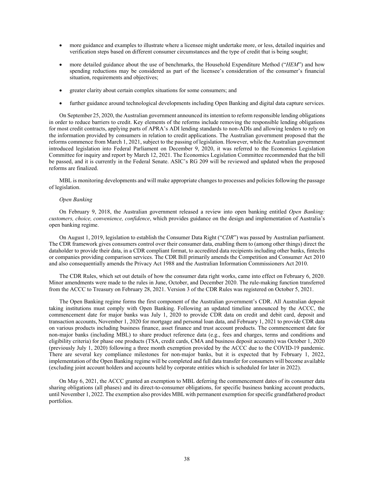- more guidance and examples to illustrate where a licensee might undertake more, or less, detailed inquiries and verification steps based on different consumer circumstances and the type of credit that is being sought;
- more detailed guidance about the use of benchmarks, the Household Expenditure Method ("*HEM*") and how spending reductions may be considered as part of the licensee's consideration of the consumer's financial situation, requirements and objectives;
- greater clarity about certain complex situations for some consumers; and
- further guidance around technological developments including Open Banking and digital data capture services.

On September 25, 2020, the Australian government announced its intention to reform responsible lending obligations in order to reduce barriers to credit. Key elements of the reforms include removing the responsible lending obligations for most credit contracts, applying parts of APRA's ADI lending standards to non-ADIs and allowing lenders to rely on the information provided by consumers in relation to credit applications. The Australian government proposed that the reforms commence from March 1, 2021, subject to the passing of legislation. However, while the Australian government introduced legislation into Federal Parliament on December 9, 2020, it was referred to the Economics Legislation Committee for inquiry and report by March 12, 2021. The Economics Legislation Committee recommended that the bill be passed, and it is currently in the Federal Senate. ASIC's RG 209 will be reviewed and updated when the proposed reforms are finalized.

MBL is monitoring developments and will make appropriate changes to processes and policies following the passage of legislation.

#### *Open Banking*

On February 9, 2018, the Australian government released a review into open banking entitled *Open Banking: customers, choice, convenience, confidence*, which provides guidance on the design and implementation of Australia's open banking regime.

On August 1, 2019, legislation to establish the Consumer Data Right ("*CDR*") was passed by Australian parliament. The CDR framework gives consumers control over their consumer data, enabling them to (among other things) direct the dataholder to provide their data, in a CDR compliant format, to accredited data recipients including other banks, fintechs or companies providing comparison services. The CDR Bill primarily amends the Competition and Consumer Act 2010 and also consequentially amends the Privacy Act 1988 and the Australian Information Commissioners Act 2010.

The CDR Rules, which set out details of how the consumer data right works, came into effect on February 6, 2020. Minor amendments were made to the rules in June, October, and December 2020. The rule-making function transferred from the ACCC to Treasury on February 28, 2021. Version 3 of the CDR Rules was registered on October 5, 2021.

The Open Banking regime forms the first component of the Australian government's CDR. All Australian deposit taking institutions must comply with Open Banking. Following an updated timeline announced by the ACCC, the commencement date for major banks was July 1, 2020 to provide CDR data on credit and debit card, deposit and transaction accounts, November 1, 2020 for mortgage and personal loan data, and February 1, 2021 to provide CDR data on various products including business finance, asset finance and trust account products. The commencement date for non-major banks (including MBL) to share product reference data (e.g., fees and charges, terms and conditions and eligibility criteria) for phase one products (TSA, credit cards, CMA and business deposit accounts) was October 1, 2020 (previously July 1, 2020) following a three month exemption provided by the ACCC due to the COVID-19 pandemic. There are several key compliance milestones for non-major banks, but it is expected that by February 1, 2022, implementation of the Open Banking regime will be completed and full data transfer for consumers will become available (excluding joint account holders and accounts held by corporate entities which is scheduled for later in 2022).

On May 6, 2021, the ACCC granted an exemption to MBL deferring the commencement dates of its consumer data sharing obligations (all phases) and its direct-to-consumer obligations, for specific business banking account products, until November 1, 2022. The exemption also provides MBL with permanent exemption for specific grandfathered product portfolios.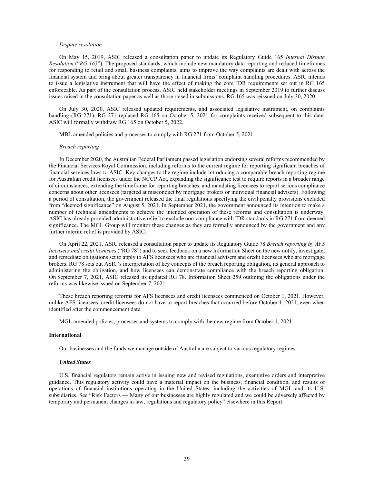#### *Dispute resolution*

On May 15, 2019, ASIC released a consultation paper to update its Regulatory Guide 165 *Internal Dispute Resolution* ("*RG 165*"). The proposed standards, which include new mandatory data reporting and reduced timeframes for responding to retail and small business complaints, aims to improve the way complaints are dealt with across the financial system and bring about greater transparency in financial firms' complaint handling procedures. ASIC intends to issue a legislative instrument that will have the effect of making the core IDR requirements set out in RG 165 enforceable. As part of the consultation process, ASIC held stakeholder meetings in September 2019 to further discuss issues raised in the consultation paper as well as those raised in submissions. RG 165 was reissued on July 30, 2020.

On July 30, 2020, ASIC released updated requirements, and associated legislative instrument, on complaints handling (RG 271). RG 271 replaced RG 165 on October 5, 2021 for complaints received subsequent to this date. ASIC will formally withdraw RG 165 on October 5, 2022.

MBL amended policies and processes to comply with RG 271 from October 5, 2021.

#### *Breach reporting*

In December 2020, the Australian Federal Parliament passed legislation endorsing several reforms recommended by the Financial Services Royal Commission, including reforms to the current regime for reporting significant breaches of financial services laws to ASIC. Key changes to the regime include introducing a comparable breach reporting regime for Australian credit licensees under the NCCP Act, expanding the significance test to require reports in a broader range of circumstances, extending the timeframe for reporting breaches, and mandating licensees to report serious compliance concerns about other licensees (targeted at misconduct by mortgage brokers or individual financial advisers). Following a period of consultation, the government released the final regulations specifying the civil penalty provisions excluded from "deemed significance" on August 5, 2021. In September 2021, the government announced its intention to make a number of technical amendments to achieve the intended operation of these reforms and consultation is underway. ASIC has already provided administrative relief to exclude non-compliance with IDR standards in RG 271 from deemed significance. The MGL Group will monitor these changes as they are formally announced by the government and any further interim relief is provided by ASIC.

On April 22, 2021, ASIC released a consultation paper to update its Regulatory Guide 78 *Breach reporting by AFS licensees and credit licensees* ("RG 78") and to seek feedback on a new Information Sheet on the new notify, investigate, and remediate obligations set to apply to AFS licensees who are financial advisers and credit licensees who are mortgage brokers. RG 78 sets out ASIC's interpretation of key concepts of the breach reporting obligation, its general approach to administering the obligation, and how licensees can demonstrate compliance with the breach reporting obligation. On September 7, 2021, ASIC released its updated RG 78. Information Sheet 259 outlining the obligations under the reforms was likewise issued on September 7, 2021.

These breach reporting reforms for AFS licensees and credit licensees commenced on October 1, 2021. However, unlike AFS licensees, credit licensees do not have to report breaches that occurred before October 1, 2021, even when identified after the commencement date.

MGL amended policies, processes and systems to comply with the new regime from October 1, 2021.

## **International**

Our businesses and the funds we manage outside of Australia are subject to various regulatory regimes.

## *United States*

U.S. financial regulators remain active in issuing new and revised regulations, exemptive orders and interpretive guidance. This regulatory activity could have a material impact on the business, financial condition, and results of operations of financial institutions operating in the United States, including the activities of MGL and its U.S. subsidiaries. See "Risk Factors — Many of our businesses are highly regulated and we could be adversely affected by temporary and permanent changes in law, regulations and regulatory policy" elsewhere in this Report.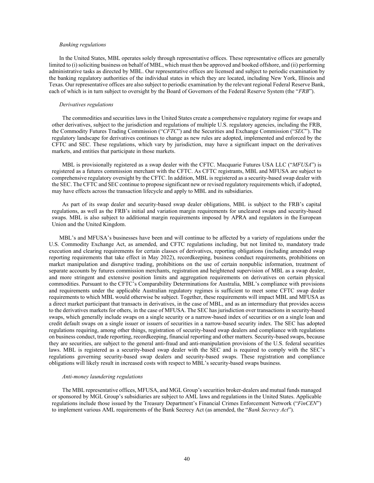#### *Banking regulations*

In the United States, MBL operates solely through representative offices. These representative offices are generally limited to (i) soliciting business on behalf of MBL, which must then be approved and booked offshore, and (ii) performing administrative tasks as directed by MBL. Our representative offices are licensed and subject to periodic examination by the banking regulatory authorities of the individual states in which they are located, including New York, Illinois and Texas. Our representative offices are also subject to periodic examination by the relevant regional Federal Reserve Bank, each of which is in turn subject to oversight by the Board of Governors of the Federal Reserve System (the "*FRB*").

## *Derivatives regulations*

The commodities and securities laws in the United States create a comprehensive regulatory regime for swaps and other derivatives, subject to the jurisdiction and regulations of multiple U.S. regulatory agencies, including the FRB, the Commodity Futures Trading Commission ("*CFTC*") and the Securities and Exchange Commission ("*SEC*"). The regulatory landscape for derivatives continues to change as new rules are adopted, implemented and enforced by the CFTC and SEC. These regulations, which vary by jurisdiction, may have a significant impact on the derivatives markets, and entities that participate in those markets.

MBL is provisionally registered as a swap dealer with the CFTC. Macquarie Futures USA LLC ("*MFUSA*") is registered as a futures commission merchant with the CFTC. As CFTC registrants, MBL and MFUSA are subject to comprehensive regulatory oversight by the CFTC. In addition, MBL is registered as a security-based swap dealer with the SEC. The CFTC and SEC continue to propose significant new or revised regulatory requirements which, if adopted, may have effects across the transaction lifecycle and apply to MBL and its subsidiaries.

As part of its swap dealer and security-based swap dealer obligations, MBL is subject to the FRB's capital regulations, as well as the FRB's initial and variation margin requirements for uncleared swaps and security-based swaps. MBL is also subject to additional margin requirements imposed by APRA and regulators in the European Union and the United Kingdom.

MBL's and MFUSA's businesses have been and will continue to be affected by a variety of regulations under the U.S. Commodity Exchange Act, as amended, and CFTC regulations including, but not limited to, mandatory trade execution and clearing requirements for certain classes of derivatives, reporting obligations (including amended swap reporting requirements that take effect in May 2022), recordkeeping, business conduct requirements, prohibitions on market manipulation and disruptive trading, prohibitions on the use of certain nonpublic information, treatment of separate accounts by futures commission merchants, registration and heightened supervision of MBL as a swap dealer, and more stringent and extensive position limits and aggregation requirements on derivatives on certain physical commodities. Pursuant to the CFTC's Comparability Determinations for Australia, MBL's compliance with provisions and requirements under the applicable Australian regulatory regimes is sufficient to meet some CFTC swap dealer requirements to which MBL would otherwise be subject. Together, these requirements will impact MBL and MFUSA as a direct market participant that transacts in derivatives, in the case of MBL, and as an intermediary that provides access to the derivatives markets for others, in the case of MFUSA. The SEC has jurisdiction over transactions in security-based swaps, which generally include swaps on a single security or a narrow-based index of securities or on a single loan and credit default swaps on a single issuer or issuers of securities in a narrow-based security index. The SEC has adopted regulations requiring, among other things, registration of security-based swap dealers and compliance with regulations on business conduct, trade reporting, recordkeeping, financial reporting and other matters. Security-based swaps, because they are securities, are subject to the general anti-fraud and anti-manipulation provisions of the U.S. federal securities laws. MBL is registered as a security-based swap dealer with the SEC and is required to comply with the SEC's regulations governing security-based swap dealers and security-based swaps. These registration and compliance obligations will likely result in increased costs with respect to MBL's security-based swaps business.

## *Anti-money laundering regulations*

The MBL representative offices, MFUSA, and MGL Group's securities broker-dealers and mutual funds managed or sponsored by MGL Group's subsidiaries are subject to AML laws and regulations in the United States. Applicable regulations include those issued by the Treasury Department's Financial Crimes Enforcement Network ("*FinCEN*") to implement various AML requirements of the Bank Secrecy Act (as amended, the "*Bank Secrecy Act*").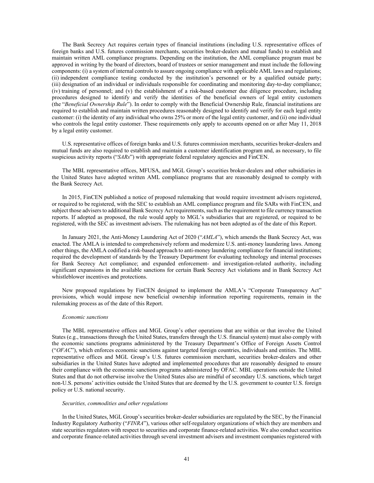The Bank Secrecy Act requires certain types of financial institutions (including U.S. representative offices of foreign banks and U.S. futures commission merchants, securities broker-dealers and mutual funds) to establish and maintain written AML compliance programs. Depending on the institution, the AML compliance program must be approved in writing by the board of directors, board of trustees or senior management and must include the following components: (i) a system of internal controls to assure ongoing compliance with applicable AML laws and regulations; (ii) independent compliance testing conducted by the institution's personnel or by a qualified outside party; (iii) designation of an individual or individuals responsible for coordinating and monitoring day-to-day compliance; (iv) training of personnel; and (v) the establishment of a risk-based customer due diligence procedure, including procedures designed to identify and verify the identities of the beneficial owners of legal entity customers (the "*Beneficial Ownership Rule*"). In order to comply with the Beneficial Ownership Rule, financial institutions are required to establish and maintain written procedures reasonably designed to identify and verify for each legal entity customer: (i) the identity of any individual who owns 25% or more of the legal entity customer, and (ii) one individual who controls the legal entity customer. These requirements only apply to accounts opened on or after May 11, 2018 by a legal entity customer.

U.S. representative offices of foreign banks and U.S. futures commission merchants, securities broker-dealers and mutual funds are also required to establish and maintain a customer identification program and, as necessary, to file suspicious activity reports ("*SARs*") with appropriate federal regulatory agencies and FinCEN.

The MBL representative offices, MFUSA, and MGL Group's securities broker-dealers and other subsidiaries in the United States have adopted written AML compliance programs that are reasonably designed to comply with the Bank Secrecy Act.

In 2015, FinCEN published a notice of proposed rulemaking that would require investment advisers registered, or required to be registered, with the SEC to establish an AML compliance program and file SARs with FinCEN, and subject those advisers to additional Bank Secrecy Act requirements, such as the requirement to file currency transaction reports. If adopted as proposed, the rule would apply to MGL's subsidiaries that are registered, or required to be registered, with the SEC as investment advisers. The rulemaking has not been adopted as of the date of this Report.

In January 2021, the Anti-Money Laundering Act of 2020 ("*AMLA*"), which amends the Bank Secrecy Act, was enacted. The AMLA is intended to comprehensively reform and modernize U.S. anti-money laundering laws. Among other things, the AMLA codified a risk-based approach to anti-money laundering compliance for financial institutions; required the development of standards by the Treasury Department for evaluating technology and internal processes for Bank Secrecy Act compliance; and expanded enforcement- and investigation-related authority, including significant expansions in the available sanctions for certain Bank Secrecy Act violations and in Bank Secrecy Act whistleblower incentives and protections.

New proposed regulations by FinCEN designed to implement the AMLA's "Corporate Transparency Act" provisions, which would impose new beneficial ownership information reporting requirements, remain in the rulemaking process as of the date of this Report.

#### *Economic sanctions*

The MBL representative offices and MGL Group's other operations that are within or that involve the United States (e.g., transactions through the United States, transfers through the U.S. financial system) must also comply with the economic sanctions programs administered by the Treasury Department's Office of Foreign Assets Control ("*OFAC*"), which enforces economic sanctions against targeted foreign countries, individuals and entities. The MBL representative offices and MGL Group's U.S. futures commission merchant, securities broker-dealers and other subsidiaries in the United States have adopted and implemented procedures that are reasonably designed to ensure their compliance with the economic sanctions programs administered by OFAC. MBL operations outside the United States and that do not otherwise involve the United States also are mindful of secondary U.S. sanctions, which target non-U.S. persons' activities outside the United States that are deemed by the U.S. government to counter U.S. foreign policy or U.S. national security.

## *Securities, commodities and other regulations*

In the United States, MGL Group's securities broker-dealer subsidiaries are regulated by the SEC, by the Financial Industry Regulatory Authority ("*FINRA*"), various other self-regulatory organizations of which they are members and state securities regulators with respect to securities and corporate finance-related activities. We also conduct securities and corporate finance-related activities through several investment advisers and investment companies registered with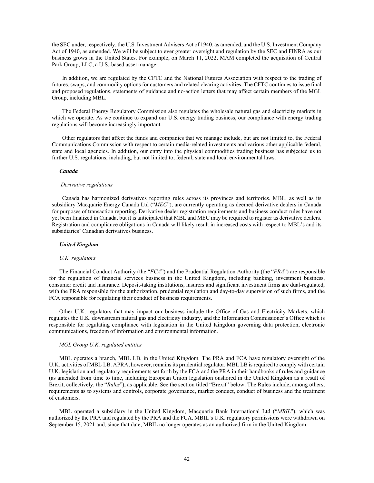the SEC under, respectively, the U.S. Investment Advisers Act of 1940, as amended, and the U.S. Investment Company Act of 1940, as amended. We will be subject to ever greater oversight and regulation by the SEC and FINRA as our business grows in the United States. For example, on March 11, 2022, MAM completed the acquisition of Central Park Group, LLC, a U.S.-based asset manager.

In addition, we are regulated by the CFTC and the National Futures Association with respect to the trading of futures, swaps, and commodity options for customers and related clearing activities. The CFTC continues to issue final and proposed regulations, statements of guidance and no-action letters that may affect certain members of the MGL Group, including MBL.

The Federal Energy Regulatory Commission also regulates the wholesale natural gas and electricity markets in which we operate. As we continue to expand our U.S. energy trading business, our compliance with energy trading regulations will become increasingly important.

Other regulators that affect the funds and companies that we manage include, but are not limited to, the Federal Communications Commission with respect to certain media-related investments and various other applicable federal, state and local agencies. In addition, our entry into the physical commodities trading business has subjected us to further U.S. regulations, including, but not limited to, federal, state and local environmental laws.

## *Canada*

#### *Derivative regulations*

Canada has harmonized derivatives reporting rules across its provinces and territories. MBL, as well as its subsidiary Macquarie Energy Canada Ltd ("*MEC*"), are currently operating as deemed derivative dealers in Canada for purposes of transaction reporting. Derivative dealer registration requirements and business conduct rules have not yet been finalized in Canada, but it is anticipated that MBL and MEC may be required to register as derivative dealers. Registration and compliance obligations in Canada will likely result in increased costs with respect to MBL's and its subsidiaries' Canadian derivatives business.

## *United Kingdom*

#### *U.K. regulators*

The Financial Conduct Authority (the "*FCA*") and the Prudential Regulation Authority (the "*PRA*") are responsible for the regulation of financial services business in the United Kingdom, including banking, investment business, consumer credit and insurance. Deposit-taking institutions, insurers and significant investment firms are dual-regulated, with the PRA responsible for the authorization, prudential regulation and day-to-day supervision of such firms, and the FCA responsible for regulating their conduct of business requirements.

Other U.K. regulators that may impact our business include the Office of Gas and Electricity Markets, which regulates the U.K. downstream natural gas and electricity industry, and the Information Commissioner's Office which is responsible for regulating compliance with legislation in the United Kingdom governing data protection, electronic communications, freedom of information and environmental information.

## *MGL Group U.K. regulated entities*

MBL operates a branch, MBL LB, in the United Kingdom. The PRA and FCA have regulatory oversight of the U.K. activities of MBL LB. APRA, however, remains its prudential regulator. MBL LB is required to comply with certain U.K. legislation and regulatory requirements set forth by the FCA and the PRA in their handbooks of rules and guidance (as amended from time to time, including European Union legislation onshored in the United Kingdom as a result of Brexit, collectively, the "*Rules*"), as applicable. See the section titled "Brexit" below. The Rules include, among others, requirements as to systems and controls, corporate governance, market conduct, conduct of business and the treatment of customers.

MBL operated a subsidiary in the United Kingdom, Macquarie Bank International Ltd ("*MBIL*"), which was authorized by the PRA and regulated by the PRA and the FCA. MBIL's U.K. regulatory permissions were withdrawn on September 15, 2021 and, since that date, MBIL no longer operates as an authorized firm in the United Kingdom.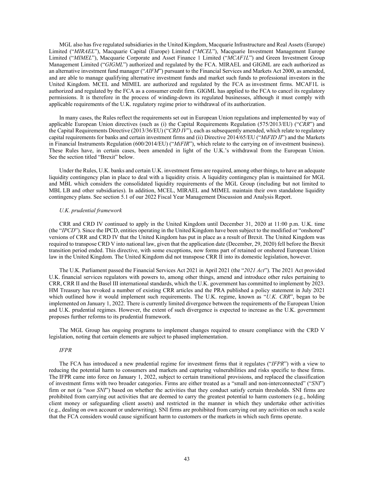MGL also has five regulated subsidiaries in the United Kingdom, Macquarie Infrastructure and Real Assets (Europe) Limited ("*MIRAEL*"), Macquarie Capital (Europe) Limited ("*MCEL*"), Macquarie Investment Management Europe Limited ("*MIMEL*"), Macquarie Corporate and Asset Finance 1 Limited ("*MCAF1L*") and Green Investment Group Management Limited ("*GIGML*") authorized and regulated by the FCA. MIRAEL and GIGML are each authorized as an alternative investment fund manager ("*AIFM*") pursuant to the Financial Services and Markets Act 2000, as amended, and are able to manage qualifying alternative investment funds and market such funds to professional investors in the United Kingdom. MCEL and MIMEL are authorized and regulated by the FCA as investment firms. MCAF1L is authorized and regulated by the FCA as a consumer credit firm. GIGML has applied to the FCA to cancel its regulatory permissions. It is therefore in the process of winding-down its regulated businesses, although it must comply with applicable requirements of the U.K. regulatory regime prior to withdrawal of its authorization.

In many cases, the Rules reflect the requirements set out in European Union regulations and implemented by way of applicable European Union directives (such as (i) the Capital Requirements Regulation (575/2013/EU) ("*CRR*") and the Capital Requirements Directive (2013/36/EU) ("*CRD IV*"), each as subsequently amended, which relate to regulatory capital requirements for banks and certain investment firms and (ii) Directive 2014/65/EU ("*MiFID II*") and the Markets in Financial Instruments Regulation (600/2014/EU) ("*MiFIR*"), which relate to the carrying on of investment business). These Rules have, in certain cases, been amended in light of the U.K.'s withdrawal from the European Union. See the section titled "Brexit" below.

Under the Rules, U.K. banks and certain U.K. investment firms are required, among other things, to have an adequate liquidity contingency plan in place to deal with a liquidity crisis. A liquidity contingency plan is maintained for MGL and MBL which considers the consolidated liquidity requirements of the MGL Group (including but not limited to MBL LB and other subsidiaries). In addition, MCEL, MIRAEL and MIMEL maintain their own standalone liquidity contingency plans. See section 5.1 of our 2022 Fiscal Year Management Discussion and Analysis Report.

## *U.K. prudential framework*

CRR and CRD IV continued to apply in the United Kingdom until December 31, 2020 at 11:00 p.m. U.K. time (the "*IPCD*"). Since the IPCD, entities operating in the United Kingdom have been subject to the modified or "onshored" versions of CRR and CRD IV that the United Kingdom has put in place as a result of Brexit. The United Kingdom was required to transpose CRD V into national law, given that the application date (December, 29, 2020) fell before the Brexit transition period ended. This directive, with some exceptions, now forms part of retained or onshored European Union law in the United Kingdom. The United Kingdom did not transpose CRR II into its domestic legislation, however.

The U.K. Parliament passed the Financial Services Act 2021 in April 2021 (the "*2021 Act*"). The 2021 Act provided U.K. financial services regulators with powers to, among other things, amend and introduce other rules pertaining to CRR, CRR II and the Basel III international standards, which the U.K. government has committed to implement by 2023. HM Treasury has revoked a number of existing CRR articles and the PRA published a policy statement in July 2021 which outlined how it would implement such requirements. The U.K. regime, known as "U.K. CRR", began to be implemented on January 1, 2022. There is currently limited divergence between the requirements of the European Union and U.K. prudential regimes. However, the extent of such divergence is expected to increase as the U.K. government proposes further reforms to its prudential framework.

The MGL Group has ongoing programs to implement changes required to ensure compliance with the CRD V legislation, noting that certain elements are subject to phased implementation.

## *IFPR*

The FCA has introduced a new prudential regime for investment firms that it regulates ("*IFPR*") with a view to reducing the potential harm to consumers and markets and capturing vulnerabilities and risks specific to these firms. The IFPR came into force on January 1, 2022, subject to certain transitional provisions, and replaced the classification of investment firms with two broader categories. Firms are either treated as a "small and non-interconnected" ("*SNI*") firm or not (a "*non SNI*") based on whether the activities that they conduct satisfy certain thresholds. SNI firms are prohibited from carrying out activities that are deemed to carry the greatest potential to harm customers (e.g., holding client money or safeguarding client assets) and restricted in the manner in which they undertake other activities (e.g., dealing on own account or underwriting). SNI firms are prohibited from carrying out any activities on such a scale that the FCA considers would cause significant harm to customers or the markets in which such firms operate.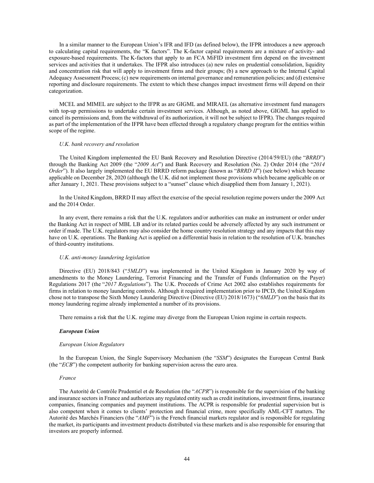In a similar manner to the European Union's IFR and IFD (as defined below), the IFPR introduces a new approach to calculating capital requirements, the "K factors". The K-factor capital requirements are a mixture of activity- and exposure-based requirements. The K-factors that apply to an FCA MiFID investment firm depend on the investment services and activities that it undertakes. The IFPR also introduces (a) new rules on prudential consolidation, liquidity and concentration risk that will apply to investment firms and their groups; (b) a new approach to the Internal Capital Adequacy Assessment Process; (c) new requirements on internal governance and remuneration policies; and (d) extensive reporting and disclosure requirements. The extent to which these changes impact investment firms will depend on their categorization.

MCEL and MIMEL are subject to the IFPR as are GIGML and MIRAEL (as alternative investment fund managers with top-up permissions to undertake certain investment services. Although, as noted above, GIGML has applied to cancel its permissions and, from the withdrawal of its authorization, it will not be subject to IFPR). The changes required as part of the implementation of the IFPR have been effected through a regulatory change program for the entities within scope of the regime.

#### *U.K. bank recovery and resolution*

The United Kingdom implemented the EU Bank Recovery and Resolution Directive (2014/59/EU) (the "*BRRD*") through the Banking Act 2009 (the "*2009 Act*") and Bank Recovery and Resolution (No. 2) Order 2014 (the "*2014 Order*"). It also largely implemented the EU BRRD reform package (known as "*BRRD II*") (see below) which became applicable on December 28, 2020 (although the U.K. did not implement those provisions which became applicable on or after January 1, 2021. These provisions subject to a "sunset" clause which disapplied them from January 1, 2021).

In the United Kingdom, BRRD II may affect the exercise of the special resolution regime powers under the 2009 Act and the 2014 Order.

In any event, there remains a risk that the U.K. regulators and/or authorities can make an instrument or order under the Banking Act in respect of MBL LB and/or its related parties could be adversely affected by any such instrument or order if made. The U.K. regulators may also consider the home country resolution strategy and any impacts that this may have on U.K. operations. The Banking Act is applied on a differential basis in relation to the resolution of U.K. branches of third-country institutions.

#### *U.K. anti-money laundering legislation*

Directive (EU) 2018/843 ("*5MLD*") was implemented in the United Kingdom in January 2020 by way of amendments to the Money Laundering, Terrorist Financing and the Transfer of Funds (Information on the Payer) Regulations 2017 (the "*2017 Regulations*"). The U.K. Proceeds of Crime Act 2002 also establishes requirements for firms in relation to money laundering controls. Although it required implementation prior to IPCD, the United Kingdom chose not to transpose the Sixth Money Laundering Directive (Directive (EU) 2018/1673) ("*6MLD*") on the basis that its money laundering regime already implemented a number of its provisions.

There remains a risk that the U.K. regime may diverge from the European Union regime in certain respects.

#### *European Union*

#### *European Union Regulators*

In the European Union, the Single Supervisory Mechanism (the "*SSM*") designates the European Central Bank (the "*ECB*") the competent authority for banking supervision across the euro area.

#### *France*

The Autorité de Contrôle Prudentiel et de Resolution (the "*ACPR*") is responsible for the supervision of the banking and insurance sectors in France and authorizes any regulated entity such as credit institutions, investment firms, insurance companies, financing companies and payment institutions. The ACPR is responsible for prudential supervision but is also competent when it comes to clients' protection and financial crime, more specifically AML-CFT matters. The Autorité des Marchés Financiers (the "*AMF*") is the French financial markets regulator and is responsible for regulating the market, its participants and investment products distributed via these markets and is also responsible for ensuring that investors are properly informed.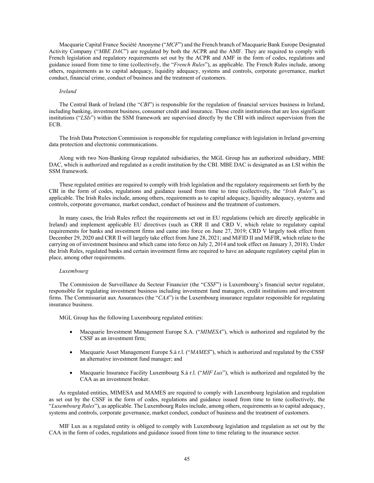Macquarie Capital France Société Anonyme ("*MCF*") and the French branch of Macquarie Bank Europe Designated Activity Company ("*MBE DAC*") are regulated by both the ACPR and the AMF. They are required to comply with French legislation and regulatory requirements set out by the ACPR and AMF in the form of codes, regulations and guidance issued from time to time (collectively, the "*French Rules*"), as applicable. The French Rules include, among others, requirements as to capital adequacy, liquidity adequacy, systems and controls, corporate governance, market conduct, financial crime, conduct of business and the treatment of customers.

#### *Ireland*

The Central Bank of Ireland (the "*CBI*") is responsible for the regulation of financial services business in Ireland, including banking, investment business, consumer credit and insurance. Those credit institutions that are less significant institutions ("*LSIs*") within the SSM framework are supervised directly by the CBI with indirect supervision from the ECB.

The Irish Data Protection Commission is responsible for regulating compliance with legislation in Ireland governing data protection and electronic communications.

Along with two Non-Banking Group regulated subsidiaries, the MGL Group has an authorized subsidiary, MBE DAC, which is authorized and regulated as a credit institution by the CBI. MBE DAC is designated as an LSI within the SSM framework.

These regulated entities are required to comply with Irish legislation and the regulatory requirements set forth by the CBI in the form of codes, regulations and guidance issued from time to time (collectively, the "*Irish Rules*"), as applicable. The Irish Rules include, among others, requirements as to capital adequacy, liquidity adequacy, systems and controls, corporate governance, market conduct, conduct of business and the treatment of customers.

In many cases, the Irish Rules reflect the requirements set out in EU regulations (which are directly applicable in Ireland) and implement applicable EU directives (such as CRR II and CRD V, which relate to regulatory capital requirements for banks and investment firms and came into force on June 27, 2019; CRD V largely took effect from December 29, 2020 and CRR II will largely take effect from June 28, 2021; and MiFID II and MiFIR, which relate to the carrying on of investment business and which came into force on July 2, 2014 and took effect on January 3, 2018). Under the Irish Rules, regulated banks and certain investment firms are required to have an adequate regulatory capital plan in place, among other requirements.

#### *Luxembourg*

The Commission de Surveillance du Secteur Financier (the "*CSSF*") is Luxembourg's financial sector regulator, responsible for regulating investment business including investment fund managers, credit institutions and investment firms. The Commissariat aux Assurances (the "*CAA*") is the Luxembourg insurance regulator responsible for regulating insurance business.

MGL Group has the following Luxembourg regulated entities:

- Macquarie Investment Management Europe S.A. ("*MIMESA*"), which is authorized and regulated by the CSSF as an investment firm;
- Macquarie Asset Management Europe S.à r.l. ("*MAMES*"), which is authorized and regulated by the CSSF an alternative investment fund manager; and
- Macquarie Insurance Facility Luxembourg S.à r.l. ("*MIF Lux*"), which is authorized and regulated by the CAA as an investment broker.

As regulated entities, MIMESA and MAMES are required to comply with Luxembourg legislation and regulation as set out by the CSSF in the form of codes, regulations and guidance issued from time to time (collectively, the "*Luxembourg Rules*"), as applicable. The Luxembourg Rules include, among others, requirements as to capital adequacy, systems and controls, corporate governance, market conduct, conduct of business and the treatment of customers.

MIF Lux as a regulated entity is obliged to comply with Luxembourg legislation and regulation as set out by the CAA in the form of codes, regulations and guidance issued from time to time relating to the insurance sector.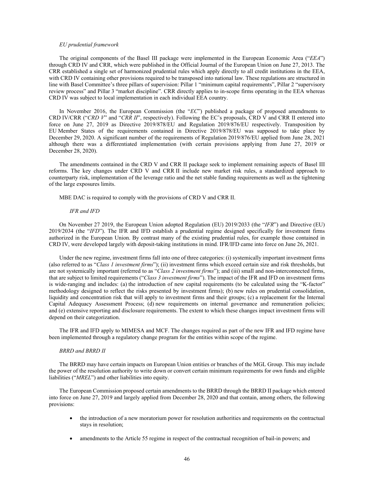#### *EU prudential framework*

The original components of the Basel III package were implemented in the European Economic Area ("*EEA*") through CRD IV and CRR, which were published in the Official Journal of the European Union on June 27, 2013. The CRR established a single set of harmonized prudential rules which apply directly to all credit institutions in the EEA, with CRD IV containing other provisions required to be transposed into national law. These regulations are structured in line with Basel Committee's three pillars of supervision: Pillar 1 "minimum capital requirements", Pillar 2 "supervisory review process" and Pillar 3 "market discipline". CRR directly applies to in-scope firms operating in the EEA whereas CRD IV was subject to local implementation in each individual EEA country.

In November 2016, the European Commission (the "*EC*") published a package of proposed amendments to CRD IV/CRR ("*CRD V*" and "*CRR II*", respectively). Following the EC's proposals, CRD V and CRR II entered into force on June 27, 2019 as Directive 2019/878/EU and Regulation 2019/876/EU respectively. Transposition by EU Member States of the requirements contained in Directive 2019/878/EU was supposed to take place by December 29, 2020. A significant number of the requirements of Regulation 2019/876/EU applied from June 28, 2021 although there was a differentiated implementation (with certain provisions applying from June 27, 2019 or December 28, 2020).

The amendments contained in the CRD V and CRR II package seek to implement remaining aspects of Basel III reforms. The key changes under CRD V and CRR II include new market risk rules, a standardized approach to counterparty risk, implementation of the leverage ratio and the net stable funding requirements as well as the tightening of the large exposures limits.

MBE DAC is required to comply with the provisions of CRD V and CRR II.

## *IFR and IFD*

On November 27 2019, the European Union adopted Regulation (EU) 2019/2033 (the "*IFR*") and Directive (EU) 2019/2034 (the "*IFD*"). The IFR and IFD establish a prudential regime designed specifically for investment firms authorized in the European Union. By contrast many of the existing prudential rules, for example those contained in CRD IV, were developed largely with deposit-taking institutions in mind. IFR/IFD came into force on June 26, 2021.

Under the new regime, investment firms fall into one of three categories: (i) systemically important investment firms (also referred to as "*Class 1 investment firms*"); (ii) investment firms which exceed certain size and risk thresholds, but are not systemically important (referred to as "*Class 2 investment firms*"); and (iii) small and non-interconnected firms, that are subject to limited requirements ("*Class 3 investment firms*"). The impact of the IFR and IFD on investment firms is wide-ranging and includes: (a) the introduction of new capital requirements (to be calculated using the "K-factor" methodology designed to reflect the risks presented by investment firms); (b) new rules on prudential consolidation, liquidity and concentration risk that will apply to investment firms and their groups; (c) a replacement for the Internal Capital Adequacy Assessment Process; (d) new requirements on internal governance and remuneration policies; and (e) extensive reporting and disclosure requirements. The extent to which these changes impact investment firms will depend on their categorization.

The IFR and IFD apply to MIMESA and MCF. The changes required as part of the new IFR and IFD regime have been implemented through a regulatory change program for the entities within scope of the regime.

#### *BRRD and BRRD II*

The BRRD may have certain impacts on European Union entities or branches of the MGL Group. This may include the power of the resolution authority to write down or convert certain minimum requirements for own funds and eligible liabilities ("*MREL*") and other liabilities into equity.

The European Commission proposed certain amendments to the BRRD through the BRRD II package which entered into force on June 27, 2019 and largely applied from December 28, 2020 and that contain, among others, the following provisions:

- the introduction of a new moratorium power for resolution authorities and requirements on the contractual stays in resolution;
- amendments to the Article 55 regime in respect of the contractual recognition of bail-in powers; and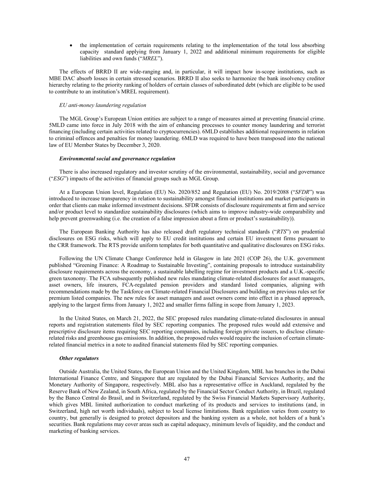• the implementation of certain requirements relating to the implementation of the total loss absorbing capacity standard applying from January 1, 2022 and additional minimum requirements for eligible liabilities and own funds ("*MREL*").

The effects of BRRD II are wide-ranging and, in particular, it will impact how in-scope institutions, such as MBE DAC absorb losses in certain stressed scenarios. BRRD II also seeks to harmonize the bank insolvency creditor hierarchy relating to the priority ranking of holders of certain classes of subordinated debt (which are eligible to be used to contribute to an institution's MREL requirement).

## *EU anti-money laundering regulation*

The MGL Group's European Union entities are subject to a range of measures aimed at preventing financial crime. 5MLD came into force in July 2018 with the aim of enhancing processes to counter money laundering and terrorist financing (including certain activities related to cryptocurrencies). 6MLD establishes additional requirements in relation to criminal offences and penalties for money laundering. 6MLD was required to have been transposed into the national law of EU Member States by December 3, 2020.

#### *Environmental social and governance regulation*

There is also increased regulatory and investor scrutiny of the environmental, sustainability, social and governance ("*ESG*") impacts of the activities of financial groups such as MGL Group.

At a European Union level, Regulation (EU) No. 2020/852 and Regulation (EU) No. 2019/2088 ("*SFDR*") was introduced to increase transparency in relation to sustainability amongst financial institutions and market participants in order that clients can make informed investment decisions. SFDR consists of disclosure requirements at firm and service and/or product level to standardize sustainability disclosures (which aims to improve industry-wide comparability and help prevent greenwashing (i.e. the creation of a false impression about a firm or product's sustainability)).

The European Banking Authority has also released draft regulatory technical standards ("*RTS*") on prudential disclosures on ESG risks, which will apply to EU credit institutions and certain EU investment firms pursuant to the CRR framework. The RTS provide uniform templates for both quantitative and qualitative disclosures on ESG risks.

Following the UN Climate Change Conference held in Glasgow in late 2021 (COP 26), the U.K. government published "Greening Finance: A Roadmap to Sustainable Investing", containing proposals to introduce sustainability disclosure requirements across the economy, a sustainable labelling regime for investment products and a U.K.-specific green taxonomy. The FCA subsequently published new rules mandating climate-related disclosures for asset managers, asset owners, life insurers, FCA-regulated pension providers and standard listed companies, aligning with recommendations made by the Taskforce on Climate-related Financial Disclosures and building on previous rules set for premium listed companies. The new rules for asset managers and asset owners come into effect in a phased approach, applying to the largest firms from January 1, 2022 and smaller firms falling in scope from January 1, 2023.

In the United States, on March 21, 2022, the SEC proposed rules mandating climate-related disclosures in annual reports and registration statements filed by SEC reporting companies. The proposed rules would add extensive and prescriptive disclosure items requiring SEC reporting companies, including foreign private issuers, to disclose climaterelated risks and greenhouse gas emissions. In addition, the proposed rules would require the inclusion of certain climaterelated financial metrics in a note to audited financial statements filed by SEC reporting companies.

#### *Other regulators*

Outside Australia, the United States, the European Union and the United Kingdom, MBL has branches in the Dubai International Finance Centre, and Singapore that are regulated by the Dubai Financial Services Authority, and the Monetary Authority of Singapore, respectively. MBL also has a representative office in Auckland, regulated by the Reserve Bank of New Zealand, in South Africa, regulated by the Financial Sector Conduct Authority, in Brazil, regulated by the Banco Central do Brasil, and in Switzerland, regulated by the Swiss Financial Markets Supervisory Authority, which gives MBL limited authorization to conduct marketing of its products and services to institutions (and, in Switzerland, high net worth individuals), subject to local license limitations. Bank regulation varies from country to country, but generally is designed to protect depositors and the banking system as a whole, not holders of a bank's securities. Bank regulations may cover areas such as capital adequacy, minimum levels of liquidity, and the conduct and marketing of banking services.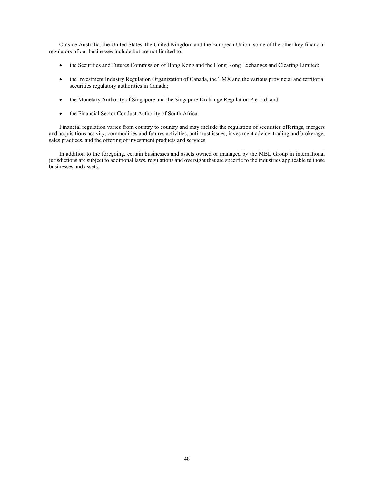Outside Australia, the United States, the United Kingdom and the European Union, some of the other key financial regulators of our businesses include but are not limited to:

- the Securities and Futures Commission of Hong Kong and the Hong Kong Exchanges and Clearing Limited;
- the Investment Industry Regulation Organization of Canada, the TMX and the various provincial and territorial securities regulatory authorities in Canada;
- the Monetary Authority of Singapore and the Singapore Exchange Regulation Pte Ltd; and
- the Financial Sector Conduct Authority of South Africa.

Financial regulation varies from country to country and may include the regulation of securities offerings, mergers and acquisitions activity, commodities and futures activities, anti-trust issues, investment advice, trading and brokerage, sales practices, and the offering of investment products and services.

In addition to the foregoing, certain businesses and assets owned or managed by the MBL Group in international jurisdictions are subject to additional laws, regulations and oversight that are specific to the industries applicable to those businesses and assets.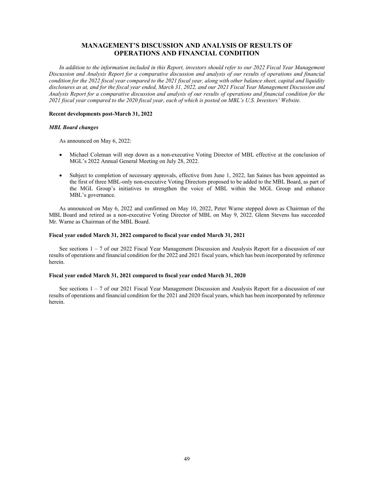# **MANAGEMENT'S DISCUSSION AND ANALYSIS OF RESULTS OF OPERATIONS AND FINANCIAL CONDITION**

*In addition to the information included in this Report, investors should refer to our 2022 Fiscal Year Management Discussion and Analysis Report for a comparative discussion and analysis of our results of operations and financial condition for the 2022 fiscal year compared to the 2021 fiscal year, along with other balance sheet, capital and liquidity disclosures as at, and for the fiscal year ended, March 31, 2022, and our 2021 Fiscal Year Management Discussion and Analysis Report for a comparative discussion and analysis of our results of operations and financial condition for the 2021 fiscal year compared to the 2020 fiscal year, each of which is posted on MBL's U.S. Investors' Website.* 

## **Recent developments post-March 31, 2022**

## *MBL Board changes*

As announced on May 6, 2022:

- Michael Coleman will step down as a non-executive Voting Director of MBL effective at the conclusion of MGL's 2022 Annual General Meeting on July 28, 2022.
- Subject to completion of necessary approvals, effective from June 1, 2022, Ian Saines has been appointed as the first of three MBL-only non-executive Voting Directors proposed to be added to the MBL Board, as part of the MGL Group's initiatives to strengthen the voice of MBL within the MGL Group and enhance MBL's governance.

As announced on May 6, 2022 and confirmed on May 10, 2022, Peter Warne stepped down as Chairman of the MBL Board and retired as a non-executive Voting Director of MBL on May 9, 2022. Glenn Stevens has succeeded Mr. Warne as Chairman of the MBL Board.

## **Fiscal year ended March 31, 2022 compared to fiscal year ended March 31, 2021**

See sections 1 – 7 of our 2022 Fiscal Year Management Discussion and Analysis Report for a discussion of our results of operations and financial condition for the 2022 and 2021 fiscal years, which has been incorporated by reference herein.

## **Fiscal year ended March 31, 2021 compared to fiscal year ended March 31, 2020**

See sections 1 – 7 of our 2021 Fiscal Year Management Discussion and Analysis Report for a discussion of our results of operations and financial condition for the 2021 and 2020 fiscal years, which has been incorporated by reference herein.